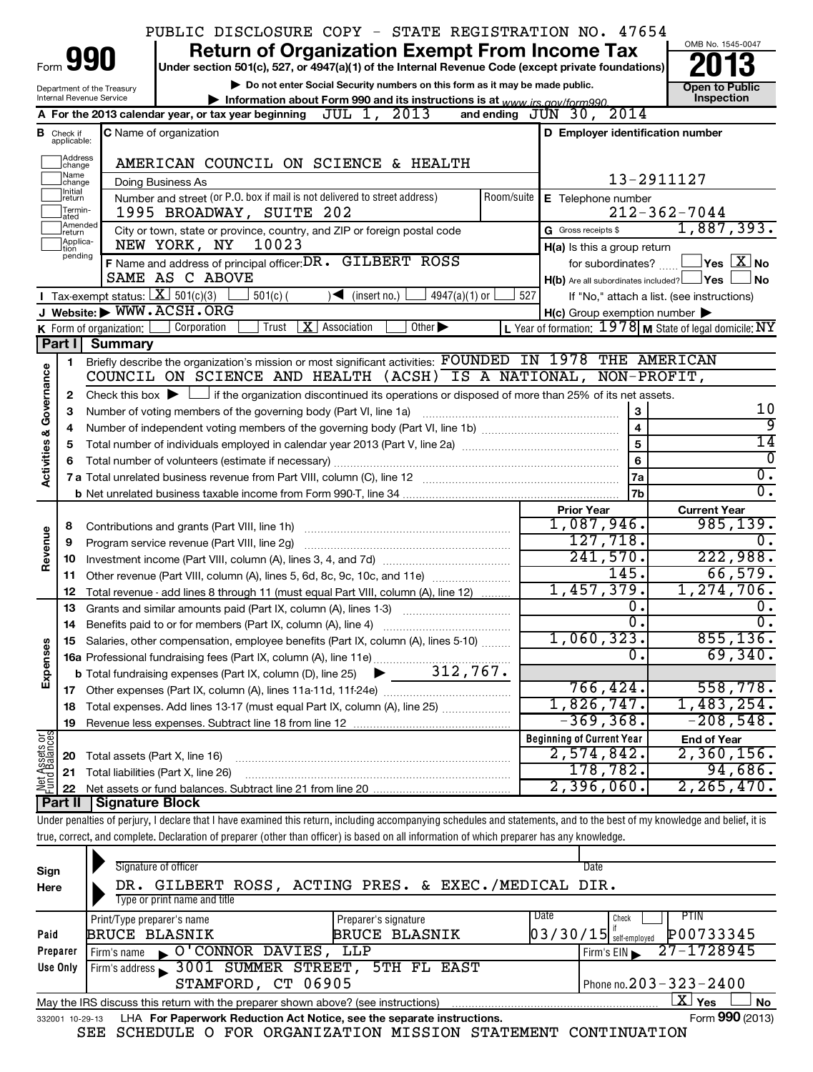|                         |                                  |                                   | PUBLIC DISCLOSURE COPY - STATE REGISTRATION NO. 47654                                                                                                                       |                                                         |                                            |
|-------------------------|----------------------------------|-----------------------------------|-----------------------------------------------------------------------------------------------------------------------------------------------------------------------------|---------------------------------------------------------|--------------------------------------------|
|                         |                                  | 990                               | <b>Return of Organization Exempt From Income Tax</b>                                                                                                                        |                                                         | OMB No. 1545-0047                          |
| Form                    |                                  |                                   | Under section 501(c), 527, or 4947(a)(1) of the Internal Revenue Code (except private foundations)                                                                          |                                                         |                                            |
|                         |                                  | Department of the Treasury        | Do not enter Social Security numbers on this form as it may be made public.                                                                                                 |                                                         | <b>Open to Public</b>                      |
|                         |                                  | Internal Revenue Service          | Information about Form 990 and its instructions is at www irs gov/form990<br>A For the 2013 calendar year, or tax year beginning $JUL$ 1, $2013$                            | 2014<br>and ending $J\overline{U}N$ 30,                 | Inspection                                 |
|                         |                                  |                                   |                                                                                                                                                                             |                                                         |                                            |
|                         | <b>B</b> Check if<br>applicable: |                                   | <b>C</b> Name of organization                                                                                                                                               | D Employer identification number                        |                                            |
|                         | <b>Address</b><br>change         |                                   | AMERICAN COUNCIL ON SCIENCE & HEALTH                                                                                                                                        |                                                         |                                            |
|                         | <b>Name</b><br> change           |                                   | <b>Doing Business As</b>                                                                                                                                                    |                                                         | 13-2911127                                 |
|                         | Ilnitial<br> return              |                                   | Number and street (or P.O. box if mail is not delivered to street address)<br>Room/suite                                                                                    | E Telephone number                                      |                                            |
|                         | Termin-<br>lated                 |                                   | 1995 BROADWAY, SUITE 202                                                                                                                                                    |                                                         | $212 - 362 - 7044$                         |
|                         | Amended<br>Ireturn               |                                   | City or town, state or province, country, and ZIP or foreign postal code                                                                                                    | G Gross receipts \$                                     | 1,887,393.                                 |
|                         | Applica-<br>tion                 |                                   | 10023<br>NEW YORK, NY                                                                                                                                                       | H(a) Is this a group return                             |                                            |
|                         | pending                          |                                   | F Name and address of principal officer: DR. GILBERT ROSS                                                                                                                   | for subordinates?                                       | $\vert$ Yes $\vert$ $\mathrm{X}\vert$ No   |
|                         |                                  |                                   | SAME AS C ABOVE                                                                                                                                                             | $H(b)$ Are all subordinates included? $\Box$ Yes        | ∣No                                        |
|                         |                                  |                                   | Tax-exempt status: $X \overline{301(c)(3)}$<br>$501(c)$ (<br>$\sqrt{\bullet}$ (insert no.)<br>4947(a)(1) or                                                                 | 527                                                     | If "No," attach a list. (see instructions) |
|                         |                                  |                                   | J Website: WWW.ACSH.ORG                                                                                                                                                     | $H(c)$ Group exemption number $\blacktriangleright$     |                                            |
|                         |                                  | K Form of organization: $\lfloor$ | $\boxed{\mathbf{X}}$ Association<br>  Corporation<br>Trust<br>Other $\blacktriangleright$                                                                                   | L Year of formation: 1978 M State of legal domicile: NY |                                            |
|                         | Part I                           | Summary                           |                                                                                                                                                                             |                                                         |                                            |
|                         | 1.                               |                                   | Briefly describe the organization's mission or most significant activities: FOUNDED IN 1978 THE AMERICAN<br>COUNCIL ON SCIENCE AND HEALTH (ACSH) IS A NATIONAL, NON-PROFIT, |                                                         |                                            |
|                         |                                  |                                   |                                                                                                                                                                             |                                                         |                                            |
| Governance              | 2                                |                                   | Check this box $\blacktriangleright$ $\Box$ if the organization discontinued its operations or disposed of more than 25% of its net assets.                                 |                                                         | 10                                         |
|                         | З                                |                                   | Number of voting members of the governing body (Part VI, line 1a)                                                                                                           | 3<br>$\overline{\mathbf{4}}$                            | ब्र                                        |
|                         | 4<br>5                           |                                   |                                                                                                                                                                             | 5                                                       | 14                                         |
| <b>Activities &amp;</b> | 6                                |                                   |                                                                                                                                                                             | 6                                                       | $\overline{0}$                             |
|                         |                                  |                                   |                                                                                                                                                                             | 7a                                                      | $\overline{0}$ .                           |
|                         |                                  |                                   |                                                                                                                                                                             | 7b                                                      | 0.                                         |
|                         |                                  |                                   |                                                                                                                                                                             | <b>Prior Year</b>                                       | <b>Current Year</b>                        |
|                         | 8                                |                                   | Contributions and grants (Part VIII, line 1h)                                                                                                                               | 1,087,946.                                              | 985, 139.                                  |
| Revenue                 | 9                                |                                   | Program service revenue (Part VIII, line 2g)                                                                                                                                | 127,718.                                                | 0.                                         |
|                         | 10                               |                                   |                                                                                                                                                                             | 241,570.                                                | 222,988.                                   |
|                         | 11                               |                                   | Other revenue (Part VIII, column (A), lines 5, 6d, 8c, 9c, 10c, and 11e)                                                                                                    | 145.                                                    | 66,579.                                    |
|                         | 12                               |                                   | Total revenue - add lines 8 through 11 (must equal Part VIII, column (A), line 12)                                                                                          | 1,457,379.                                              | 1, 274, 706.                               |
|                         | 13                               |                                   | Grants and similar amounts paid (Part IX, column (A), lines 1-3)                                                                                                            | Ο.                                                      | 0.                                         |
|                         |                                  |                                   |                                                                                                                                                                             | σ.                                                      | $\overline{\mathfrak{o}}$ .                |
|                         |                                  |                                   | Salaries, other compensation, employee benefits (Part IX, column (A), lines 5-10)                                                                                           | 1,060,323.<br>0.                                        | 855,136.<br>69,340.                        |
| Expenses                |                                  |                                   |                                                                                                                                                                             |                                                         |                                            |
|                         |                                  |                                   |                                                                                                                                                                             | 766,424.                                                | 558,778.                                   |
|                         |                                  |                                   | Total expenses. Add lines 13-17 (must equal Part IX, column (A), line 25)                                                                                                   | 1,826,747.                                              | 1,483,254.                                 |
|                         | 18<br>19                         |                                   |                                                                                                                                                                             | $-369, 368.$                                            | $-208,548.$                                |
|                         |                                  |                                   |                                                                                                                                                                             | <b>Beginning of Current Year</b>                        | <b>End of Year</b>                         |
| Net Assets or           | 20                               | Total assets (Part X, line 16)    |                                                                                                                                                                             | 2,574,842.                                              | $2,360,156$ .                              |
|                         | 21                               |                                   | Total liabilities (Part X, line 26)                                                                                                                                         | 178,782.                                                | 94,686.                                    |
|                         | 22                               |                                   |                                                                                                                                                                             | 2,396,060.                                              | 2, 265, 470.                               |
|                         | Part II                          | <b>Signature Block</b>            |                                                                                                                                                                             |                                                         |                                            |
|                         |                                  |                                   | Under penalties of perjury, I declare that I have examined this return, including accompanying schedules and statements, and to the best of my knowledge and belief, it is  |                                                         |                                            |
|                         |                                  |                                   | true, correct, and complete. Declaration of preparer (other than officer) is based on all information of which preparer has any knowledge.                                  |                                                         |                                            |

| Sign<br>Here    | Signature of officer<br>DR. GILBERT ROSS, ACTING PRES. & EXEC./MEDICAL DIR.<br>Type or print name and title | Date                                                                               |
|-----------------|-------------------------------------------------------------------------------------------------------------|------------------------------------------------------------------------------------|
| Paid            | Preparer's signature<br>Print/Type preparer's name<br><b>BRUCE BLASNIK</b><br><b>BRUCE BLASNIK</b>          | <b>Date</b><br>PTIN<br>Check<br>P00733345<br>$\left[03/30/15\right]$ self-employed |
| Preparer        | O'CONNOR DAVIES, LLP<br>Firm's name                                                                         | 27-1728945<br>Firm's EIN                                                           |
| Use Only        | Firm's address 3001 SUMMER STREET, 5TH FL EAST                                                              |                                                                                    |
|                 | STAMFORD, CT 06905                                                                                          | Phone no. $203 - 323 - 2400$                                                       |
|                 | May the IRS discuss this return with the preparer shown above? (see instructions)                           | ΧI<br>Yes<br><b>No</b>                                                             |
| 332001 10-29-13 | LHA For Paperwork Reduction Act Notice, see the separate instructions.                                      | Form 990 (2013)                                                                    |

SEE SCHEDULE O FOR ORGANIZATION MISSION STATEMENT CONTINUATION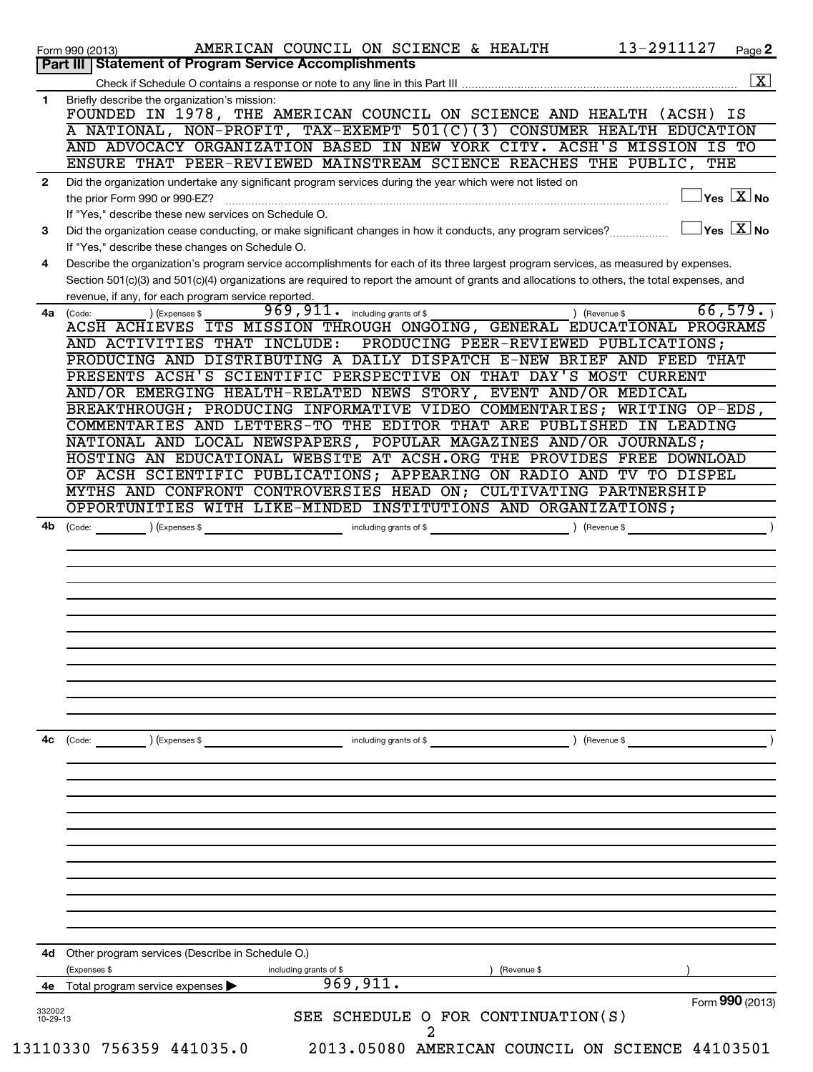|                          | 13-2911127<br>AMERICAN COUNCIL ON SCIENCE & HEALTH<br>$Page$ 2<br>Form 990 (2013)                                                                                                       |
|--------------------------|-----------------------------------------------------------------------------------------------------------------------------------------------------------------------------------------|
|                          | Part III   Statement of Program Service Accomplishments<br>$\boxed{\text{X}}$                                                                                                           |
| 1                        | Briefly describe the organization's mission:                                                                                                                                            |
|                          | FOUNDED IN 1978, THE AMERICAN COUNCIL ON SCIENCE AND HEALTH (ACSH) IS                                                                                                                   |
|                          | A NATIONAL, NON-PROFIT, TAX-EXEMPT 501(C)(3) CONSUMER HEALTH EDUCATION                                                                                                                  |
|                          | AND ADVOCACY ORGANIZATION BASED IN NEW YORK CITY. ACSH'S MISSION IS TO<br>ENSURE THAT PEER-REVIEWED MAINSTREAM SCIENCE REACHES THE PUBLIC, THE                                          |
| $\mathbf{2}$             | Did the organization undertake any significant program services during the year which were not listed on                                                                                |
|                          | $\overline{X}$ No<br>the prior Form 990 or 990-EZ?                                                                                                                                      |
|                          | If "Yes," describe these new services on Schedule O.                                                                                                                                    |
| 3                        | $\sqrt{}$ Yes $\sqrt{}\frac{\text{X}}{\text{N}}$ No<br>Did the organization cease conducting, or make significant changes in how it conducts, any program services?                     |
| 4                        | If "Yes," describe these changes on Schedule O.<br>Describe the organization's program service accomplishments for each of its three largest program services, as measured by expenses. |
|                          | Section 501(c)(3) and 501(c)(4) organizations are required to report the amount of grants and allocations to others, the total expenses, and                                            |
|                          | revenue, if any, for each program service reported.                                                                                                                                     |
| 4a                       | 66,579.<br>969,911.<br>including grants of \$<br>(Code:<br>) (Expenses \$<br>) (Revenue \$                                                                                              |
|                          | ACSH ACHIEVES ITS MISSION THROUGH ONGOING, GENERAL EDUCATIONAL PROGRAMS<br>PRODUCING PEER-REVIEWED PUBLICATIONS;                                                                        |
|                          | AND ACTIVITIES THAT INCLUDE:<br>PRODUCING AND DISTRIBUTING A DAILY DISPATCH E-NEW BRIEF AND FEED THAT                                                                                   |
|                          | PRESENTS ACSH'S SCIENTIFIC PERSPECTIVE ON THAT DAY'S MOST CURRENT                                                                                                                       |
|                          | AND/OR EMERGING HEALTH-RELATED NEWS STORY, EVENT AND/OR MEDICAL                                                                                                                         |
|                          | BREAKTHROUGH; PRODUCING INFORMATIVE VIDEO COMMENTARIES; WRITING OP-EDS,                                                                                                                 |
|                          | COMMENTARIES AND LETTERS-TO THE EDITOR THAT ARE PUBLISHED IN LEADING<br>NATIONAL AND LOCAL NEWSPAPERS, POPULAR MAGAZINES AND/OR JOURNALS;                                               |
|                          | HOSTING AN EDUCATIONAL WEBSITE AT ACSH.ORG THE PROVIDES FREE DOWNLOAD                                                                                                                   |
|                          | OF ACSH SCIENTIFIC PUBLICATIONS; APPEARING ON RADIO AND TV TO DISPEL                                                                                                                    |
|                          | MYTHS AND CONFRONT CONTROVERSIES HEAD ON; CULTIVATING PARTNERSHIP                                                                                                                       |
|                          | OPPORTUNITIES WITH LIKE-MINDED INSTITUTIONS AND ORGANIZATIONS;                                                                                                                          |
|                          |                                                                                                                                                                                         |
|                          |                                                                                                                                                                                         |
|                          |                                                                                                                                                                                         |
|                          |                                                                                                                                                                                         |
|                          |                                                                                                                                                                                         |
|                          |                                                                                                                                                                                         |
|                          |                                                                                                                                                                                         |
|                          | ) (Revenue \$<br>(Code:<br>) (Expenses \$<br>including grants of \$                                                                                                                     |
|                          |                                                                                                                                                                                         |
|                          |                                                                                                                                                                                         |
|                          |                                                                                                                                                                                         |
|                          |                                                                                                                                                                                         |
|                          |                                                                                                                                                                                         |
|                          |                                                                                                                                                                                         |
|                          |                                                                                                                                                                                         |
|                          |                                                                                                                                                                                         |
|                          |                                                                                                                                                                                         |
|                          |                                                                                                                                                                                         |
|                          | Other program services (Describe in Schedule O.)<br>(Expenses \$<br>(Revenue \$                                                                                                         |
|                          | including grants of \$<br>969,911.<br>Total program service expenses                                                                                                                    |
| 4c<br>4d<br>4е<br>332002 | Form 990 (2013)<br>SEE SCHEDULE O FOR CONTINUATION(S)                                                                                                                                   |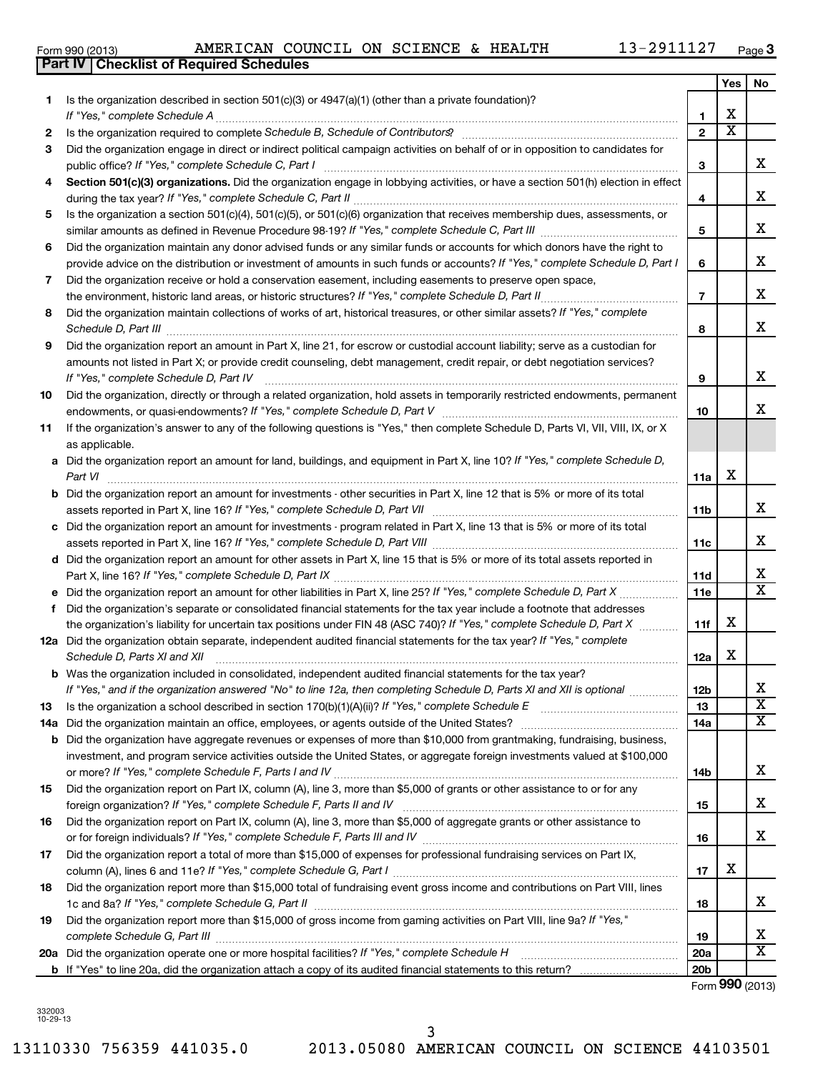332003 10-29-13 **12 13 14 15 16 17 18 19 20 d e f a b a b a b** *If "Yes," complete Schedule D, Part IX If "Yes," complete Schedule D, Part X Schedule D, Parts XI and XII If "Yes," and if the organization answered "No" to line 12a, then completing Schedule D, Parts XI and XII is optional If "Yes," complete Schedule E If "Yes," complete Schedule F, Parts I and IV If "Yes," complete Schedule F, Parts II and IV If "Yes," complete Schedule F, Parts III and IV If "Yes," complete Schedule G, Part I If "Yes," complete Schedule G, Part II complete Schedule G, Part III If "Yes," complete Schedule H* Part X, line 16? Did the organization report an amount for other liabilities in Part X, line 25? the organization's liability for uncertain tax positions under FIN 48 (ASC 740)? Did the organization obtain separate, independent audited financial statements for the tax year? Was the organization included in consolidated, independent audited financial statements for the tax year? Is the organization a school described in section 170(b)(1)(A)(ii)? Did the organization maintain an office, employees, or agents outside of the United States? foreign organization? or for foreign individuals? Did the organization report more than \$15,000 of gross income from gaming activities on Part VIII, line 9a? Did the organization operate one or more hospital facilities?

Form 990 (2013) Page AMERICAN COUNCIL ON SCIENCE & HEALTH 13-2911127 Form 990 (2013)<br>**Part IV | Checklist of Required Schedules** 

**3**

|     |                                                                                                                                                                                               |                 | Yes                     | No                                  |
|-----|-----------------------------------------------------------------------------------------------------------------------------------------------------------------------------------------------|-----------------|-------------------------|-------------------------------------|
| 1   | Is the organization described in section $501(c)(3)$ or $4947(a)(1)$ (other than a private foundation)?                                                                                       |                 |                         |                                     |
|     | If "Yes," complete Schedule A                                                                                                                                                                 | 1.              | x                       |                                     |
| 2   |                                                                                                                                                                                               | $\mathbf{2}$    | $\overline{\textbf{x}}$ |                                     |
| 3   | Did the organization engage in direct or indirect political campaign activities on behalf of or in opposition to candidates for<br>public office? If "Yes," complete Schedule C, Part I       | З               |                         | x                                   |
| 4   | Section 501(c)(3) organizations. Did the organization engage in lobbying activities, or have a section 501(h) election in effect                                                              | 4               |                         | X.                                  |
| 5   | Is the organization a section 501(c)(4), 501(c)(5), or 501(c)(6) organization that receives membership dues, assessments, or                                                                  |                 |                         |                                     |
|     |                                                                                                                                                                                               | 5               |                         | x                                   |
| 6   | Did the organization maintain any donor advised funds or any similar funds or accounts for which donors have the right to                                                                     |                 |                         |                                     |
|     | provide advice on the distribution or investment of amounts in such funds or accounts? If "Yes," complete Schedule D, Part I                                                                  | 6               |                         | x                                   |
| 7   | Did the organization receive or hold a conservation easement, including easements to preserve open space,                                                                                     |                 |                         |                                     |
|     |                                                                                                                                                                                               | $\overline{7}$  |                         | X.                                  |
| 8   | Did the organization maintain collections of works of art, historical treasures, or other similar assets? If "Yes," complete<br>Schedule D, Part III                                          | 8               |                         | x                                   |
| 9   | Did the organization report an amount in Part X, line 21, for escrow or custodial account liability; serve as a custodian for                                                                 |                 |                         |                                     |
|     | amounts not listed in Part X; or provide credit counseling, debt management, credit repair, or debt negotiation services?<br>If "Yes," complete Schedule D, Part IV                           | 9               |                         | х                                   |
| 10  | Did the organization, directly or through a related organization, hold assets in temporarily restricted endowments, permanent                                                                 | 10              |                         | x                                   |
| 11  | If the organization's answer to any of the following questions is "Yes," then complete Schedule D, Parts VI, VII, VIII, IX, or X<br>as applicable.                                            |                 |                         |                                     |
|     | a Did the organization report an amount for land, buildings, and equipment in Part X, line 10? If "Yes," complete Schedule D,<br>Part VI                                                      | 11a             | х                       |                                     |
|     | <b>b</b> Did the organization report an amount for investments - other securities in Part X, line 12 that is 5% or more of its total                                                          |                 |                         |                                     |
|     | assets reported in Part X, line 16? If "Yes," complete Schedule D, Part VII [[[[[[[[[[[[[[[[[[[[[[[[[[[[[[]]]]                                                                                | 11 <sub>b</sub> |                         | x                                   |
|     | c Did the organization report an amount for investments - program related in Part X, line 13 that is 5% or more of its total                                                                  |                 |                         | х                                   |
|     | d Did the organization report an amount for other assets in Part X, line 15 that is 5% or more of its total assets reported in                                                                | 11c             |                         |                                     |
|     | Part X, line 16? If "Yes," complete Schedule D, Part IX                                                                                                                                       | 11d             |                         | x                                   |
|     |                                                                                                                                                                                               | 11e             |                         | $\overline{\mathtt{x}}$             |
|     | f Did the organization's separate or consolidated financial statements for the tax year include a footnote that addresses                                                                     |                 |                         |                                     |
|     | the organization's liability for uncertain tax positions under FIN 48 (ASC 740)? If "Yes," complete Schedule D, Part X                                                                        | 11f             | х                       |                                     |
|     | 12a Did the organization obtain separate, independent audited financial statements for the tax year? If "Yes," complete<br>Schedule D, Parts XI and XII                                       | 12a             | х                       |                                     |
|     | <b>b</b> Was the organization included in consolidated, independent audited financial statements for the tax year?                                                                            |                 |                         |                                     |
|     | If "Yes," and if the organization answered "No" to line 12a, then completing Schedule D, Parts XI and XII is optional www.                                                                    | 12 <sub>b</sub> |                         | x                                   |
| 13  | Is the organization a school described in section 170(b)(1)(A)(ii)? If "Yes," complete Schedule E                                                                                             | 13              |                         | $\overline{\text{X}}$               |
| 14a | Did the organization maintain an office, employees, or agents outside of the United States?                                                                                                   | 14a             |                         | $\overline{\mathbf{X}}$             |
| b   | Did the organization have aggregate revenues or expenses of more than \$10,000 from grantmaking, fundraising, business,                                                                       |                 |                         |                                     |
|     | investment, and program service activities outside the United States, or aggregate foreign investments valued at \$100,000                                                                    |                 |                         | х                                   |
| 15  | Did the organization report on Part IX, column (A), line 3, more than \$5,000 of grants or other assistance to or for any                                                                     | 14b             |                         |                                     |
|     | foreign organization? If "Yes," complete Schedule F, Parts II and IV                                                                                                                          | 15              |                         | x                                   |
| 16  | Did the organization report on Part IX, column (A), line 3, more than \$5,000 of aggregate grants or other assistance to                                                                      |                 |                         |                                     |
|     |                                                                                                                                                                                               | 16              |                         | x                                   |
| 17  | Did the organization report a total of more than \$15,000 of expenses for professional fundraising services on Part IX,<br>column (A), lines 6 and 11e? If "Yes," complete Schedule G, Part I | 17              | x                       |                                     |
| 18  | Did the organization report more than \$15,000 total of fundraising event gross income and contributions on Part VIII, lines                                                                  | 18              |                         | x                                   |
| 19  | Did the organization report more than \$15,000 of gross income from gaming activities on Part VIII, line 9a? If "Yes,"                                                                        |                 |                         |                                     |
|     |                                                                                                                                                                                               | 19              |                         | X                                   |
|     |                                                                                                                                                                                               | <b>20a</b>      |                         | $\overline{\mathbf{X}}$             |
|     |                                                                                                                                                                                               | 20 <sub>b</sub> |                         | $F_{\text{arm}}$ QQ $\Omega$ (2012) |
|     |                                                                                                                                                                                               |                 |                         |                                     |

Form (2013) **990**

3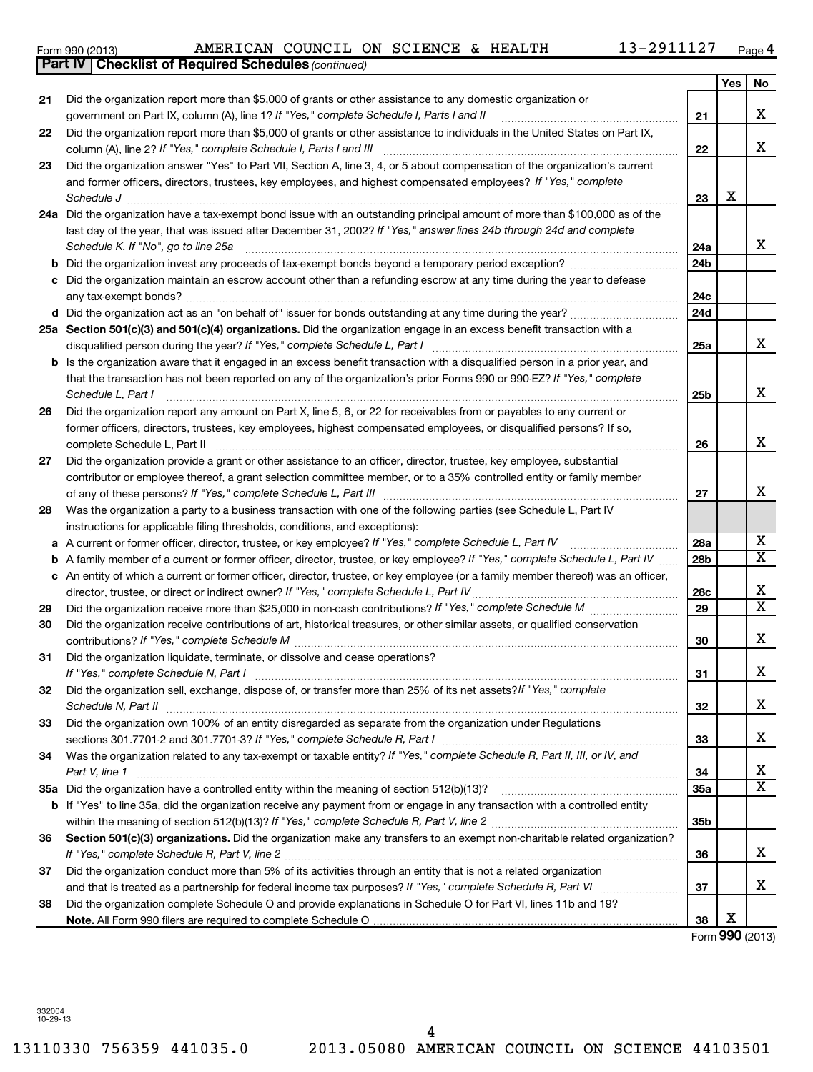13110330 756359 441035.0 2013.05080 AMERICAN COUNCIL ON SCIENCE 44103501 4

|    | 25a Section 501(c)(3) and 501(c)(4) organizations. Did the organization engage in an excess benefit transaction with a                      |
|----|---------------------------------------------------------------------------------------------------------------------------------------------|
|    | disqualified person during the year? If "Yes," complete Schedule L, Part I                                                                  |
|    | <b>b</b> Is the organization aware that it engaged in an excess benefit transaction with a disqualified person in a prior year, and         |
|    | that the transaction has not been reported on any of the organization's prior Forms 990 or 990-EZ? If "Yes," complete                       |
|    | Schedule L, Part I                                                                                                                          |
| 26 | Did the organization report any amount on Part X, line 5, 6, or 22 for receivables from or payables to any current or                       |
|    | former officers, directors, trustees, key employees, highest compensated employees, or disqualified persons? If so,                         |
|    | complete Schedule L, Part II                                                                                                                |
| 27 | Did the organization provide a grant or other assistance to an officer, director, trustee, key employee, substantial                        |
|    | contributor or employee thereof, a grant selection committee member, or to a 35% controlled entity or family member                         |
|    |                                                                                                                                             |
| 28 | Was the organization a party to a business transaction with one of the following parties (see Schedule L, Part IV                           |
|    | instructions for applicable filing thresholds, conditions, and exceptions):                                                                 |
| a  | A current or former officer, director, trustee, or key employee? If "Yes," complete Schedule L, Part IV                                     |
| b  | A family member of a current or former officer, director, trustee, or key employee? If "Yes," complete Schedule L, Part IV                  |
| c  | An entity of which a current or former officer, director, trustee, or key employee (or a family member thereof) was an officer,             |
|    | director, trustee, or direct or indirect owner? If "Yes," complete Schedule L, Part IV                                                      |
| 29 |                                                                                                                                             |
| 30 | Did the organization receive contributions of art, historical treasures, or other similar assets, or qualified conservation                 |
|    |                                                                                                                                             |
| 31 | Did the organization liquidate, terminate, or dissolve and cease operations?                                                                |
|    | If "Yes," complete Schedule N, Part I                                                                                                       |
| 32 | Did the organization sell, exchange, dispose of, or transfer more than 25% of its net assets? If "Yes," complete                            |
|    | Schedule N, Part II                                                                                                                         |
| 33 | Did the organization own 100% of an entity disregarded as separate from the organization under Regulations                                  |
|    |                                                                                                                                             |
| 34 | Was the organization related to any tax-exempt or taxable entity? If "Yes," complete Schedule R, Part II, III, or IV, and<br>Part V, line 1 |
|    | 35a Did the organization have a controlled entity within the meaning of section 512(b)(13)?                                                 |
| b  | If "Yes" to line 35a, did the organization receive any payment from or engage in any transaction with a controlled entity                   |
|    |                                                                                                                                             |
| 36 | Section 501(c)(3) organizations. Did the organization make any transfers to an exempt non-charitable related organization?                  |
|    |                                                                                                                                             |
| 37 | Did the organization conduct more than 5% of its activities through an entity that is not a related organization                            |
|    | and that is treated as a partnership for federal income tax purposes? If "Yes," complete Schedule R, Part VI                                |
| 38 | Did the organization complete Schedule O and provide explanations in Schedule O for Part VI, lines 11b and 19?                              |
|    |                                                                                                                                             |
|    |                                                                                                                                             |

# Form 990 (2013) Page AMERICAN COUNCIL ON SCIENCE & HEALTH 13-2911127

*If "Yes," complete Schedule I, Parts I and II* government on Part IX, column (A), line 1? ~~~~~~~~~~~~~~~~~~

Did the organization report more than \$5,000 of grants or other assistance to individuals in the United States on Part IX,

Did the organization answer "Yes" to Part VII, Section A, line 3, 4, or 5 about compensation of the organization's current

*If "Yes," complete Schedule I, Parts I and III* column (A), line 2? ~~~~~~~~~~~~~~~~~~~~~~~~~~~~~~

*Schedule J* ~~~~~~~~~~~~~~~~~~~~~~~~~~~~~~~~~~~~~~~~~~~~~~~~~~~~~~~~

**24 a** Did the organization have a tax-exempt bond issue with an outstanding principal amount of more than \$100,000 as of the

last day of the year, that was issued after December 31, 2002? If "Yes," answer lines 24b through 24d and complete *Schedule K. If "No", go to line 25a* ~~~~~~~~~~~~~~~~~~~~~~~~~~~~~~~~~~~~~~~~~~~~

and former officers, directors, trustees, key employees, and highest compensated employees? If "Yes," complete

Did the organization report more than \$5,000 of grants or other assistance to any domestic organization or

**b** Did the organization invest any proceeds of tax-exempt bonds beyond a temporary period exception? *\_\_\_\_\_\_\_\_\_\_\_\_\_\_\_\_\_\_\_\_\_* **c** Did the organization maintain an escrow account other than a refunding escrow at any time during the year to defease

~~~~~~~~~~~~~~~~~~~~~~~~~~~~~~~~~~~~~~~~~~~~~~~~~~

**4**

**21**

**22**

**23**

X

**24a 24b**

**24c 24d**

**25a**

**25b**

**26**

**27**

**28a 28b**

**28c 29**

**30**

**31**

**32**

**33**

**34 35a**

**35b**

**36**

**37**

**38**

Form (2013) **990**

X

**Yes No**

X

X

X

X

X

X

X

X  $\overline{\mathtt{x}}$ 

X  $\overline{\text{x}}$ 

X

X

X

X

X  $\overline{\text{x}}$ 

X

X

| Form 990 (2013) |                                                              | AMERICAN COUNCIL ( |  |  |
|-----------------|--------------------------------------------------------------|--------------------|--|--|
|                 | <b>Part IV   Checklist of Required Schedules (continued)</b> |                    |  |  |

any tax-exempt bonds?

**21**

**22**

**23**

**26**

**27**

**28**

**29 30**

**31**

**32**

**33**

**34**

**36**

**37**

**38**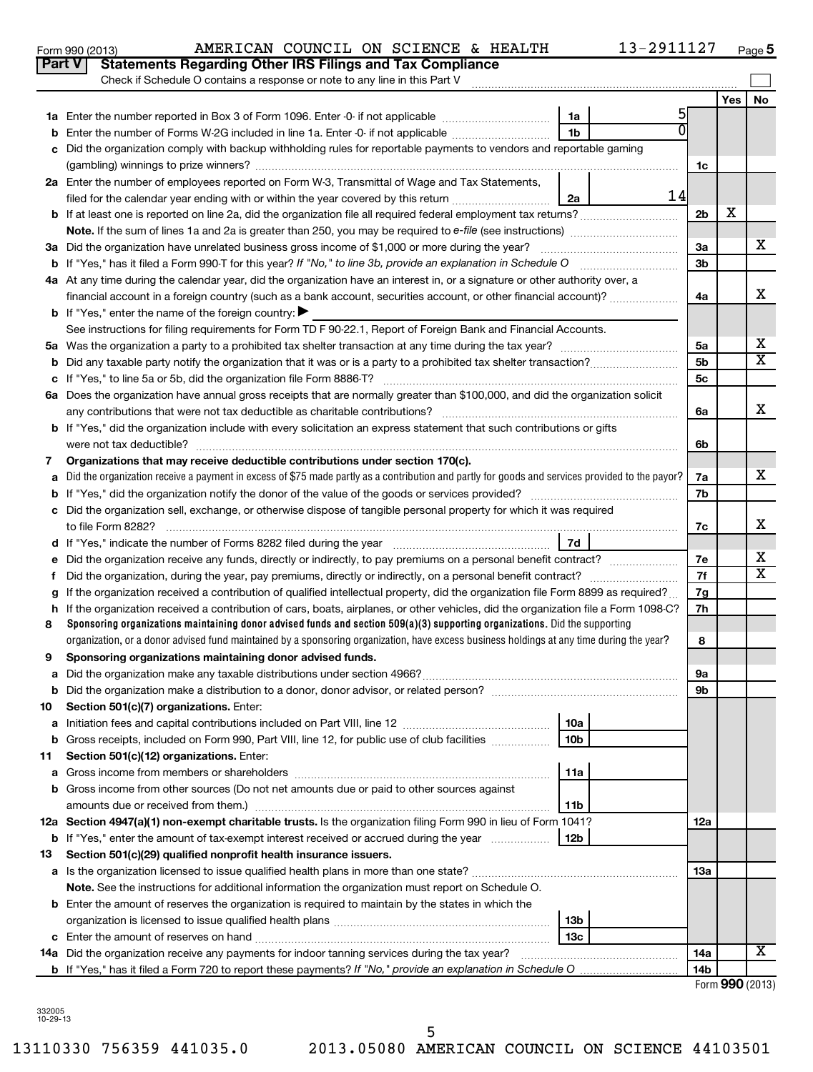| No<br>Yes<br>5<br>1a<br><b>b</b> Enter the number of Forms W-2G included in line 1a. Enter -0- if not applicable <i>manumerane</i> of Forms<br>1b<br>Did the organization comply with backup withholding rules for reportable payments to vendors and reportable gaming<br>c<br>1c<br>2a Enter the number of employees reported on Form W-3, Transmittal of Wage and Tax Statements,<br>14<br>filed for the calendar year ending with or within the year covered by this return<br>2a<br>х<br>2 <sub>b</sub><br>x<br>3a<br>3a Did the organization have unrelated business gross income of \$1,000 or more during the year?<br>3 <sub>b</sub><br><b>b</b> If "Yes," has it filed a Form 990-T for this year? If "No," to line 3b, provide an explanation in Schedule O<br>4a At any time during the calendar year, did the organization have an interest in, or a signature or other authority over, a<br>х<br>financial account in a foreign country (such as a bank account, securities account, or other financial account)?<br>4a<br><b>b</b> If "Yes," enter the name of the foreign country:<br>See instructions for filing requirements for Form TD F 90-22.1, Report of Foreign Bank and Financial Accounts.<br>х<br>5a<br>$\overline{\texttt{x}}$<br>5 <sub>b</sub><br>5 <sub>c</sub><br>6a Does the organization have annual gross receipts that are normally greater than \$100,000, and did the organization solicit<br>х<br>any contributions that were not tax deductible as charitable contributions?<br>6а<br><b>b</b> If "Yes," did the organization include with every solicitation an express statement that such contributions or gifts<br>were not tax deductible?<br>6b<br>Organizations that may receive deductible contributions under section 170(c).<br>7<br>x<br>a Did the organization receive a payment in excess of \$75 made partly as a contribution and partly for goods and services provided to the payor?<br>7a<br>7b<br>c Did the organization sell, exchange, or otherwise dispose of tangible personal property for which it was required<br>х<br>to file Form 8282?<br>7с<br>7d<br>х<br>7e<br>е<br>$\overline{\texttt{x}}$<br>7f<br>f.<br>If the organization received a contribution of qualified intellectual property, did the organization file Form 8899 as required?<br>7g<br>g<br>If the organization received a contribution of cars, boats, airplanes, or other vehicles, did the organization file a Form 1098-C?<br>7h<br>h.<br>Sponsoring organizations maintaining donor advised funds and section 509(a)(3) supporting organizations. Did the supporting<br>8<br>organization, or a donor advised fund maintained by a sponsoring organization, have excess business holdings at any time during the year?<br>8<br>Sponsoring organizations maintaining donor advised funds.<br>9<br>9а<br>9b<br>Section 501(c)(7) organizations. Enter:<br>10<br>10a<br>а<br>10 <sub>b</sub><br>Gross receipts, included on Form 990, Part VIII, line 12, for public use of club facilities<br>b<br>Section 501(c)(12) organizations. Enter:<br>11<br>11a<br>а<br><b>b</b> Gross income from other sources (Do not net amounts due or paid to other sources against<br>amounts due or received from them.)<br>11b<br>12a Section 4947(a)(1) non-exempt charitable trusts. Is the organization filing Form 990 in lieu of Form 1041?<br>12a<br><b>b</b> If "Yes," enter the amount of tax-exempt interest received or accrued during the year<br>12b<br>13<br>Section 501(c)(29) qualified nonprofit health insurance issuers.<br>13a<br>Note. See the instructions for additional information the organization must report on Schedule O. |
|----------------------------------------------------------------------------------------------------------------------------------------------------------------------------------------------------------------------------------------------------------------------------------------------------------------------------------------------------------------------------------------------------------------------------------------------------------------------------------------------------------------------------------------------------------------------------------------------------------------------------------------------------------------------------------------------------------------------------------------------------------------------------------------------------------------------------------------------------------------------------------------------------------------------------------------------------------------------------------------------------------------------------------------------------------------------------------------------------------------------------------------------------------------------------------------------------------------------------------------------------------------------------------------------------------------------------------------------------------------------------------------------------------------------------------------------------------------------------------------------------------------------------------------------------------------------------------------------------------------------------------------------------------------------------------------------------------------------------------------------------------------------------------------------------------------------------------------------------------------------------------------------------------------------------------------------------------------------------------------------------------------------------------------------------------------------------------------------------------------------------------------------------------------------------------------------------------------------------------------------------------------------------------------------------------------------------------------------------------------------------------------------------------------------------------------------------------------------------------------------------------------------------------------------------------------------------------------------------------------------------------------------------------------------------------------------------------------------------------------------------------------------------------------------------------------------------------------------------------------------------------------------------------------------------------------------------------------------------------------------------------------------------------------------------------------------------------------------------------------------------------------------------------------------------------------------------------------------------------------------------------------------------------------------------------------------------------------------------------------------------------------------------------------------------------------------------------------------------------------------------------------------------------------------------------------------------------------------------------------------------------------------------------------------------------|
|                                                                                                                                                                                                                                                                                                                                                                                                                                                                                                                                                                                                                                                                                                                                                                                                                                                                                                                                                                                                                                                                                                                                                                                                                                                                                                                                                                                                                                                                                                                                                                                                                                                                                                                                                                                                                                                                                                                                                                                                                                                                                                                                                                                                                                                                                                                                                                                                                                                                                                                                                                                                                                                                                                                                                                                                                                                                                                                                                                                                                                                                                                                                                                                                                                                                                                                                                                                                                                                                                                                                                                                                                                                                                  |
|                                                                                                                                                                                                                                                                                                                                                                                                                                                                                                                                                                                                                                                                                                                                                                                                                                                                                                                                                                                                                                                                                                                                                                                                                                                                                                                                                                                                                                                                                                                                                                                                                                                                                                                                                                                                                                                                                                                                                                                                                                                                                                                                                                                                                                                                                                                                                                                                                                                                                                                                                                                                                                                                                                                                                                                                                                                                                                                                                                                                                                                                                                                                                                                                                                                                                                                                                                                                                                                                                                                                                                                                                                                                                  |
|                                                                                                                                                                                                                                                                                                                                                                                                                                                                                                                                                                                                                                                                                                                                                                                                                                                                                                                                                                                                                                                                                                                                                                                                                                                                                                                                                                                                                                                                                                                                                                                                                                                                                                                                                                                                                                                                                                                                                                                                                                                                                                                                                                                                                                                                                                                                                                                                                                                                                                                                                                                                                                                                                                                                                                                                                                                                                                                                                                                                                                                                                                                                                                                                                                                                                                                                                                                                                                                                                                                                                                                                                                                                                  |
|                                                                                                                                                                                                                                                                                                                                                                                                                                                                                                                                                                                                                                                                                                                                                                                                                                                                                                                                                                                                                                                                                                                                                                                                                                                                                                                                                                                                                                                                                                                                                                                                                                                                                                                                                                                                                                                                                                                                                                                                                                                                                                                                                                                                                                                                                                                                                                                                                                                                                                                                                                                                                                                                                                                                                                                                                                                                                                                                                                                                                                                                                                                                                                                                                                                                                                                                                                                                                                                                                                                                                                                                                                                                                  |
|                                                                                                                                                                                                                                                                                                                                                                                                                                                                                                                                                                                                                                                                                                                                                                                                                                                                                                                                                                                                                                                                                                                                                                                                                                                                                                                                                                                                                                                                                                                                                                                                                                                                                                                                                                                                                                                                                                                                                                                                                                                                                                                                                                                                                                                                                                                                                                                                                                                                                                                                                                                                                                                                                                                                                                                                                                                                                                                                                                                                                                                                                                                                                                                                                                                                                                                                                                                                                                                                                                                                                                                                                                                                                  |
|                                                                                                                                                                                                                                                                                                                                                                                                                                                                                                                                                                                                                                                                                                                                                                                                                                                                                                                                                                                                                                                                                                                                                                                                                                                                                                                                                                                                                                                                                                                                                                                                                                                                                                                                                                                                                                                                                                                                                                                                                                                                                                                                                                                                                                                                                                                                                                                                                                                                                                                                                                                                                                                                                                                                                                                                                                                                                                                                                                                                                                                                                                                                                                                                                                                                                                                                                                                                                                                                                                                                                                                                                                                                                  |
|                                                                                                                                                                                                                                                                                                                                                                                                                                                                                                                                                                                                                                                                                                                                                                                                                                                                                                                                                                                                                                                                                                                                                                                                                                                                                                                                                                                                                                                                                                                                                                                                                                                                                                                                                                                                                                                                                                                                                                                                                                                                                                                                                                                                                                                                                                                                                                                                                                                                                                                                                                                                                                                                                                                                                                                                                                                                                                                                                                                                                                                                                                                                                                                                                                                                                                                                                                                                                                                                                                                                                                                                                                                                                  |
|                                                                                                                                                                                                                                                                                                                                                                                                                                                                                                                                                                                                                                                                                                                                                                                                                                                                                                                                                                                                                                                                                                                                                                                                                                                                                                                                                                                                                                                                                                                                                                                                                                                                                                                                                                                                                                                                                                                                                                                                                                                                                                                                                                                                                                                                                                                                                                                                                                                                                                                                                                                                                                                                                                                                                                                                                                                                                                                                                                                                                                                                                                                                                                                                                                                                                                                                                                                                                                                                                                                                                                                                                                                                                  |
|                                                                                                                                                                                                                                                                                                                                                                                                                                                                                                                                                                                                                                                                                                                                                                                                                                                                                                                                                                                                                                                                                                                                                                                                                                                                                                                                                                                                                                                                                                                                                                                                                                                                                                                                                                                                                                                                                                                                                                                                                                                                                                                                                                                                                                                                                                                                                                                                                                                                                                                                                                                                                                                                                                                                                                                                                                                                                                                                                                                                                                                                                                                                                                                                                                                                                                                                                                                                                                                                                                                                                                                                                                                                                  |
|                                                                                                                                                                                                                                                                                                                                                                                                                                                                                                                                                                                                                                                                                                                                                                                                                                                                                                                                                                                                                                                                                                                                                                                                                                                                                                                                                                                                                                                                                                                                                                                                                                                                                                                                                                                                                                                                                                                                                                                                                                                                                                                                                                                                                                                                                                                                                                                                                                                                                                                                                                                                                                                                                                                                                                                                                                                                                                                                                                                                                                                                                                                                                                                                                                                                                                                                                                                                                                                                                                                                                                                                                                                                                  |
|                                                                                                                                                                                                                                                                                                                                                                                                                                                                                                                                                                                                                                                                                                                                                                                                                                                                                                                                                                                                                                                                                                                                                                                                                                                                                                                                                                                                                                                                                                                                                                                                                                                                                                                                                                                                                                                                                                                                                                                                                                                                                                                                                                                                                                                                                                                                                                                                                                                                                                                                                                                                                                                                                                                                                                                                                                                                                                                                                                                                                                                                                                                                                                                                                                                                                                                                                                                                                                                                                                                                                                                                                                                                                  |
|                                                                                                                                                                                                                                                                                                                                                                                                                                                                                                                                                                                                                                                                                                                                                                                                                                                                                                                                                                                                                                                                                                                                                                                                                                                                                                                                                                                                                                                                                                                                                                                                                                                                                                                                                                                                                                                                                                                                                                                                                                                                                                                                                                                                                                                                                                                                                                                                                                                                                                                                                                                                                                                                                                                                                                                                                                                                                                                                                                                                                                                                                                                                                                                                                                                                                                                                                                                                                                                                                                                                                                                                                                                                                  |
|                                                                                                                                                                                                                                                                                                                                                                                                                                                                                                                                                                                                                                                                                                                                                                                                                                                                                                                                                                                                                                                                                                                                                                                                                                                                                                                                                                                                                                                                                                                                                                                                                                                                                                                                                                                                                                                                                                                                                                                                                                                                                                                                                                                                                                                                                                                                                                                                                                                                                                                                                                                                                                                                                                                                                                                                                                                                                                                                                                                                                                                                                                                                                                                                                                                                                                                                                                                                                                                                                                                                                                                                                                                                                  |
|                                                                                                                                                                                                                                                                                                                                                                                                                                                                                                                                                                                                                                                                                                                                                                                                                                                                                                                                                                                                                                                                                                                                                                                                                                                                                                                                                                                                                                                                                                                                                                                                                                                                                                                                                                                                                                                                                                                                                                                                                                                                                                                                                                                                                                                                                                                                                                                                                                                                                                                                                                                                                                                                                                                                                                                                                                                                                                                                                                                                                                                                                                                                                                                                                                                                                                                                                                                                                                                                                                                                                                                                                                                                                  |
|                                                                                                                                                                                                                                                                                                                                                                                                                                                                                                                                                                                                                                                                                                                                                                                                                                                                                                                                                                                                                                                                                                                                                                                                                                                                                                                                                                                                                                                                                                                                                                                                                                                                                                                                                                                                                                                                                                                                                                                                                                                                                                                                                                                                                                                                                                                                                                                                                                                                                                                                                                                                                                                                                                                                                                                                                                                                                                                                                                                                                                                                                                                                                                                                                                                                                                                                                                                                                                                                                                                                                                                                                                                                                  |
|                                                                                                                                                                                                                                                                                                                                                                                                                                                                                                                                                                                                                                                                                                                                                                                                                                                                                                                                                                                                                                                                                                                                                                                                                                                                                                                                                                                                                                                                                                                                                                                                                                                                                                                                                                                                                                                                                                                                                                                                                                                                                                                                                                                                                                                                                                                                                                                                                                                                                                                                                                                                                                                                                                                                                                                                                                                                                                                                                                                                                                                                                                                                                                                                                                                                                                                                                                                                                                                                                                                                                                                                                                                                                  |
|                                                                                                                                                                                                                                                                                                                                                                                                                                                                                                                                                                                                                                                                                                                                                                                                                                                                                                                                                                                                                                                                                                                                                                                                                                                                                                                                                                                                                                                                                                                                                                                                                                                                                                                                                                                                                                                                                                                                                                                                                                                                                                                                                                                                                                                                                                                                                                                                                                                                                                                                                                                                                                                                                                                                                                                                                                                                                                                                                                                                                                                                                                                                                                                                                                                                                                                                                                                                                                                                                                                                                                                                                                                                                  |
|                                                                                                                                                                                                                                                                                                                                                                                                                                                                                                                                                                                                                                                                                                                                                                                                                                                                                                                                                                                                                                                                                                                                                                                                                                                                                                                                                                                                                                                                                                                                                                                                                                                                                                                                                                                                                                                                                                                                                                                                                                                                                                                                                                                                                                                                                                                                                                                                                                                                                                                                                                                                                                                                                                                                                                                                                                                                                                                                                                                                                                                                                                                                                                                                                                                                                                                                                                                                                                                                                                                                                                                                                                                                                  |
|                                                                                                                                                                                                                                                                                                                                                                                                                                                                                                                                                                                                                                                                                                                                                                                                                                                                                                                                                                                                                                                                                                                                                                                                                                                                                                                                                                                                                                                                                                                                                                                                                                                                                                                                                                                                                                                                                                                                                                                                                                                                                                                                                                                                                                                                                                                                                                                                                                                                                                                                                                                                                                                                                                                                                                                                                                                                                                                                                                                                                                                                                                                                                                                                                                                                                                                                                                                                                                                                                                                                                                                                                                                                                  |
|                                                                                                                                                                                                                                                                                                                                                                                                                                                                                                                                                                                                                                                                                                                                                                                                                                                                                                                                                                                                                                                                                                                                                                                                                                                                                                                                                                                                                                                                                                                                                                                                                                                                                                                                                                                                                                                                                                                                                                                                                                                                                                                                                                                                                                                                                                                                                                                                                                                                                                                                                                                                                                                                                                                                                                                                                                                                                                                                                                                                                                                                                                                                                                                                                                                                                                                                                                                                                                                                                                                                                                                                                                                                                  |
|                                                                                                                                                                                                                                                                                                                                                                                                                                                                                                                                                                                                                                                                                                                                                                                                                                                                                                                                                                                                                                                                                                                                                                                                                                                                                                                                                                                                                                                                                                                                                                                                                                                                                                                                                                                                                                                                                                                                                                                                                                                                                                                                                                                                                                                                                                                                                                                                                                                                                                                                                                                                                                                                                                                                                                                                                                                                                                                                                                                                                                                                                                                                                                                                                                                                                                                                                                                                                                                                                                                                                                                                                                                                                  |
|                                                                                                                                                                                                                                                                                                                                                                                                                                                                                                                                                                                                                                                                                                                                                                                                                                                                                                                                                                                                                                                                                                                                                                                                                                                                                                                                                                                                                                                                                                                                                                                                                                                                                                                                                                                                                                                                                                                                                                                                                                                                                                                                                                                                                                                                                                                                                                                                                                                                                                                                                                                                                                                                                                                                                                                                                                                                                                                                                                                                                                                                                                                                                                                                                                                                                                                                                                                                                                                                                                                                                                                                                                                                                  |
|                                                                                                                                                                                                                                                                                                                                                                                                                                                                                                                                                                                                                                                                                                                                                                                                                                                                                                                                                                                                                                                                                                                                                                                                                                                                                                                                                                                                                                                                                                                                                                                                                                                                                                                                                                                                                                                                                                                                                                                                                                                                                                                                                                                                                                                                                                                                                                                                                                                                                                                                                                                                                                                                                                                                                                                                                                                                                                                                                                                                                                                                                                                                                                                                                                                                                                                                                                                                                                                                                                                                                                                                                                                                                  |
|                                                                                                                                                                                                                                                                                                                                                                                                                                                                                                                                                                                                                                                                                                                                                                                                                                                                                                                                                                                                                                                                                                                                                                                                                                                                                                                                                                                                                                                                                                                                                                                                                                                                                                                                                                                                                                                                                                                                                                                                                                                                                                                                                                                                                                                                                                                                                                                                                                                                                                                                                                                                                                                                                                                                                                                                                                                                                                                                                                                                                                                                                                                                                                                                                                                                                                                                                                                                                                                                                                                                                                                                                                                                                  |
|                                                                                                                                                                                                                                                                                                                                                                                                                                                                                                                                                                                                                                                                                                                                                                                                                                                                                                                                                                                                                                                                                                                                                                                                                                                                                                                                                                                                                                                                                                                                                                                                                                                                                                                                                                                                                                                                                                                                                                                                                                                                                                                                                                                                                                                                                                                                                                                                                                                                                                                                                                                                                                                                                                                                                                                                                                                                                                                                                                                                                                                                                                                                                                                                                                                                                                                                                                                                                                                                                                                                                                                                                                                                                  |
|                                                                                                                                                                                                                                                                                                                                                                                                                                                                                                                                                                                                                                                                                                                                                                                                                                                                                                                                                                                                                                                                                                                                                                                                                                                                                                                                                                                                                                                                                                                                                                                                                                                                                                                                                                                                                                                                                                                                                                                                                                                                                                                                                                                                                                                                                                                                                                                                                                                                                                                                                                                                                                                                                                                                                                                                                                                                                                                                                                                                                                                                                                                                                                                                                                                                                                                                                                                                                                                                                                                                                                                                                                                                                  |
|                                                                                                                                                                                                                                                                                                                                                                                                                                                                                                                                                                                                                                                                                                                                                                                                                                                                                                                                                                                                                                                                                                                                                                                                                                                                                                                                                                                                                                                                                                                                                                                                                                                                                                                                                                                                                                                                                                                                                                                                                                                                                                                                                                                                                                                                                                                                                                                                                                                                                                                                                                                                                                                                                                                                                                                                                                                                                                                                                                                                                                                                                                                                                                                                                                                                                                                                                                                                                                                                                                                                                                                                                                                                                  |
|                                                                                                                                                                                                                                                                                                                                                                                                                                                                                                                                                                                                                                                                                                                                                                                                                                                                                                                                                                                                                                                                                                                                                                                                                                                                                                                                                                                                                                                                                                                                                                                                                                                                                                                                                                                                                                                                                                                                                                                                                                                                                                                                                                                                                                                                                                                                                                                                                                                                                                                                                                                                                                                                                                                                                                                                                                                                                                                                                                                                                                                                                                                                                                                                                                                                                                                                                                                                                                                                                                                                                                                                                                                                                  |
|                                                                                                                                                                                                                                                                                                                                                                                                                                                                                                                                                                                                                                                                                                                                                                                                                                                                                                                                                                                                                                                                                                                                                                                                                                                                                                                                                                                                                                                                                                                                                                                                                                                                                                                                                                                                                                                                                                                                                                                                                                                                                                                                                                                                                                                                                                                                                                                                                                                                                                                                                                                                                                                                                                                                                                                                                                                                                                                                                                                                                                                                                                                                                                                                                                                                                                                                                                                                                                                                                                                                                                                                                                                                                  |
|                                                                                                                                                                                                                                                                                                                                                                                                                                                                                                                                                                                                                                                                                                                                                                                                                                                                                                                                                                                                                                                                                                                                                                                                                                                                                                                                                                                                                                                                                                                                                                                                                                                                                                                                                                                                                                                                                                                                                                                                                                                                                                                                                                                                                                                                                                                                                                                                                                                                                                                                                                                                                                                                                                                                                                                                                                                                                                                                                                                                                                                                                                                                                                                                                                                                                                                                                                                                                                                                                                                                                                                                                                                                                  |
|                                                                                                                                                                                                                                                                                                                                                                                                                                                                                                                                                                                                                                                                                                                                                                                                                                                                                                                                                                                                                                                                                                                                                                                                                                                                                                                                                                                                                                                                                                                                                                                                                                                                                                                                                                                                                                                                                                                                                                                                                                                                                                                                                                                                                                                                                                                                                                                                                                                                                                                                                                                                                                                                                                                                                                                                                                                                                                                                                                                                                                                                                                                                                                                                                                                                                                                                                                                                                                                                                                                                                                                                                                                                                  |
|                                                                                                                                                                                                                                                                                                                                                                                                                                                                                                                                                                                                                                                                                                                                                                                                                                                                                                                                                                                                                                                                                                                                                                                                                                                                                                                                                                                                                                                                                                                                                                                                                                                                                                                                                                                                                                                                                                                                                                                                                                                                                                                                                                                                                                                                                                                                                                                                                                                                                                                                                                                                                                                                                                                                                                                                                                                                                                                                                                                                                                                                                                                                                                                                                                                                                                                                                                                                                                                                                                                                                                                                                                                                                  |
|                                                                                                                                                                                                                                                                                                                                                                                                                                                                                                                                                                                                                                                                                                                                                                                                                                                                                                                                                                                                                                                                                                                                                                                                                                                                                                                                                                                                                                                                                                                                                                                                                                                                                                                                                                                                                                                                                                                                                                                                                                                                                                                                                                                                                                                                                                                                                                                                                                                                                                                                                                                                                                                                                                                                                                                                                                                                                                                                                                                                                                                                                                                                                                                                                                                                                                                                                                                                                                                                                                                                                                                                                                                                                  |
|                                                                                                                                                                                                                                                                                                                                                                                                                                                                                                                                                                                                                                                                                                                                                                                                                                                                                                                                                                                                                                                                                                                                                                                                                                                                                                                                                                                                                                                                                                                                                                                                                                                                                                                                                                                                                                                                                                                                                                                                                                                                                                                                                                                                                                                                                                                                                                                                                                                                                                                                                                                                                                                                                                                                                                                                                                                                                                                                                                                                                                                                                                                                                                                                                                                                                                                                                                                                                                                                                                                                                                                                                                                                                  |
|                                                                                                                                                                                                                                                                                                                                                                                                                                                                                                                                                                                                                                                                                                                                                                                                                                                                                                                                                                                                                                                                                                                                                                                                                                                                                                                                                                                                                                                                                                                                                                                                                                                                                                                                                                                                                                                                                                                                                                                                                                                                                                                                                                                                                                                                                                                                                                                                                                                                                                                                                                                                                                                                                                                                                                                                                                                                                                                                                                                                                                                                                                                                                                                                                                                                                                                                                                                                                                                                                                                                                                                                                                                                                  |
|                                                                                                                                                                                                                                                                                                                                                                                                                                                                                                                                                                                                                                                                                                                                                                                                                                                                                                                                                                                                                                                                                                                                                                                                                                                                                                                                                                                                                                                                                                                                                                                                                                                                                                                                                                                                                                                                                                                                                                                                                                                                                                                                                                                                                                                                                                                                                                                                                                                                                                                                                                                                                                                                                                                                                                                                                                                                                                                                                                                                                                                                                                                                                                                                                                                                                                                                                                                                                                                                                                                                                                                                                                                                                  |
|                                                                                                                                                                                                                                                                                                                                                                                                                                                                                                                                                                                                                                                                                                                                                                                                                                                                                                                                                                                                                                                                                                                                                                                                                                                                                                                                                                                                                                                                                                                                                                                                                                                                                                                                                                                                                                                                                                                                                                                                                                                                                                                                                                                                                                                                                                                                                                                                                                                                                                                                                                                                                                                                                                                                                                                                                                                                                                                                                                                                                                                                                                                                                                                                                                                                                                                                                                                                                                                                                                                                                                                                                                                                                  |
|                                                                                                                                                                                                                                                                                                                                                                                                                                                                                                                                                                                                                                                                                                                                                                                                                                                                                                                                                                                                                                                                                                                                                                                                                                                                                                                                                                                                                                                                                                                                                                                                                                                                                                                                                                                                                                                                                                                                                                                                                                                                                                                                                                                                                                                                                                                                                                                                                                                                                                                                                                                                                                                                                                                                                                                                                                                                                                                                                                                                                                                                                                                                                                                                                                                                                                                                                                                                                                                                                                                                                                                                                                                                                  |
|                                                                                                                                                                                                                                                                                                                                                                                                                                                                                                                                                                                                                                                                                                                                                                                                                                                                                                                                                                                                                                                                                                                                                                                                                                                                                                                                                                                                                                                                                                                                                                                                                                                                                                                                                                                                                                                                                                                                                                                                                                                                                                                                                                                                                                                                                                                                                                                                                                                                                                                                                                                                                                                                                                                                                                                                                                                                                                                                                                                                                                                                                                                                                                                                                                                                                                                                                                                                                                                                                                                                                                                                                                                                                  |
|                                                                                                                                                                                                                                                                                                                                                                                                                                                                                                                                                                                                                                                                                                                                                                                                                                                                                                                                                                                                                                                                                                                                                                                                                                                                                                                                                                                                                                                                                                                                                                                                                                                                                                                                                                                                                                                                                                                                                                                                                                                                                                                                                                                                                                                                                                                                                                                                                                                                                                                                                                                                                                                                                                                                                                                                                                                                                                                                                                                                                                                                                                                                                                                                                                                                                                                                                                                                                                                                                                                                                                                                                                                                                  |
|                                                                                                                                                                                                                                                                                                                                                                                                                                                                                                                                                                                                                                                                                                                                                                                                                                                                                                                                                                                                                                                                                                                                                                                                                                                                                                                                                                                                                                                                                                                                                                                                                                                                                                                                                                                                                                                                                                                                                                                                                                                                                                                                                                                                                                                                                                                                                                                                                                                                                                                                                                                                                                                                                                                                                                                                                                                                                                                                                                                                                                                                                                                                                                                                                                                                                                                                                                                                                                                                                                                                                                                                                                                                                  |
|                                                                                                                                                                                                                                                                                                                                                                                                                                                                                                                                                                                                                                                                                                                                                                                                                                                                                                                                                                                                                                                                                                                                                                                                                                                                                                                                                                                                                                                                                                                                                                                                                                                                                                                                                                                                                                                                                                                                                                                                                                                                                                                                                                                                                                                                                                                                                                                                                                                                                                                                                                                                                                                                                                                                                                                                                                                                                                                                                                                                                                                                                                                                                                                                                                                                                                                                                                                                                                                                                                                                                                                                                                                                                  |
|                                                                                                                                                                                                                                                                                                                                                                                                                                                                                                                                                                                                                                                                                                                                                                                                                                                                                                                                                                                                                                                                                                                                                                                                                                                                                                                                                                                                                                                                                                                                                                                                                                                                                                                                                                                                                                                                                                                                                                                                                                                                                                                                                                                                                                                                                                                                                                                                                                                                                                                                                                                                                                                                                                                                                                                                                                                                                                                                                                                                                                                                                                                                                                                                                                                                                                                                                                                                                                                                                                                                                                                                                                                                                  |
|                                                                                                                                                                                                                                                                                                                                                                                                                                                                                                                                                                                                                                                                                                                                                                                                                                                                                                                                                                                                                                                                                                                                                                                                                                                                                                                                                                                                                                                                                                                                                                                                                                                                                                                                                                                                                                                                                                                                                                                                                                                                                                                                                                                                                                                                                                                                                                                                                                                                                                                                                                                                                                                                                                                                                                                                                                                                                                                                                                                                                                                                                                                                                                                                                                                                                                                                                                                                                                                                                                                                                                                                                                                                                  |
|                                                                                                                                                                                                                                                                                                                                                                                                                                                                                                                                                                                                                                                                                                                                                                                                                                                                                                                                                                                                                                                                                                                                                                                                                                                                                                                                                                                                                                                                                                                                                                                                                                                                                                                                                                                                                                                                                                                                                                                                                                                                                                                                                                                                                                                                                                                                                                                                                                                                                                                                                                                                                                                                                                                                                                                                                                                                                                                                                                                                                                                                                                                                                                                                                                                                                                                                                                                                                                                                                                                                                                                                                                                                                  |
|                                                                                                                                                                                                                                                                                                                                                                                                                                                                                                                                                                                                                                                                                                                                                                                                                                                                                                                                                                                                                                                                                                                                                                                                                                                                                                                                                                                                                                                                                                                                                                                                                                                                                                                                                                                                                                                                                                                                                                                                                                                                                                                                                                                                                                                                                                                                                                                                                                                                                                                                                                                                                                                                                                                                                                                                                                                                                                                                                                                                                                                                                                                                                                                                                                                                                                                                                                                                                                                                                                                                                                                                                                                                                  |
|                                                                                                                                                                                                                                                                                                                                                                                                                                                                                                                                                                                                                                                                                                                                                                                                                                                                                                                                                                                                                                                                                                                                                                                                                                                                                                                                                                                                                                                                                                                                                                                                                                                                                                                                                                                                                                                                                                                                                                                                                                                                                                                                                                                                                                                                                                                                                                                                                                                                                                                                                                                                                                                                                                                                                                                                                                                                                                                                                                                                                                                                                                                                                                                                                                                                                                                                                                                                                                                                                                                                                                                                                                                                                  |
|                                                                                                                                                                                                                                                                                                                                                                                                                                                                                                                                                                                                                                                                                                                                                                                                                                                                                                                                                                                                                                                                                                                                                                                                                                                                                                                                                                                                                                                                                                                                                                                                                                                                                                                                                                                                                                                                                                                                                                                                                                                                                                                                                                                                                                                                                                                                                                                                                                                                                                                                                                                                                                                                                                                                                                                                                                                                                                                                                                                                                                                                                                                                                                                                                                                                                                                                                                                                                                                                                                                                                                                                                                                                                  |
| <b>b</b> Enter the amount of reserves the organization is required to maintain by the states in which the                                                                                                                                                                                                                                                                                                                                                                                                                                                                                                                                                                                                                                                                                                                                                                                                                                                                                                                                                                                                                                                                                                                                                                                                                                                                                                                                                                                                                                                                                                                                                                                                                                                                                                                                                                                                                                                                                                                                                                                                                                                                                                                                                                                                                                                                                                                                                                                                                                                                                                                                                                                                                                                                                                                                                                                                                                                                                                                                                                                                                                                                                                                                                                                                                                                                                                                                                                                                                                                                                                                                                                        |
| 13 <sub>b</sub>                                                                                                                                                                                                                                                                                                                                                                                                                                                                                                                                                                                                                                                                                                                                                                                                                                                                                                                                                                                                                                                                                                                                                                                                                                                                                                                                                                                                                                                                                                                                                                                                                                                                                                                                                                                                                                                                                                                                                                                                                                                                                                                                                                                                                                                                                                                                                                                                                                                                                                                                                                                                                                                                                                                                                                                                                                                                                                                                                                                                                                                                                                                                                                                                                                                                                                                                                                                                                                                                                                                                                                                                                                                                  |
| 13c                                                                                                                                                                                                                                                                                                                                                                                                                                                                                                                                                                                                                                                                                                                                                                                                                                                                                                                                                                                                                                                                                                                                                                                                                                                                                                                                                                                                                                                                                                                                                                                                                                                                                                                                                                                                                                                                                                                                                                                                                                                                                                                                                                                                                                                                                                                                                                                                                                                                                                                                                                                                                                                                                                                                                                                                                                                                                                                                                                                                                                                                                                                                                                                                                                                                                                                                                                                                                                                                                                                                                                                                                                                                              |
| x<br><b>14a</b> Did the organization receive any payments for indoor tanning services during the tax year?<br>14a                                                                                                                                                                                                                                                                                                                                                                                                                                                                                                                                                                                                                                                                                                                                                                                                                                                                                                                                                                                                                                                                                                                                                                                                                                                                                                                                                                                                                                                                                                                                                                                                                                                                                                                                                                                                                                                                                                                                                                                                                                                                                                                                                                                                                                                                                                                                                                                                                                                                                                                                                                                                                                                                                                                                                                                                                                                                                                                                                                                                                                                                                                                                                                                                                                                                                                                                                                                                                                                                                                                                                                |
| 14 <sub>b</sub>                                                                                                                                                                                                                                                                                                                                                                                                                                                                                                                                                                                                                                                                                                                                                                                                                                                                                                                                                                                                                                                                                                                                                                                                                                                                                                                                                                                                                                                                                                                                                                                                                                                                                                                                                                                                                                                                                                                                                                                                                                                                                                                                                                                                                                                                                                                                                                                                                                                                                                                                                                                                                                                                                                                                                                                                                                                                                                                                                                                                                                                                                                                                                                                                                                                                                                                                                                                                                                                                                                                                                                                                                                                                  |

Form 990 (2013) AMERICAN COUNCIL ON SCIENCE & HEALTH 13-2911127 page

**Part V Statements Regarding Other IRS Filings and Tax Compliance**

# Form **990** (2013)

**5**

332005 10-29-13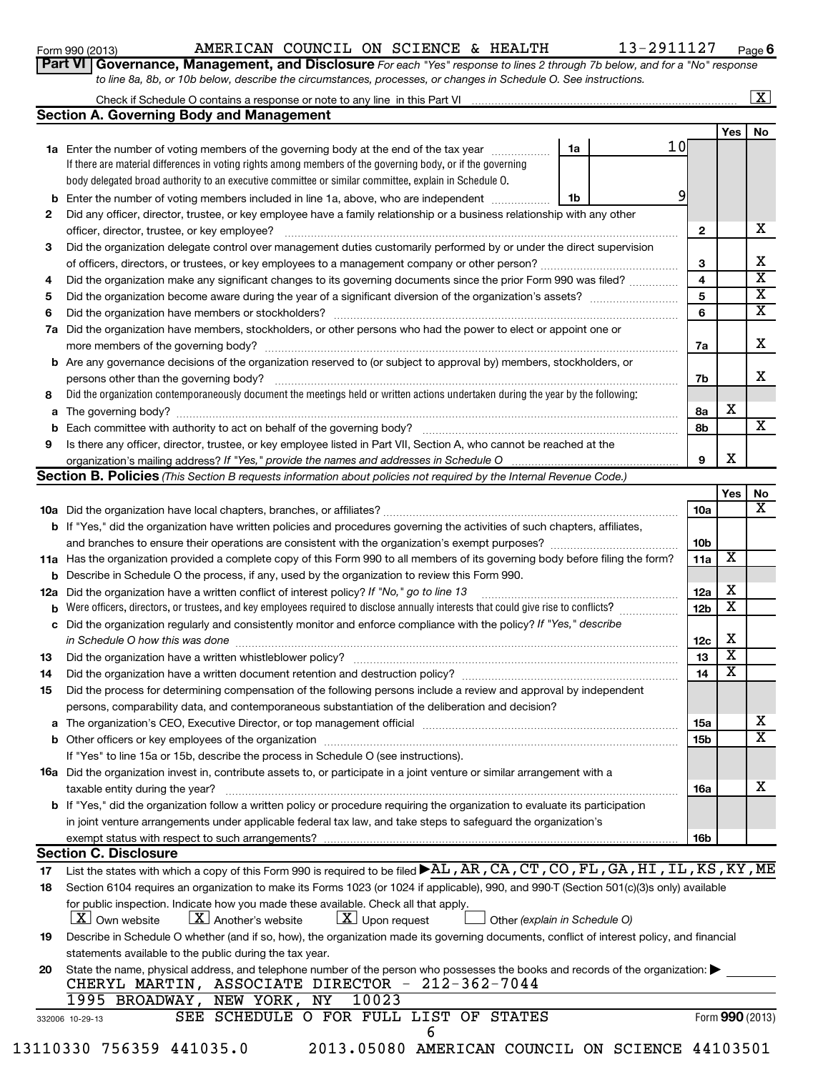# Form 990 (2013) Page AMERICAN COUNCIL ON SCIENCE & HEALTH 13-2911127

**6**

| Form 990 (2013) | AMERICAN COUNCIL ON SCIENCE & HEALTH |  |  |                                                                                                                             | 13-2911127 | Pag |
|-----------------|--------------------------------------|--|--|-----------------------------------------------------------------------------------------------------------------------------|------------|-----|
|                 |                                      |  |  | Part VI Governance, Management, and Disclosure For each "Yes" response to lines 2 through 7b below, and for a "No" response |            |     |
|                 |                                      |  |  | to line 8a, 8b, or 10b below, describe the circumstances, processes, or changes in Schedule O. See instructions.            |            |     |

# $\alpha$ k if Schedule O contains a response or note to any line  $\alpha$  this Part VI  $\lfloor x \rfloor$

|     | Check if Schedule O contains a response or note to any line in this Part Vincent Communication of the Contain                                                                                                                  |                 |                         | <u> ഹ</u>               |
|-----|--------------------------------------------------------------------------------------------------------------------------------------------------------------------------------------------------------------------------------|-----------------|-------------------------|-------------------------|
|     | Section A. Governing Body and Management                                                                                                                                                                                       |                 |                         |                         |
|     |                                                                                                                                                                                                                                |                 | Yes                     | No                      |
|     | 10<br>1a<br>1a Enter the number of voting members of the governing body at the end of the tax year <i>manumer</i>                                                                                                              |                 |                         |                         |
|     | If there are material differences in voting rights among members of the governing body, or if the governing                                                                                                                    |                 |                         |                         |
|     | body delegated broad authority to an executive committee or similar committee, explain in Schedule O.                                                                                                                          |                 |                         |                         |
| b   | 9<br>Enter the number of voting members included in line 1a, above, who are independent<br>1b                                                                                                                                  |                 |                         |                         |
| 2   | Did any officer, director, trustee, or key employee have a family relationship or a business relationship with any other                                                                                                       |                 |                         |                         |
|     | officer, director, trustee, or key employee?                                                                                                                                                                                   | $\mathbf{2}$    |                         | x                       |
| 3   | Did the organization delegate control over management duties customarily performed by or under the direct supervision                                                                                                          |                 |                         |                         |
|     | of officers, directors, or trustees, or key employees to a management company or other person?                                                                                                                                 | З               |                         | х                       |
| 4   | Did the organization make any significant changes to its governing documents since the prior Form 990 was filed?                                                                                                               | 4               |                         | $\overline{\textbf{x}}$ |
| 5   |                                                                                                                                                                                                                                | 5               |                         | $\overline{\mathbf{X}}$ |
| 6   |                                                                                                                                                                                                                                | 6               |                         | $\overline{\textbf{x}}$ |
| 7a  | Did the organization have members, stockholders, or other persons who had the power to elect or appoint one or                                                                                                                 |                 |                         |                         |
|     | more members of the governing body?                                                                                                                                                                                            | 7a              |                         | х                       |
|     | <b>b</b> Are any governance decisions of the organization reserved to (or subject to approval by) members, stockholders, or                                                                                                    |                 |                         |                         |
|     | persons other than the governing body?                                                                                                                                                                                         | 7b              |                         | x                       |
| 8   | Did the organization contemporaneously document the meetings held or written actions undertaken during the year by the following:                                                                                              |                 |                         |                         |
| a   |                                                                                                                                                                                                                                | 8a              | x                       |                         |
| b   |                                                                                                                                                                                                                                | 8b              |                         | X.                      |
| 9   | Is there any officer, director, trustee, or key employee listed in Part VII, Section A, who cannot be reached at the                                                                                                           |                 |                         |                         |
|     | organization's mailing address? If "Yes," provide the names and addresses in Schedule O                                                                                                                                        | 9               | X                       |                         |
|     | Section B. Policies (This Section B requests information about policies not required by the Internal Revenue Code.)                                                                                                            |                 |                         |                         |
|     |                                                                                                                                                                                                                                |                 | Yes                     | No                      |
|     |                                                                                                                                                                                                                                | 10a             |                         | X                       |
|     | <b>b</b> If "Yes," did the organization have written policies and procedures governing the activities of such chapters, affiliates,                                                                                            |                 |                         |                         |
|     |                                                                                                                                                                                                                                | 10 <sub>b</sub> |                         |                         |
|     | 11a Has the organization provided a complete copy of this Form 990 to all members of its governing body before filing the form?                                                                                                | 11a             | $\overline{\textbf{X}}$ |                         |
| b   | Describe in Schedule O the process, if any, used by the organization to review this Form 990.                                                                                                                                  |                 |                         |                         |
| 12a | Did the organization have a written conflict of interest policy? If "No," go to line 13                                                                                                                                        | 12a             | x                       |                         |
| b   | Were officers, directors, or trustees, and key employees required to disclose annually interests that could give rise to conflicts?                                                                                            | 12b             | $\overline{\text{x}}$   |                         |
| с   | Did the organization regularly and consistently monitor and enforce compliance with the policy? If "Yes," describe                                                                                                             |                 |                         |                         |
|     | in Schedule O how this was done manufactured and continuum contract the way to a set of the set of the set of t                                                                                                                | 12c             | х                       |                         |
| 13  | Did the organization have a written whistleblower policy?                                                                                                                                                                      | 13              | $\overline{\textbf{x}}$ |                         |
| 14  |                                                                                                                                                                                                                                | 14              | $\overline{\text{x}}$   |                         |
| 15  | Did the process for determining compensation of the following persons include a review and approval by independent                                                                                                             |                 |                         |                         |
|     | persons, comparability data, and contemporaneous substantiation of the deliberation and decision?                                                                                                                              |                 |                         |                         |
|     | a The organization's CEO, Executive Director, or top management official manufactured content content of the organization's CEO, Executive Director, or top management official manufactured content of the state of the state | <b>15a</b>      |                         | x                       |
| b   |                                                                                                                                                                                                                                | 15b             |                         | X                       |
|     | If "Yes" to line 15a or 15b, describe the process in Schedule O (see instructions).                                                                                                                                            |                 |                         |                         |
|     | <b>16a</b> Did the organization invest in, contribute assets to, or participate in a joint venture or similar arrangement with a                                                                                               |                 |                         |                         |
|     | taxable entity during the year?                                                                                                                                                                                                | 16a             |                         | х                       |

| taxable entity during the year?                                                                                                       | 16a        |  |
|---------------------------------------------------------------------------------------------------------------------------------------|------------|--|
| <b>b</b> If "Yes," did the organization follow a written policy or procedure requiring the organization to evaluate its participation |            |  |
| in joint venture arrangements under applicable federal tax law, and take steps to safeguard the organization's                        |            |  |
| exempt status with respect to such arrangements?                                                                                      | <b>16k</b> |  |
| - -                                                                                                                                   |            |  |

# **Section C. Disclosure**

| 17 | List the states with which a copy of this Form 990 is required to be filed ▶AL, AR, CA, CT, CO, FL, GA, HI, IL, KS, KY, ME                                                        |
|----|-----------------------------------------------------------------------------------------------------------------------------------------------------------------------------------|
| 18 | Section 6104 requires an organization to make its Forms 1023 (or 1024 if applicable), 990, and 990-T (Section 501(c)(3)s only) available                                          |
|    | for public inspection. Indicate how you made these available. Check all that apply.                                                                                               |
|    | $\boxed{\textbf{X}}$ Own website $\boxed{\textbf{X}}$ Another's website $\boxed{\textbf{X}}$ Upon request<br>$\Box$ Other (explain in Schedule O)                                 |
| 19 | Describe in Schedule O whether (and if so, how), the organization made its governing documents, conflict of interest policy, and financial                                        |
|    | statements available to the public during the tax year.                                                                                                                           |
| 20 | State the name, physical address, and telephone number of the person who possesses the books and records of the organization:<br>CHERYL MARTIN, ASSOCIATE DIRECTOR - 212-362-7044 |
|    | 1995 BROADWAY, NEW YORK, NY<br>10023                                                                                                                                              |
|    | SEE SCHEDULE O FOR FULL LIST<br>OF<br>STATES<br>Form 990 (2013)<br>332006 10-29-13                                                                                                |
|    |                                                                                                                                                                                   |

| 3110330 756359 441035. |
|------------------------|
|------------------------|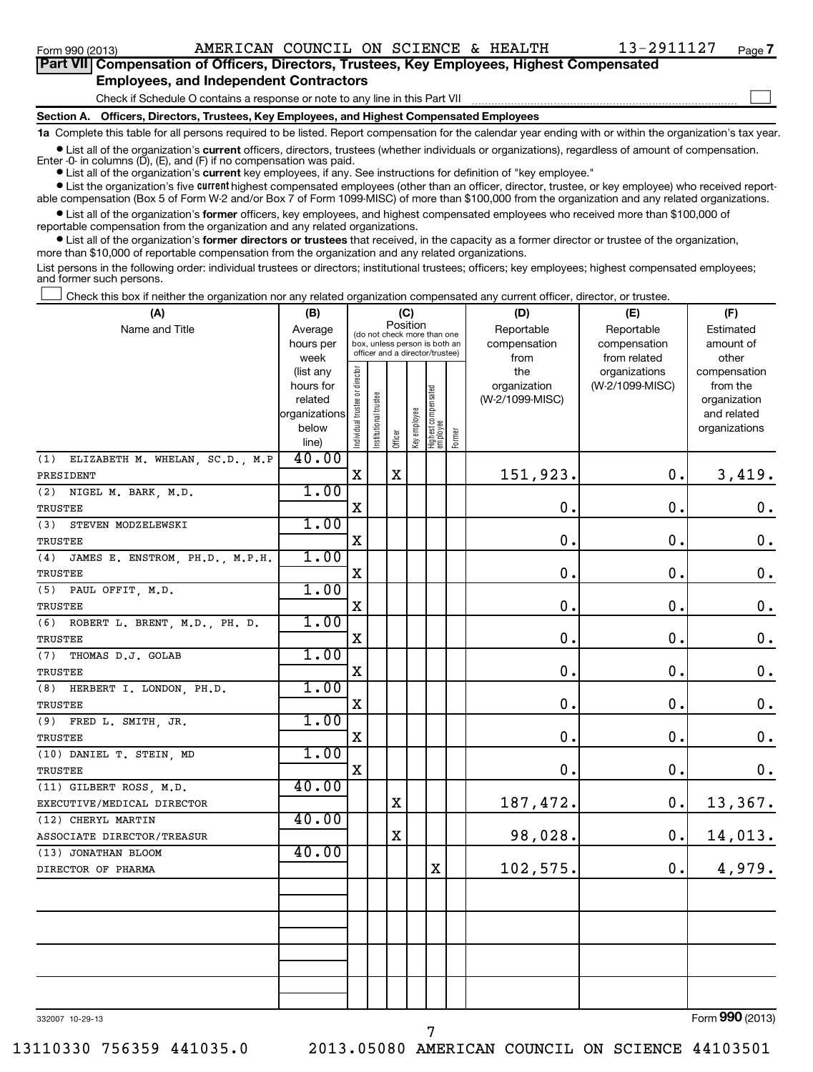# **Part VII Compensation of Officers, Directors, Trustees, Key Employees, Highest Compensated Employees, and Independent Contractors**

**Section A. Officers, Directors, Trustees, Key Employees, and Highest Compensated Employees** Check if Schedule O contains a response or note to any line in this Part VII  $\sim$ 

**1a**  Complete this table for all persons required to be listed. Report compensation for the calendar year ending with or within the organization's tax year.

**•** List all of the organization's current officers, directors, trustees (whether individuals or organizations), regardless of amount of compensation.

**•** List all of the organization's **current** key employees, if any. See instructions for definition of "key employee." Enter -0- in columns  $(D)$ ,  $(E)$ , and  $(F)$  if no compensation was paid.

**•** List the organization's five *current* highest compensated employees (other than an officer, director, trustee, or key employee) who received report-

able compensation (Box 5 of Form W-2 and/or Box 7 of Form 1099-MISC) of more than \$100,000 from the organization and any related organizations.

 $\bullet$  List all of the organization's former officers, key employees, and highest compensated employees who received more than \$100,000 of reportable compensation from the organization and any related organizations.

**•** List all of the organization's former directors or trustees that received, in the capacity as a former director or trustee of the organization, more than \$10,000 of reportable compensation from the organization and any related organizations.

List persons in the following order: individual trustees or directors; institutional trustees; officers; key employees; highest compensated employees; and former such persons.

Check this box if neither the organization nor any related organization compensated any current officer, director, or trustee.  $\pm$ 

| (A)                                              | (B)               |                                |                                                                  |             | (C)          |                                   |        | (D)             | (E)                           | (F)                   |
|--------------------------------------------------|-------------------|--------------------------------|------------------------------------------------------------------|-------------|--------------|-----------------------------------|--------|-----------------|-------------------------------|-----------------------|
| Name and Title                                   | Average           |                                | (do not check more than one                                      | Position    |              |                                   |        | Reportable      | Reportable                    | Estimated             |
|                                                  | hours per         |                                | box, unless person is both an<br>officer and a director/trustee) |             |              |                                   |        | compensation    | compensation                  | amount of             |
|                                                  | week<br>(list any |                                |                                                                  |             |              |                                   |        | from<br>the     | from related<br>organizations | other<br>compensation |
|                                                  | hours for         |                                |                                                                  |             |              |                                   |        | organization    | (W-2/1099-MISC)               | from the              |
|                                                  | related           |                                |                                                                  |             |              |                                   |        | (W-2/1099-MISC) |                               | organization          |
|                                                  | organizations     |                                |                                                                  |             |              |                                   |        |                 |                               | and related           |
|                                                  | below<br>line)    | Individual trustee or director | Institutional trustee                                            | Officer     | Key employee | Highest compensated<br>  employee | Former |                 |                               | organizations         |
| ELIZABETH M. WHELAN, SC.D., M.P<br>(1)           | 40.00             |                                |                                                                  |             |              |                                   |        |                 |                               |                       |
| PRESIDENT                                        |                   | $\mathbf X$                    |                                                                  | X           |              |                                   |        | 151,923.        | 0.                            | 3,419.                |
| (2) NIGEL M. BARK, M.D.                          | 1.00              |                                |                                                                  |             |              |                                   |        |                 |                               |                       |
| TRUSTEE                                          |                   | $\mathbf X$                    |                                                                  |             |              |                                   |        | $\mathbf 0$ .   | $\mathbf 0$ .                 | $\mathbf 0$ .         |
| STEVEN MODZELEWSKI<br>(3)                        | 1.00              |                                |                                                                  |             |              |                                   |        |                 |                               |                       |
| <b>TRUSTEE</b>                                   |                   | X                              |                                                                  |             |              |                                   |        | $\mathbf 0$ .   | $\mathbf 0$ .                 | $\mathbf 0$ .         |
| (4)<br>JAMES E. ENSTROM, PH.D., M.P.H.           | 1.00              |                                |                                                                  |             |              |                                   |        |                 |                               |                       |
| TRUSTEE                                          |                   | $\mathbf X$                    |                                                                  |             |              |                                   |        | $\mathbf 0$ .   | $\mathbf 0$ .                 | $\mathbf 0$ .         |
| (5) PAUL OFFIT, M.D.                             | 1.00              |                                |                                                                  |             |              |                                   |        |                 |                               |                       |
| TRUSTEE                                          |                   | $\mathbf X$                    |                                                                  |             |              |                                   |        | $\mathbf 0$ .   | $\mathbf 0$ .                 | $\mathbf 0$ .         |
| (6)<br>ROBERT L. BRENT, M.D., PH. D.             | 1.00              |                                |                                                                  |             |              |                                   |        |                 |                               |                       |
| TRUSTEE                                          |                   | $\mathbf X$                    |                                                                  |             |              |                                   |        | $\mathbf 0$ .   | $\mathbf 0$ .                 | 0.                    |
| THOMAS D.J. GOLAB<br>(7)                         | 1.00              |                                |                                                                  |             |              |                                   |        |                 |                               |                       |
| <b>TRUSTEE</b>                                   |                   | X                              |                                                                  |             |              |                                   |        | $\mathbf 0$ .   | $\mathbf 0$ .                 | $\mathbf 0$ .         |
| HERBERT I. LONDON, PH.D.<br>(8)                  | 1.00              |                                |                                                                  |             |              |                                   |        |                 |                               |                       |
| TRUSTEE                                          |                   | $\mathbf X$                    |                                                                  |             |              |                                   |        | $\mathbf 0$ .   | $\mathbf 0$ .                 | $\mathbf 0$ .         |
| $(9)$ FRED L. SMITH, JR.                         | 1.00              |                                |                                                                  |             |              |                                   |        |                 |                               |                       |
| TRUSTEE                                          |                   | $\mathbf X$                    |                                                                  |             |              |                                   |        | $\mathbf 0$ .   | $\mathbf 0$ .                 | $\mathbf 0$ .         |
| (10) DANIEL T. STEIN, MD                         | 1.00              |                                |                                                                  |             |              |                                   |        |                 |                               |                       |
| TRUSTEE                                          |                   | $\mathbf X$                    |                                                                  |             |              |                                   |        | $\mathbf 0$ .   | $\mathbf 0$ .                 | $\mathbf 0$ .         |
| (11) GILBERT ROSS, M.D.                          | 40.00             |                                |                                                                  | $\mathbf X$ |              |                                   |        |                 | 0.                            |                       |
| EXECUTIVE/MEDICAL DIRECTOR                       | 40.00             |                                |                                                                  |             |              |                                   |        | 187,472.        |                               | 13,367.               |
| (12) CHERYL MARTIN<br>ASSOCIATE DIRECTOR/TREASUR |                   |                                |                                                                  | X           |              |                                   |        | 98,028.         | 0.                            | 14,013.               |
| (13) JONATHAN BLOOM                              | 40.00             |                                |                                                                  |             |              |                                   |        |                 |                               |                       |
| DIRECTOR OF PHARMA                               |                   |                                |                                                                  |             |              | X                                 |        | 102,575.        | $\mathbf 0$ .                 | 4,979.                |
|                                                  |                   |                                |                                                                  |             |              |                                   |        |                 |                               |                       |
|                                                  |                   |                                |                                                                  |             |              |                                   |        |                 |                               |                       |
|                                                  |                   |                                |                                                                  |             |              |                                   |        |                 |                               |                       |
|                                                  |                   |                                |                                                                  |             |              |                                   |        |                 |                               |                       |
|                                                  |                   |                                |                                                                  |             |              |                                   |        |                 |                               |                       |
|                                                  |                   |                                |                                                                  |             |              |                                   |        |                 |                               |                       |
|                                                  |                   |                                |                                                                  |             |              |                                   |        |                 |                               |                       |

7

332007 10-29-13

Form (2013) **990**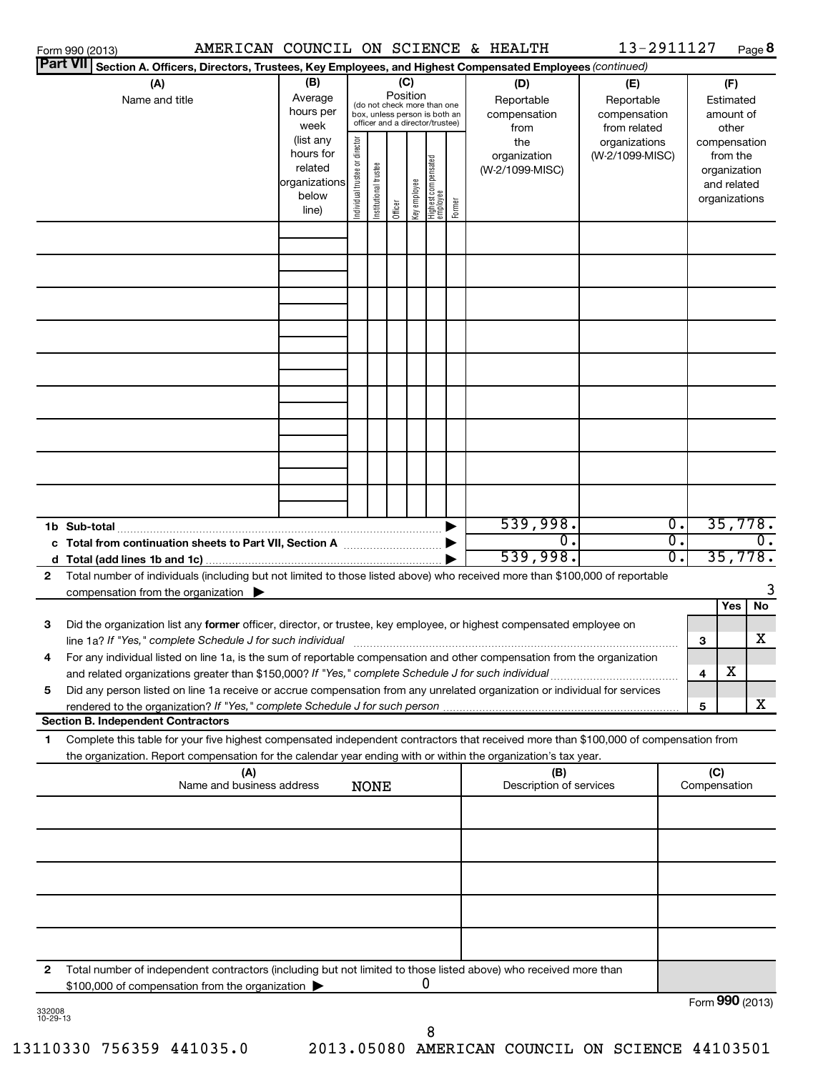|        | Form 990 (2013)                                                                                                                                                                                                                                                                                     |                                                                                                                                                                       |                                |                       |         |              |                                  |        | AMERICAN COUNCIL ON SCIENCE & HEALTH             | 13-2911127                                                         |                             |                     |                                                          | Page 8          |
|--------|-----------------------------------------------------------------------------------------------------------------------------------------------------------------------------------------------------------------------------------------------------------------------------------------------------|-----------------------------------------------------------------------------------------------------------------------------------------------------------------------|--------------------------------|-----------------------|---------|--------------|----------------------------------|--------|--------------------------------------------------|--------------------------------------------------------------------|-----------------------------|---------------------|----------------------------------------------------------|-----------------|
|        | <b>Part VII</b><br>Section A. Officers, Directors, Trustees, Key Employees, and Highest Compensated Employees (continued)                                                                                                                                                                           | (B)                                                                                                                                                                   |                                |                       | (C)     |              |                                  |        |                                                  |                                                                    |                             |                     |                                                          |                 |
|        | (A)<br>Name and title                                                                                                                                                                                                                                                                               | Position<br>Average<br>(do not check more than one<br>hours per<br>box, unless person is both an<br>officer and a director/trustee)<br>week<br>(list any<br>hours for |                                |                       |         |              |                                  |        | (D)<br>Reportable<br>compensation<br>from<br>the | (E)<br>Reportable<br>compensation<br>from related<br>organizations |                             |                     | (F)<br>Estimated<br>amount of<br>other<br>compensation   |                 |
|        |                                                                                                                                                                                                                                                                                                     | related<br>organizations<br>below<br>line)                                                                                                                            | Individual trustee or director | Institutional trustee | Officer | Key employee | Highest compensated<br> employee | Former | organization<br>(W-2/1099-MISC)                  | (W-2/1099-MISC)                                                    |                             |                     | from the<br>organization<br>and related<br>organizations |                 |
|        |                                                                                                                                                                                                                                                                                                     |                                                                                                                                                                       |                                |                       |         |              |                                  |        |                                                  |                                                                    |                             |                     |                                                          |                 |
|        |                                                                                                                                                                                                                                                                                                     |                                                                                                                                                                       |                                |                       |         |              |                                  |        |                                                  |                                                                    |                             |                     |                                                          |                 |
|        |                                                                                                                                                                                                                                                                                                     |                                                                                                                                                                       |                                |                       |         |              |                                  |        |                                                  |                                                                    |                             |                     |                                                          |                 |
|        |                                                                                                                                                                                                                                                                                                     |                                                                                                                                                                       |                                |                       |         |              |                                  |        |                                                  |                                                                    |                             |                     |                                                          |                 |
|        |                                                                                                                                                                                                                                                                                                     |                                                                                                                                                                       |                                |                       |         |              |                                  |        |                                                  |                                                                    |                             |                     |                                                          |                 |
|        | 1b Sub-total                                                                                                                                                                                                                                                                                        |                                                                                                                                                                       |                                |                       |         |              |                                  |        | 539,998.                                         |                                                                    | $\overline{\mathfrak{o}}$ . |                     |                                                          | 35,778.         |
| 2      | Total number of individuals (including but not limited to those listed above) who received more than \$100,000 of reportable                                                                                                                                                                        |                                                                                                                                                                       |                                |                       |         |              |                                  |        | Ο.<br>539,998.                                   |                                                                    | σ.<br>σ.                    |                     |                                                          | 0.<br>35,778.   |
|        | compensation from the organization $\blacktriangleright$                                                                                                                                                                                                                                            |                                                                                                                                                                       |                                |                       |         |              |                                  |        |                                                  |                                                                    |                             |                     |                                                          | 3               |
| З      | Did the organization list any former officer, director, or trustee, key employee, or highest compensated employee on<br>line 1a? If "Yes," complete Schedule J for such individual                                                                                                                  |                                                                                                                                                                       |                                |                       |         |              |                                  |        |                                                  |                                                                    |                             | З                   | Yes                                                      | No<br>x         |
| 4      | For any individual listed on line 1a, is the sum of reportable compensation and other compensation from the organization<br>and related organizations greater than \$150,000? If "Yes," complete Schedule J for such individual                                                                     |                                                                                                                                                                       |                                |                       |         |              |                                  |        |                                                  |                                                                    |                             | 4                   | х                                                        |                 |
| 5      | Did any person listed on line 1a receive or accrue compensation from any unrelated organization or individual for services<br>rendered to the organization? If "Yes," complete Schedule J for such person                                                                                           |                                                                                                                                                                       |                                |                       |         |              |                                  |        |                                                  |                                                                    |                             | 5                   |                                                          | x               |
| 1      | <b>Section B. Independent Contractors</b><br>Complete this table for your five highest compensated independent contractors that received more than \$100,000 of compensation from<br>the organization. Report compensation for the calendar year ending with or within the organization's tax year. |                                                                                                                                                                       |                                |                       |         |              |                                  |        |                                                  |                                                                    |                             |                     |                                                          |                 |
|        | (A)<br>Name and business address                                                                                                                                                                                                                                                                    |                                                                                                                                                                       |                                | <b>NONE</b>           |         |              |                                  |        | (B)<br>Description of services                   |                                                                    |                             | (C)<br>Compensation |                                                          |                 |
|        |                                                                                                                                                                                                                                                                                                     |                                                                                                                                                                       |                                |                       |         |              |                                  |        |                                                  |                                                                    |                             |                     |                                                          |                 |
|        |                                                                                                                                                                                                                                                                                                     |                                                                                                                                                                       |                                |                       |         |              |                                  |        |                                                  |                                                                    |                             |                     |                                                          |                 |
|        |                                                                                                                                                                                                                                                                                                     |                                                                                                                                                                       |                                |                       |         |              |                                  |        |                                                  |                                                                    |                             |                     |                                                          |                 |
| 2      | Total number of independent contractors (including but not limited to those listed above) who received more than                                                                                                                                                                                    |                                                                                                                                                                       |                                |                       |         |              |                                  |        |                                                  |                                                                    |                             |                     |                                                          |                 |
| 332008 | \$100,000 of compensation from the organization >                                                                                                                                                                                                                                                   |                                                                                                                                                                       |                                |                       |         |              | 0                                |        |                                                  |                                                                    |                             |                     |                                                          | Form 990 (2013) |

332008 10-29-13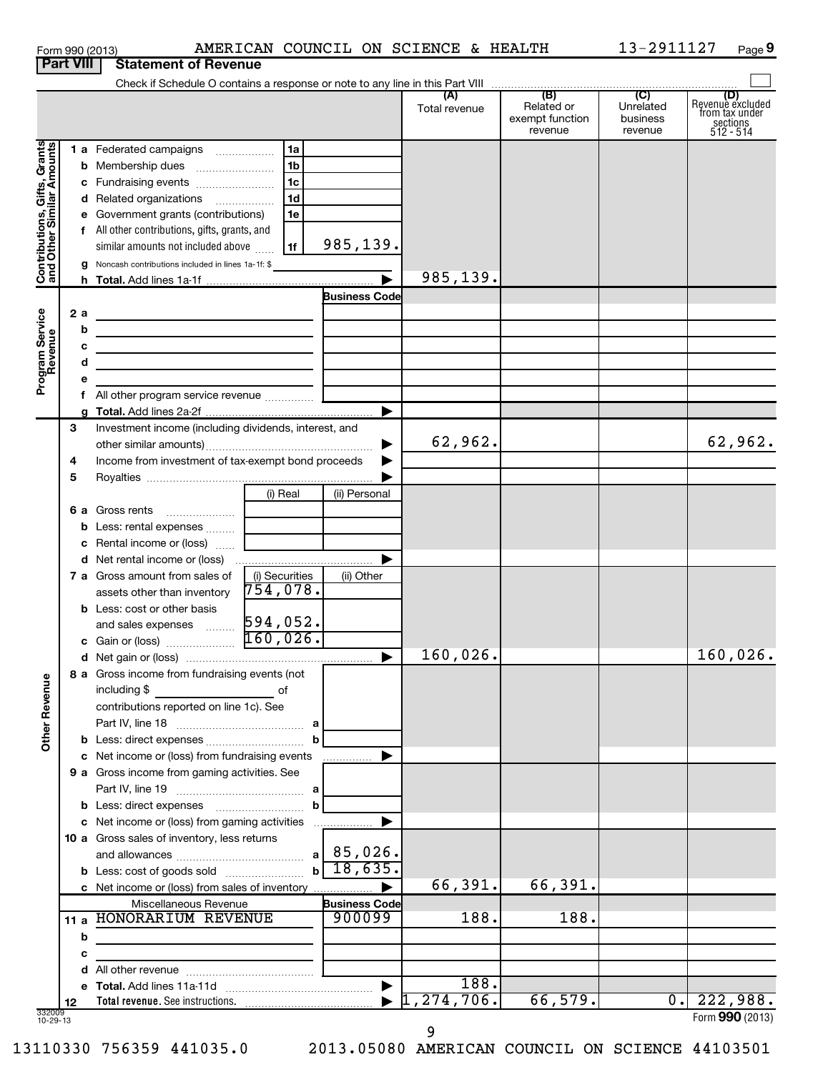|                                                           |    |    | Form 990 (2013)                                                                                                       |                |                                      | AMERICAN COUNCIL ON SCIENCE & HEALTH |                                          | 13-2911127                       | Page 9                                                             |
|-----------------------------------------------------------|----|----|-----------------------------------------------------------------------------------------------------------------------|----------------|--------------------------------------|--------------------------------------|------------------------------------------|----------------------------------|--------------------------------------------------------------------|
| <b>Part VIII</b>                                          |    |    | <b>Statement of Revenue</b>                                                                                           |                |                                      |                                      |                                          |                                  |                                                                    |
|                                                           |    |    |                                                                                                                       |                |                                      |                                      |                                          |                                  |                                                                    |
|                                                           |    |    |                                                                                                                       |                |                                      | Total revenue                        | Related or<br>exempt function<br>revenue | Unrelated<br>business<br>revenue | (D)<br>Revenue excluded<br>from tax under<br>sections<br>512 - 514 |
|                                                           |    |    | 1 a Federated campaigns                                                                                               | 1a             |                                      |                                      |                                          |                                  |                                                                    |
| Contributions, Gifts, Grants<br>and Other Similar Amounts |    |    |                                                                                                                       | 1 <sub>b</sub> |                                      |                                      |                                          |                                  |                                                                    |
|                                                           |    |    | c Fundraising events                                                                                                  | 1c             |                                      |                                      |                                          |                                  |                                                                    |
|                                                           |    |    | d Related organizations                                                                                               | 1 <sub>d</sub> |                                      |                                      |                                          |                                  |                                                                    |
|                                                           |    |    | e Government grants (contributions)                                                                                   | 1e             |                                      |                                      |                                          |                                  |                                                                    |
|                                                           |    |    | f All other contributions, gifts, grants, and                                                                         |                |                                      |                                      |                                          |                                  |                                                                    |
|                                                           |    |    | similar amounts not included above                                                                                    | 1f             | 985,139.                             |                                      |                                          |                                  |                                                                    |
|                                                           |    |    | <b>g</b> Noncash contributions included in lines 1a-1f: \$                                                            |                |                                      |                                      |                                          |                                  |                                                                    |
|                                                           |    |    |                                                                                                                       |                | $\blacktriangleright$                | 985,139.                             |                                          |                                  |                                                                    |
|                                                           |    |    |                                                                                                                       |                | <b>Business Code</b>                 |                                      |                                          |                                  |                                                                    |
|                                                           |    | 2a | <u> 1989 - Johann Barn, mars ann an t-Amhain Aonaich ann an t-Aonaich ann an t-Aonaich ann an t-Aonaich ann an t-</u> |                |                                      |                                      |                                          |                                  |                                                                    |
| Program Service<br>Revenue                                |    | b  | the contract of the contract of the contract of the contract of the contract of                                       |                |                                      |                                      |                                          |                                  |                                                                    |
|                                                           |    | с  | the control of the control of the control of the control of the control of the control of                             |                |                                      |                                      |                                          |                                  |                                                                    |
|                                                           |    | d  | the contract of the contract of the contract of the contract of the contract of                                       |                |                                      |                                      |                                          |                                  |                                                                    |
|                                                           |    |    |                                                                                                                       |                |                                      |                                      |                                          |                                  |                                                                    |
|                                                           |    |    |                                                                                                                       |                |                                      |                                      |                                          |                                  |                                                                    |
|                                                           |    |    |                                                                                                                       |                | ▶                                    |                                      |                                          |                                  |                                                                    |
|                                                           | 3  |    | Investment income (including dividends, interest, and                                                                 |                |                                      |                                      |                                          |                                  |                                                                    |
|                                                           |    |    |                                                                                                                       |                | ▶                                    | 62,962.                              |                                          |                                  | 62,962.                                                            |
|                                                           | 4  |    | Income from investment of tax-exempt bond proceeds                                                                    |                |                                      |                                      |                                          |                                  |                                                                    |
|                                                           | 5  |    |                                                                                                                       |                |                                      |                                      |                                          |                                  |                                                                    |
|                                                           |    |    |                                                                                                                       | (i) Real       | (ii) Personal                        |                                      |                                          |                                  |                                                                    |
|                                                           |    |    |                                                                                                                       |                |                                      |                                      |                                          |                                  |                                                                    |
|                                                           |    |    | <b>b</b> Less: rental expenses                                                                                        |                |                                      |                                      |                                          |                                  |                                                                    |
|                                                           |    |    | c Rental income or (loss)                                                                                             |                |                                      |                                      |                                          |                                  |                                                                    |
|                                                           |    |    |                                                                                                                       |                | ▶                                    |                                      |                                          |                                  |                                                                    |
|                                                           |    |    | 7 a Gross amount from sales of                                                                                        | (i) Securities | (ii) Other                           |                                      |                                          |                                  |                                                                    |
|                                                           |    |    | assets other than inventory                                                                                           | 754,078.       |                                      |                                      |                                          |                                  |                                                                    |
|                                                           |    |    | <b>b</b> Less: cost or other basis                                                                                    |                |                                      |                                      |                                          |                                  |                                                                    |
|                                                           |    |    | and sales expenses                                                                                                    | 594,052.       |                                      |                                      |                                          |                                  |                                                                    |
|                                                           |    |    | c Gain or (loss)                                                                                                      | 160,026.       |                                      |                                      |                                          |                                  |                                                                    |
|                                                           |    |    |                                                                                                                       |                |                                      | 160,026.                             |                                          |                                  | 160,026.                                                           |
|                                                           |    |    | 8 a Gross income from fundraising events (not                                                                         |                |                                      |                                      |                                          |                                  |                                                                    |
| <b>Other Revenue</b>                                      |    |    | including $$$<br><u>and the second second second</u> of                                                               |                |                                      |                                      |                                          |                                  |                                                                    |
|                                                           |    |    | contributions reported on line 1c). See                                                                               |                |                                      |                                      |                                          |                                  |                                                                    |
|                                                           |    |    |                                                                                                                       |                |                                      |                                      |                                          |                                  |                                                                    |
|                                                           |    |    |                                                                                                                       | b              |                                      |                                      |                                          |                                  |                                                                    |
|                                                           |    |    | c Net income or (loss) from fundraising events                                                                        |                | ▶<br>.                               |                                      |                                          |                                  |                                                                    |
|                                                           |    |    | 9 a Gross income from gaming activities. See                                                                          |                |                                      |                                      |                                          |                                  |                                                                    |
|                                                           |    |    |                                                                                                                       |                |                                      |                                      |                                          |                                  |                                                                    |
|                                                           |    |    |                                                                                                                       | b              |                                      |                                      |                                          |                                  |                                                                    |
|                                                           |    |    | c Net income or (loss) from gaming activities                                                                         |                | ▶                                    |                                      |                                          |                                  |                                                                    |
|                                                           |    |    | 10 a Gross sales of inventory, less returns                                                                           |                |                                      |                                      |                                          |                                  |                                                                    |
|                                                           |    |    |                                                                                                                       |                | a   85,026.<br>$b \overline{18,635}$ |                                      |                                          |                                  |                                                                    |
|                                                           |    |    |                                                                                                                       |                |                                      | 66,391.                              | 66,391.                                  |                                  |                                                                    |
|                                                           |    |    | c Net income or (loss) from sales of inventory                                                                        |                | ▶                                    |                                      |                                          |                                  |                                                                    |
|                                                           |    |    | Miscellaneous Revenue<br>11 a HONORARIUM REVENUE                                                                      |                | <b>Business Code</b><br>900099       | 188.                                 | 188.                                     |                                  |                                                                    |
|                                                           |    |    |                                                                                                                       |                |                                      |                                      |                                          |                                  |                                                                    |
|                                                           |    | b  |                                                                                                                       |                |                                      |                                      |                                          |                                  |                                                                    |
|                                                           |    | с  |                                                                                                                       |                |                                      |                                      |                                          |                                  |                                                                    |
|                                                           |    | d  |                                                                                                                       |                |                                      | 188.                                 |                                          |                                  |                                                                    |
|                                                           | 12 |    |                                                                                                                       |                |                                      | , 274, 706.<br>$\mathfrak{u}$        | 66,579.                                  | $\overline{0}$ .                 | 222,988.                                                           |
| 332009<br>10-29-13                                        |    |    |                                                                                                                       |                |                                      |                                      |                                          |                                  | Form 990 (2013)                                                    |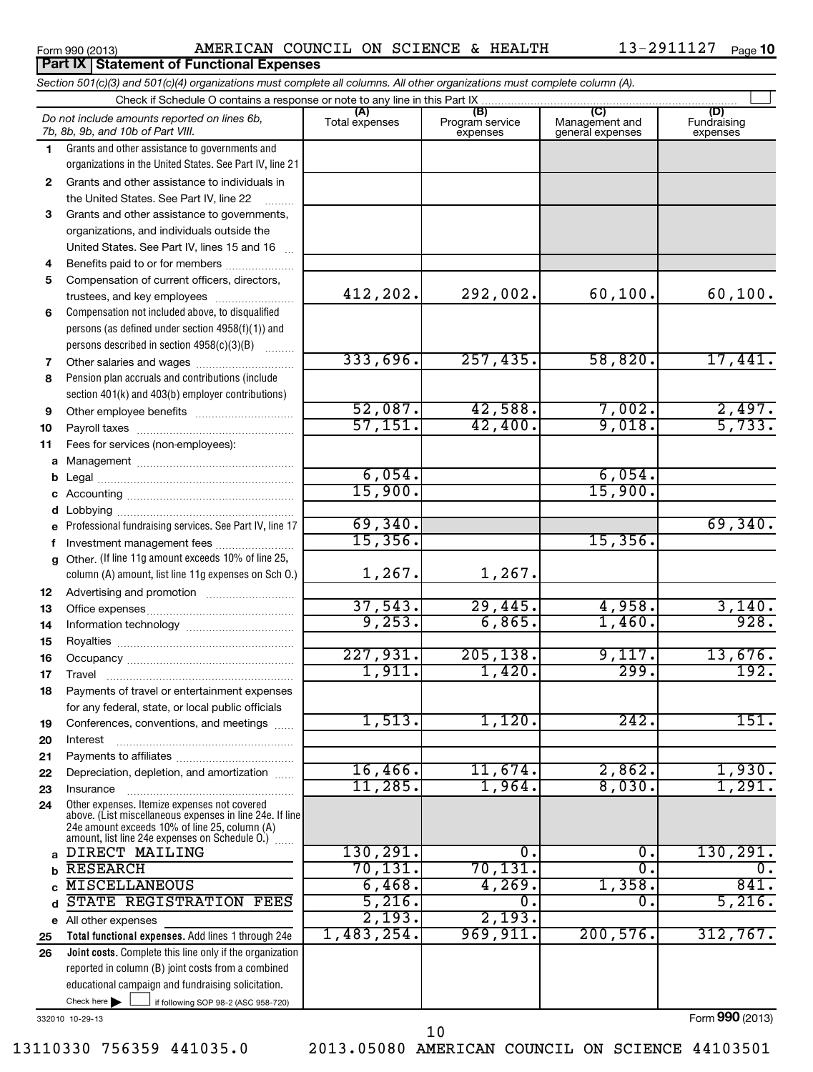**Part IX Statement of Functional Expenses**

 $\sim$ 

#### **(A) (B) (C) (D) 1 2 3 4 5 6 7 8 9 10 11 a** Management ~~~~~~~~~~~~~~~~ **b c d e f g 12 13 14 15 16 17 18 19 20 21 22 23 24** *Section 501(c)(3) and 501(c)(4) organizations must complete all columns. All other organizations must complete column (A).* Grants and other assistance to governments and organizations in the United States. See Part IV, line 21 Compensation not included above, to disqualified persons (as defined under section 4958(f)(1)) and persons described in section 4958(c)(3)(B)  $\quad \quad \ldots \ldots \ldots$ Pension plan accruals and contributions (include section 401(k) and 403(b) employer contributions) Professional fundraising services. See Part IV, line 17 Other. (If line 11g amount exceeds 10% of line 25, column (A) amount, list line 11g expenses on Sch O.) Other expenses. Itemize expenses not covered above. (List miscellaneous expenses in line 24e. If line Check if Schedule O contains a response or note to any line in this Part IX [11] CONCORDITY CONCORDITY CONCORDI<br>
CONCORDITY CONCORDITY CONCORDITY CONCORDITY CONCORDITY CONCORDITY CONCORDITY CONCORDITY CONCORDITY CONCORDITY (A) (B)<br>Total expenses Program service expenses Management and general expenses Fundraising expenses Grants and other assistance to individuals in the United States. See Part IV, line 22 Grants and other assistance to governments, organizations, and individuals outside the United States. See Part IV, lines 15 and 16 ~ Benefits paid to or for members .................... Compensation of current officers, directors, trustees, and key employees ......................... Other salaries and wages ~~~~~~~~~~ Other employee benefits ~~~~~~~~~~ Payroll taxes ~~~~~~~~~~~~~~~~ Fees for services (non-employees): Legal ~~~~~~~~~~~~~~~~~~~~ Accounting ~~~~~~~~~~~~~~~~~ Lobbying ~~~~~~~~~~~~~~~~~~ Investment management fees ........................ Advertising and promotion ~~~~~~~~~ Office expenses ~~~~~~~~~~~~~~~ Information technology ~~~~~~~~~~~ Royalties ~~~~~~~~~~~~~~~~~~ Occupancy ~~~~~~~~~~~~~~~~~ Travel ………………………………………………… Payments of travel or entertainment expenses for any federal, state, or local public officials Conferences, conventions, and meetings ...... Interest Payments to affiliates ~~~~~~~~~~~~ ~~~~~~~~~~~~~~~~~~ Depreciation, depletion, and amortization ...... Insurance ~~~~~~~~~~~~~~~~~ *Do not include amounts reported on lines 6b, 7b, 8b, 9b, and 10b of Part VIII.* 412,202. 292,002. 60,100. 60,100. 333,696. 257,435. 58,820. 17,441. 52,087. 42,588. 7,002. 2,497. 57,151. 42,400. 9,018. 5,733. 6,054. 6,054. 15,900. 15,900. 69,340. 69,340. 15,356. 15,356. 1,267. 1,267. 37,543. 29,445. 4,958. 3,140. 9,253. 6,865. 1,460. 928. 227,931. 205,138. 9,117. 13,676. 1,911. 1,420. 299. 192.  $1,513.$  1,120. 242. 151. 16,466. 11,674. 2,862. 1,930. 11,285. 1,964. 8,030. 1,291.

332010 10-29-13

Check here  $\blacktriangleright$ 

**a b c d e 25 26**

Form **990** (2013)

10

DIRECT MAILING 130, 291. 0. 0. 130, 291. RESEARCH 70,131. 70,131. 0. 0. MISCELLANEOUS 6,468. 4,269. 1,358. 841.<br>
STATE REGISTRATION FEES 5,216. 0. 0. 5.216. STATE REGISTRATION FEES 5,216. 0. 0. 5,216.

2,193. 2,193.

1,483,254. 969,911. 200,576. 312,767.

 $\Box$ 

All other expenses

If following SOP 98-2 (ASC 958-720)

**Total functional expenses.**  Add lines 1 through 24e **Joint costs.** Complete this line only if the organization

reported in column (B) joint costs from a combined educational campaign and fundraising solicitation.

24e amount exceeds 10% of line 25, column (A) amount, list line 24e expenses on Schedule O.)  $\, \ldots \,$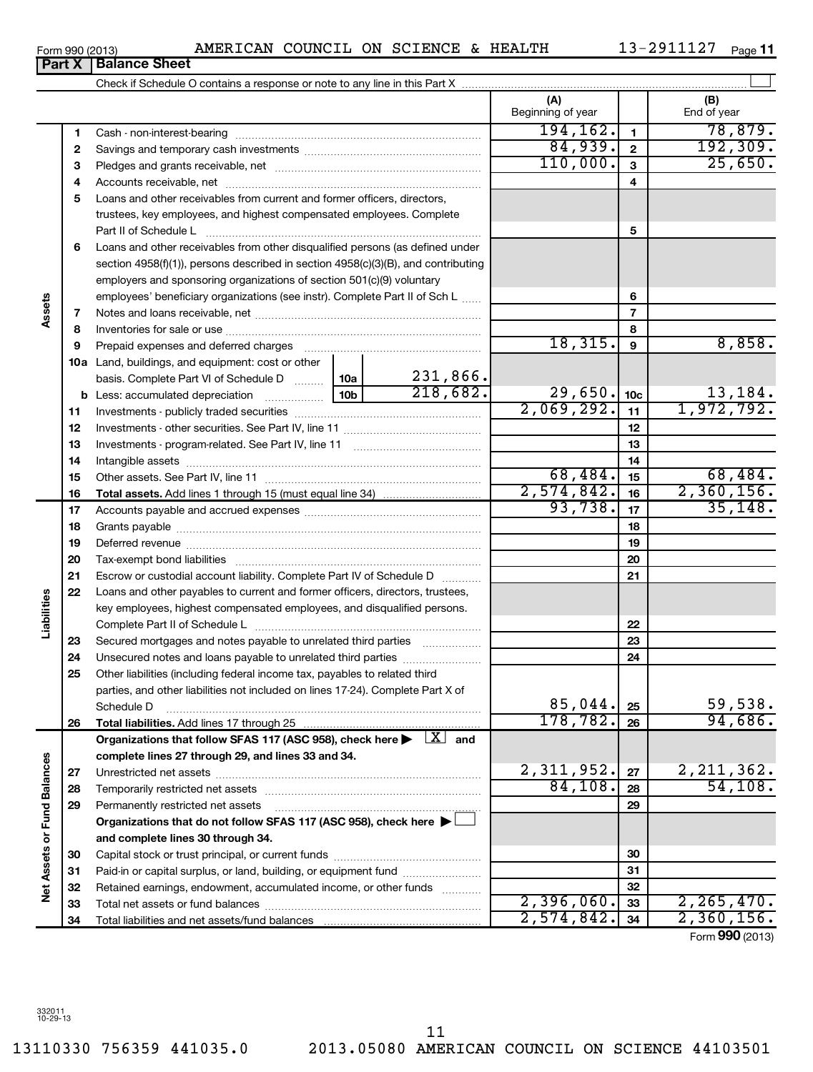13110330 756359 441035.0 2013.05080 AMERICAN COUNCIL ON SCIENCE 44103501 11

**Part X Balance Sheet**

Check if Schedule O contains a response or note to any line in this Part X

|                             |    |                                                                                                                                  |  |          | (A)<br>Beginning of year |                 | (B)<br>End of year          |
|-----------------------------|----|----------------------------------------------------------------------------------------------------------------------------------|--|----------|--------------------------|-----------------|-----------------------------|
|                             | 1  |                                                                                                                                  |  |          | 194, 162.                | $\mathbf{1}$    | 78,879.                     |
|                             | 2  |                                                                                                                                  |  |          | 84,939.                  | $\mathbf{2}$    | 192, 309.                   |
|                             | з  |                                                                                                                                  |  |          | 110,000.                 | 3               | 25,650.                     |
|                             | 4  |                                                                                                                                  |  |          |                          | 4               |                             |
|                             | 5  | Loans and other receivables from current and former officers, directors,                                                         |  |          |                          |                 |                             |
|                             |    | trustees, key employees, and highest compensated employees. Complete                                                             |  |          |                          |                 |                             |
|                             |    |                                                                                                                                  |  |          |                          | 5               |                             |
|                             | 6  | Loans and other receivables from other disqualified persons (as defined under                                                    |  |          |                          |                 |                             |
|                             |    | section 4958(f)(1)), persons described in section 4958(c)(3)(B), and contributing                                                |  |          |                          |                 |                             |
|                             |    | employers and sponsoring organizations of section 501(c)(9) voluntary                                                            |  |          |                          |                 |                             |
|                             |    | employees' beneficiary organizations (see instr). Complete Part II of Sch L                                                      |  |          |                          | 6               |                             |
| Assets                      | 7  |                                                                                                                                  |  |          |                          | $\overline{7}$  |                             |
|                             | 8  |                                                                                                                                  |  |          |                          | 8               |                             |
|                             | 9  | Prepaid expenses and deferred charges                                                                                            |  |          | 18,315.                  | 9               | 8,858.                      |
|                             |    | <b>10a</b> Land, buildings, and equipment: cost or other                                                                         |  |          |                          |                 |                             |
|                             |    | basis. Complete Part VI of Schedule D  10a                                                                                       |  | 231,866. |                          |                 |                             |
|                             |    | <b>b</b> Less: accumulated depreciation                                                                                          |  | 218,682. | 29,650.                  | 10 <sub>c</sub> | $\frac{13,184}{1,972,792.}$ |
|                             | 11 |                                                                                                                                  |  |          | 2,069,292.               | 11              |                             |
|                             | 12 |                                                                                                                                  |  |          |                          | 12              |                             |
|                             | 13 |                                                                                                                                  |  |          |                          | 13              |                             |
|                             | 14 |                                                                                                                                  |  |          |                          | 14              |                             |
|                             | 15 |                                                                                                                                  |  |          | 68,484.                  | 15              | 68,484.                     |
|                             | 16 |                                                                                                                                  |  |          | 2,574,842.               | 16              | 2,360,156.                  |
|                             | 17 |                                                                                                                                  |  |          | 93,738.                  | 17              | 35, 148.                    |
|                             | 18 |                                                                                                                                  |  |          |                          | 18              |                             |
|                             | 19 |                                                                                                                                  |  |          |                          | 19              |                             |
|                             | 20 |                                                                                                                                  |  |          |                          | 20              |                             |
|                             | 21 | Escrow or custodial account liability. Complete Part IV of Schedule D                                                            |  |          |                          | 21              |                             |
|                             | 22 | Loans and other payables to current and former officers, directors, trustees,                                                    |  |          |                          |                 |                             |
|                             |    | key employees, highest compensated employees, and disqualified persons.                                                          |  |          |                          |                 |                             |
| Liabilities                 |    |                                                                                                                                  |  |          |                          | 22              |                             |
|                             | 23 | Secured mortgages and notes payable to unrelated third parties                                                                   |  |          |                          | 23              |                             |
|                             | 24 | Unsecured notes and loans payable to unrelated third parties                                                                     |  |          |                          | 24              |                             |
|                             | 25 | Other liabilities (including federal income tax, payables to related third                                                       |  |          |                          |                 |                             |
|                             |    | parties, and other liabilities not included on lines 17-24). Complete Part X of<br>Schedule D                                    |  |          | 85,044.                  | 25              |                             |
|                             | 26 | Total liabilities. Add lines 17 through 25                                                                                       |  |          | 178, 782.                | 26              | <u>59,550.</u><br>94,686.   |
|                             |    | Organizations that follow SFAS 117 (ASC 958), check here $\blacktriangleright \begin{array}{c} \perp X \\ \perp \end{array}$ and |  |          |                          |                 |                             |
|                             |    | complete lines 27 through 29, and lines 33 and 34.                                                                               |  |          |                          |                 |                             |
|                             | 27 |                                                                                                                                  |  |          | 2,311,952.               | 27              | 2, 211, 362.                |
|                             | 28 | Temporarily restricted net assets                                                                                                |  |          | 84,108.                  | 28              | 54,108.                     |
|                             | 29 | Permanently restricted net assets                                                                                                |  |          |                          | 29              |                             |
|                             |    | Organizations that do not follow SFAS 117 (ASC 958), check here $\blacktriangleright$                                            |  |          |                          |                 |                             |
| Net Assets or Fund Balances |    | and complete lines 30 through 34.                                                                                                |  |          |                          |                 |                             |
|                             | 30 |                                                                                                                                  |  |          | 30                       |                 |                             |
|                             | 31 | Paid-in or capital surplus, or land, building, or equipment fund                                                                 |  |          |                          | 31              |                             |
|                             | 32 | Retained earnings, endowment, accumulated income, or other funds                                                                 |  |          |                          | 32              |                             |
|                             | 33 |                                                                                                                                  |  |          | 2,396,060.               | 33              | 2, 265, 470.                |
|                             | 34 |                                                                                                                                  |  |          | 2,574,842.               | 34              | 2,360,156.                  |

13-2911127 Page 11

 $\left| \begin{array}{c} \end{array} \right|$ 

Form (2013) **990**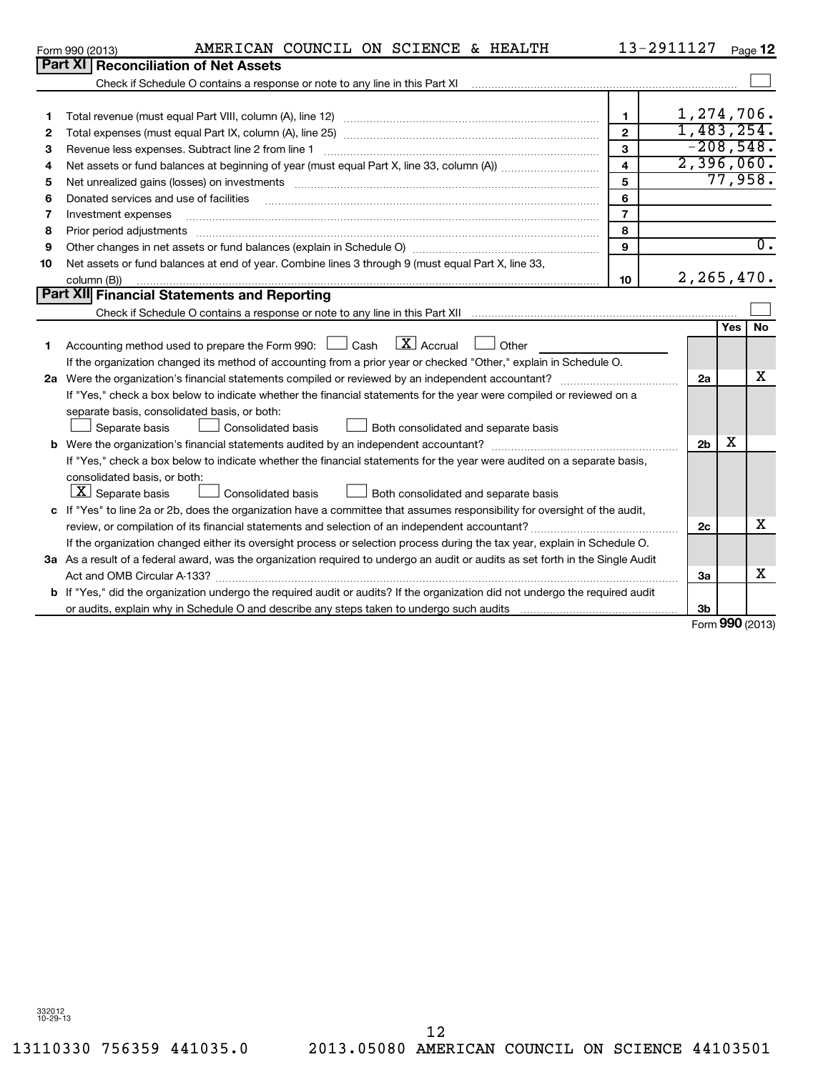|    | Part XI   Reconciliation of Net Assets                                                                                                                                                                                         |                |                |            |                  |
|----|--------------------------------------------------------------------------------------------------------------------------------------------------------------------------------------------------------------------------------|----------------|----------------|------------|------------------|
|    |                                                                                                                                                                                                                                |                |                |            |                  |
|    |                                                                                                                                                                                                                                |                |                |            |                  |
| 1  |                                                                                                                                                                                                                                | $\mathbf{1}$   |                |            | 1,274,706.       |
| 2  |                                                                                                                                                                                                                                | $\mathbf{2}$   |                |            | 1,483,254.       |
| з  |                                                                                                                                                                                                                                | 3              |                |            | $-208,548.$      |
| 4  |                                                                                                                                                                                                                                | 4              |                |            | 2,396,060.       |
| 5  | Net unrealized gains (losses) on investments [11] matter in the contract of the state of the state of the state of the state of the state of the state of the state of the state of the state of the state of the state of the | 5              |                |            | 77,958.          |
| 6  | Donated services and use of facilities                                                                                                                                                                                         | 6              |                |            |                  |
| 7  | Investment expenses                                                                                                                                                                                                            | $\overline{7}$ |                |            |                  |
| 8  | Prior period adjustments                                                                                                                                                                                                       | 8              |                |            |                  |
| 9  |                                                                                                                                                                                                                                | 9              |                |            | $\overline{0}$ . |
| 10 | Net assets or fund balances at end of year. Combine lines 3 through 9 (must equal Part X, line 33,                                                                                                                             |                |                |            |                  |
|    | column (B))                                                                                                                                                                                                                    | 10             |                |            | 2, 265, 470.     |
|    | <b>Part XII</b> Financial Statements and Reporting                                                                                                                                                                             |                |                |            |                  |
|    |                                                                                                                                                                                                                                |                |                |            |                  |
|    |                                                                                                                                                                                                                                |                |                | <b>Yes</b> | <b>No</b>        |
| 1  | $\lfloor x \rfloor$ Accrual<br>Accounting method used to prepare the Form 990: $\Box$ Cash<br>Other                                                                                                                            |                |                |            |                  |
|    | If the organization changed its method of accounting from a prior year or checked "Other," explain in Schedule O.                                                                                                              |                |                |            |                  |
|    | 2a Were the organization's financial statements compiled or reviewed by an independent accountant?                                                                                                                             |                | 2a             |            | x                |
|    | If "Yes," check a box below to indicate whether the financial statements for the year were compiled or reviewed on a                                                                                                           |                |                |            |                  |
|    | separate basis, consolidated basis, or both:                                                                                                                                                                                   |                |                |            |                  |
|    | Separate basis<br>Consolidated basis<br>Both consolidated and separate basis                                                                                                                                                   |                |                |            |                  |
|    |                                                                                                                                                                                                                                |                | 2 <sub>b</sub> | х          |                  |
|    | If "Yes," check a box below to indicate whether the financial statements for the year were audited on a separate basis,                                                                                                        |                |                |            |                  |
|    | consolidated basis, or both:                                                                                                                                                                                                   |                |                |            |                  |
|    | $ \mathbf{X} $ Separate basis<br>Consolidated basis<br>Both consolidated and separate basis                                                                                                                                    |                |                |            |                  |
| c  | If "Yes" to line 2a or 2b, does the organization have a committee that assumes responsibility for oversight of the audit,                                                                                                      |                |                |            |                  |
|    |                                                                                                                                                                                                                                |                | 2c             |            | x                |
|    | If the organization changed either its oversight process or selection process during the tax year, explain in Schedule O.                                                                                                      |                |                |            |                  |
|    | 3a As a result of a federal award, was the organization required to undergo an audit or audits as set forth in the Single Audit                                                                                                |                |                |            |                  |
|    |                                                                                                                                                                                                                                |                | За             |            | x                |
|    | b If "Yes," did the organization undergo the required audit or audits? If the organization did not undergo the required audit                                                                                                  |                |                |            |                  |
|    |                                                                                                                                                                                                                                |                | 3 <sub>b</sub> |            |                  |

Form **990** (2013)

12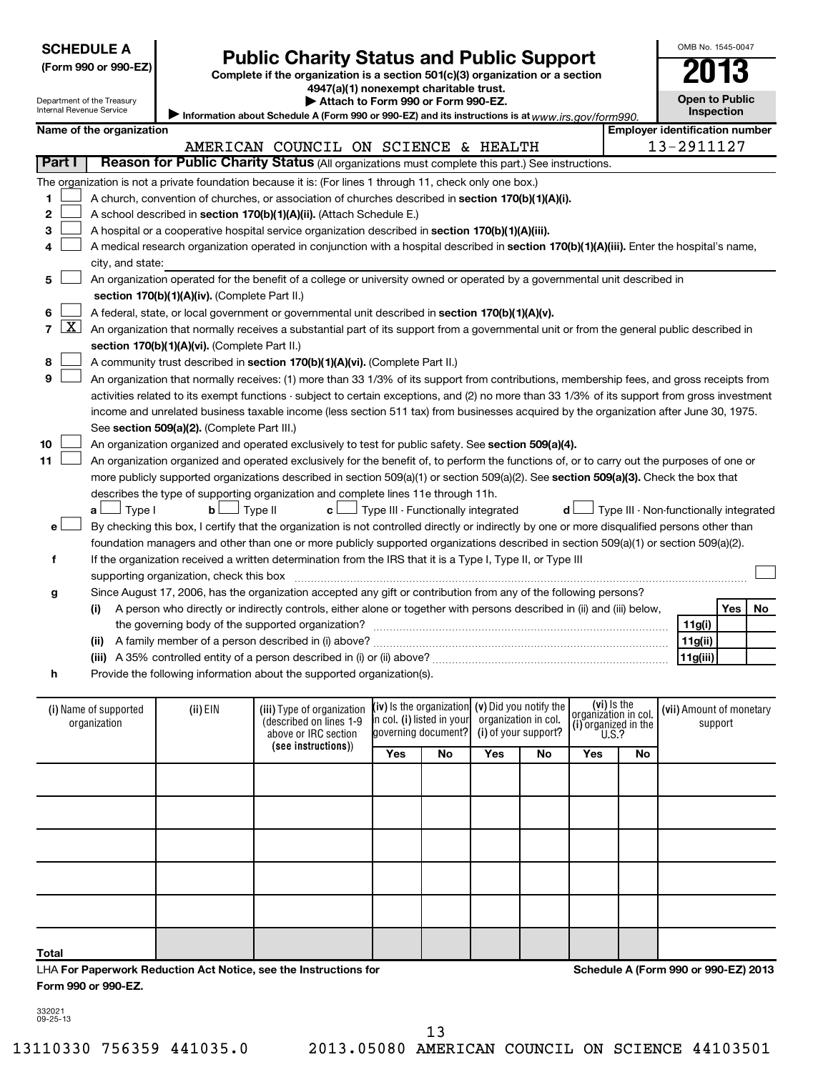| <b>SCHEDULE A</b> |  |
|-------------------|--|
|-------------------|--|

| (Form 990 or 990-EZ |  |  |  |  |
|---------------------|--|--|--|--|
|---------------------|--|--|--|--|

# **Public Charity Status and Public Support**<br> **Addition is a section 501(c)(3) organization or a section**<br>  $4947(a)(1)$  nonexempt charitable trust.

**(Form 990 or 990-EZ) Complete if the organization is a section 501(c)(3) organization or a section**

**Open to Public**

OMB No. 1545-0047

| Name of the organization |  |  |
|--------------------------|--|--|

|                          |                            |                                               |                                                                                                                                                       | 4947 (a) Trionexempt charitable trust.     |                                                                                                                                               |                      |                                        |
|--------------------------|----------------------------|-----------------------------------------------|-------------------------------------------------------------------------------------------------------------------------------------------------------|--------------------------------------------|-----------------------------------------------------------------------------------------------------------------------------------------------|----------------------|----------------------------------------|
| Internal Revenue Service | Department of the Treasury |                                               |                                                                                                                                                       | Attach to Form 990 or Form 990-EZ.         |                                                                                                                                               |                      | <b>Open to Public</b><br>Inspection    |
|                          | Name of the organization   |                                               |                                                                                                                                                       |                                            | Information about Schedule A (Form 990 or 990-EZ) and its instructions is at www.irs.gov/form990.                                             |                      | <b>Employer identification number</b>  |
|                          |                            |                                               | AMERICAN COUNCIL ON SCIENCE & HEALTH                                                                                                                  |                                            |                                                                                                                                               |                      | 13-2911127                             |
| Part I                   |                            |                                               |                                                                                                                                                       |                                            | Reason for Public Charity Status (All organizations must complete this part.) See instructions.                                               |                      |                                        |
|                          |                            |                                               |                                                                                                                                                       |                                            |                                                                                                                                               |                      |                                        |
|                          |                            |                                               | The organization is not a private foundation because it is: (For lines 1 through 11, check only one box.)                                             |                                            |                                                                                                                                               |                      |                                        |
| 1                        |                            |                                               | A church, convention of churches, or association of churches described in section 170(b)(1)(A)(i).                                                    |                                            |                                                                                                                                               |                      |                                        |
| $\mathbf{2}$             |                            |                                               | A school described in section 170(b)(1)(A)(ii). (Attach Schedule E.)                                                                                  |                                            |                                                                                                                                               |                      |                                        |
| З                        |                            |                                               | A hospital or a cooperative hospital service organization described in section 170(b)(1)(A)(iii).                                                     |                                            |                                                                                                                                               |                      |                                        |
| 4                        |                            |                                               |                                                                                                                                                       |                                            | A medical research organization operated in conjunction with a hospital described in section 170(b)(1)(A)(iii). Enter the hospital's name,    |                      |                                        |
|                          | city, and state:           |                                               |                                                                                                                                                       |                                            |                                                                                                                                               |                      |                                        |
| 5                        |                            |                                               |                                                                                                                                                       |                                            | An organization operated for the benefit of a college or university owned or operated by a governmental unit described in                     |                      |                                        |
|                          |                            | section 170(b)(1)(A)(iv). (Complete Part II.) |                                                                                                                                                       |                                            |                                                                                                                                               |                      |                                        |
| 6                        |                            |                                               | A federal, state, or local government or governmental unit described in section 170(b)(1)(A)(v).                                                      |                                            |                                                                                                                                               |                      |                                        |
| <u>X  </u><br>7 I        |                            |                                               |                                                                                                                                                       |                                            | An organization that normally receives a substantial part of its support from a governmental unit or from the general public described in     |                      |                                        |
|                          |                            | section 170(b)(1)(A)(vi). (Complete Part II.) |                                                                                                                                                       |                                            |                                                                                                                                               |                      |                                        |
| 8                        |                            |                                               | A community trust described in section 170(b)(1)(A)(vi). (Complete Part II.)                                                                          |                                            |                                                                                                                                               |                      |                                        |
| 9                        |                            |                                               |                                                                                                                                                       |                                            | An organization that normally receives: (1) more than 33 1/3% of its support from contributions, membership fees, and gross receipts from     |                      |                                        |
|                          |                            |                                               |                                                                                                                                                       |                                            | activities related to its exempt functions - subject to certain exceptions, and (2) no more than 33 1/3% of its support from gross investment |                      |                                        |
|                          |                            |                                               |                                                                                                                                                       |                                            | income and unrelated business taxable income (less section 511 tax) from businesses acquired by the organization after June 30, 1975.         |                      |                                        |
|                          |                            | See section 509(a)(2). (Complete Part III.)   |                                                                                                                                                       |                                            |                                                                                                                                               |                      |                                        |
| 10                       |                            |                                               | An organization organized and operated exclusively to test for public safety. See section 509(a)(4).                                                  |                                            |                                                                                                                                               |                      |                                        |
| 11                       |                            |                                               |                                                                                                                                                       |                                            | An organization organized and operated exclusively for the benefit of, to perform the functions of, or to carry out the purposes of one or    |                      |                                        |
|                          |                            |                                               |                                                                                                                                                       |                                            | more publicly supported organizations described in section 509(a)(1) or section 509(a)(2). See section 509(a)(3). Check the box that          |                      |                                        |
|                          |                            |                                               | describes the type of supporting organization and complete lines 11e through 11h.                                                                     |                                            |                                                                                                                                               |                      |                                        |
|                          | $a \Box$ Type I            | $\Box$ Type II<br>bL                          | c L                                                                                                                                                   | $\perp$ Type III - Functionally integrated | d l                                                                                                                                           |                      | Type III - Non-functionally integrated |
| e                        |                            |                                               |                                                                                                                                                       |                                            | By checking this box, I certify that the organization is not controlled directly or indirectly by one or more disqualified persons other than |                      |                                        |
|                          |                            |                                               |                                                                                                                                                       |                                            | foundation managers and other than one or more publicly supported organizations described in section 509(a)(1) or section 509(a)(2).          |                      |                                        |
| f                        |                            |                                               |                                                                                                                                                       |                                            | If the organization received a written determination from the IRS that it is a Type I, Type II, or Type III                                   |                      |                                        |
|                          |                            | supporting organization, check this box       |                                                                                                                                                       |                                            |                                                                                                                                               |                      |                                        |
| g                        |                            |                                               |                                                                                                                                                       |                                            | Since August 17, 2006, has the organization accepted any gift or contribution from any of the following persons?                              |                      |                                        |
|                          | (i)                        |                                               |                                                                                                                                                       |                                            | A person who directly or indirectly controls, either alone or together with persons described in (ii) and (iii) below,                        |                      | Yes<br>No                              |
|                          |                            |                                               | the governing body of the supported organization?                                                                                                     |                                            |                                                                                                                                               |                      | 11g(i)                                 |
|                          |                            |                                               |                                                                                                                                                       |                                            |                                                                                                                                               |                      | 11g(ii)                                |
|                          |                            |                                               |                                                                                                                                                       |                                            |                                                                                                                                               |                      | 11g(iii)                               |
| h                        |                            |                                               | Provide the following information about the supported organization(s).                                                                                |                                            |                                                                                                                                               |                      |                                        |
|                          |                            |                                               |                                                                                                                                                       |                                            |                                                                                                                                               |                      |                                        |
|                          | (i) Name of supported      | (ii) EIN                                      | (iii) Type of organization $\left \left(\text{i}\mathbf{v}\right)\right $ is the organization $\left \left(\text{v}\right)\right $ Did you notify the |                                            |                                                                                                                                               | ( <b>vi</b> ) Is the | (vii) Amount of monetary               |

| (i) Name of supported<br>organization | $(ii)$ EIN | (iii) Type of organization<br>(described on lines 1-9<br>above or IRC section | (iv) Is the organization $(v)$ Did you notify the<br>$\left  \right $ n col. (i) listed in your organization in col.<br>governing document? (i) of your support? |     |     | $\begin{bmatrix} 1 & 1 \\ 0 & 0 \\ 0 & 1 \end{bmatrix}$ ( <b>i</b> ) organization in col.<br>U.S.? |     | (vii) Amount of monetary<br>support |                                      |
|---------------------------------------|------------|-------------------------------------------------------------------------------|------------------------------------------------------------------------------------------------------------------------------------------------------------------|-----|-----|----------------------------------------------------------------------------------------------------|-----|-------------------------------------|--------------------------------------|
|                                       |            | (see instructions))                                                           | Yes                                                                                                                                                              | No. | Yes | No.                                                                                                | Yes | No                                  |                                      |
|                                       |            |                                                                               |                                                                                                                                                                  |     |     |                                                                                                    |     |                                     |                                      |
|                                       |            |                                                                               |                                                                                                                                                                  |     |     |                                                                                                    |     |                                     |                                      |
|                                       |            |                                                                               |                                                                                                                                                                  |     |     |                                                                                                    |     |                                     |                                      |
|                                       |            |                                                                               |                                                                                                                                                                  |     |     |                                                                                                    |     |                                     |                                      |
|                                       |            |                                                                               |                                                                                                                                                                  |     |     |                                                                                                    |     |                                     |                                      |
| Total                                 |            |                                                                               |                                                                                                                                                                  |     |     |                                                                                                    |     |                                     |                                      |
|                                       |            | $\pm$ HA For Danarwork Reduction Act Notice, see the Instructions for         |                                                                                                                                                                  |     |     |                                                                                                    |     |                                     | Schodule A (Form 990 or 990-F7) 2013 |

LHA **For Paperwork Reduction Act Notice, see the Instructions for Form 990 or 990-EZ.**

**Schedule A (Form 990 or 990-EZ) 2013**

332021 09-25-13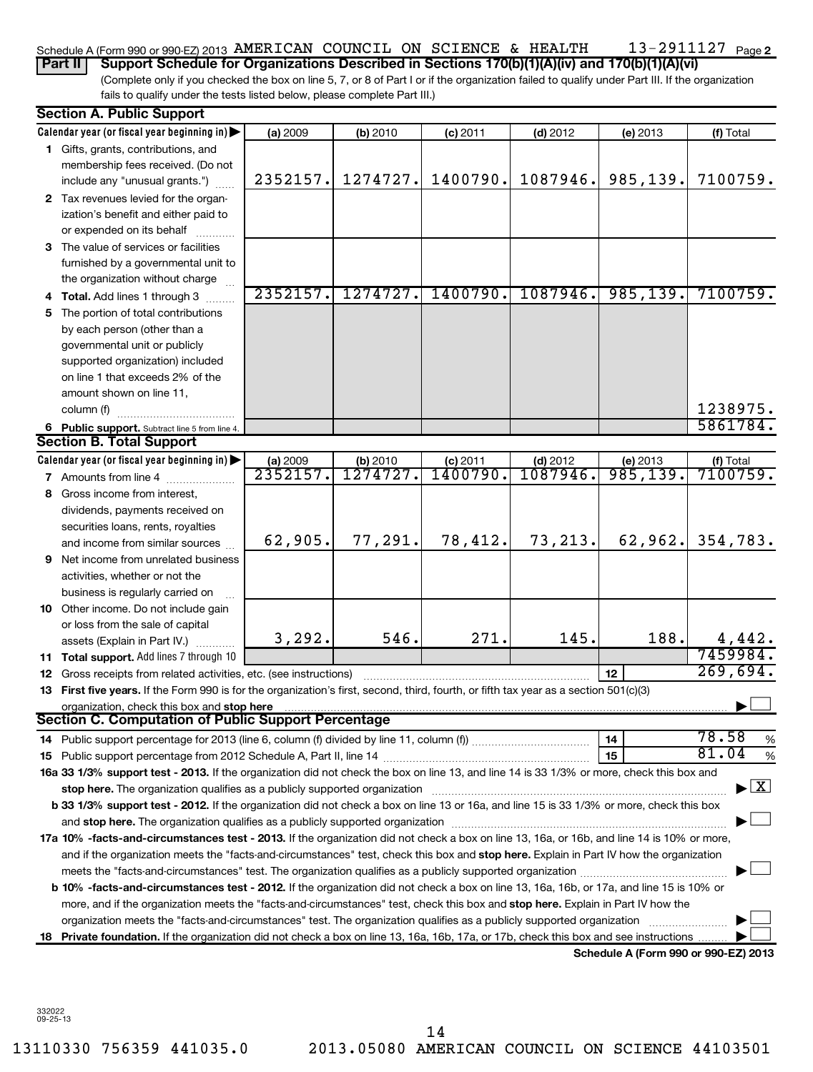#### 13-2911127 <sub>Page 2</sub> Schedule A (Form 990 or 990-EZ) 2013 AMERICAN COUNCIL ON SCIENCE & HEALTH  $13$  –  $2911127\,$  Page

(Complete only if you checked the box on line 5, 7, or 8 of Part I or if the organization failed to qualify under Part III. If the organization fails to qualify under the tests listed below, please complete Part III.) **Part II Support Schedule for Organizations Described in Sections 170(b)(1)(A)(iv) and 170(b)(1)(A)(vi)**

| Calendar year (or fiscal year beginning in)<br>(f) Total<br>(a) 2009<br>(b) 2010<br>$(c)$ 2011<br>$(d)$ 2012<br>(e) 2013<br>1 Gifts, grants, contributions, and<br>membership fees received. (Do not<br>985,139.<br>2352157.<br>1274727.<br>1400790.<br>1087946.<br>7100759.<br>include any "unusual grants.")<br>2 Tax revenues levied for the organ-<br>ization's benefit and either paid to<br>or expended on its behalf<br>3 The value of services or facilities<br>furnished by a governmental unit to<br>the organization without charge<br>985, 139.<br>2352157.<br>1274727.<br>1400790.<br>1087946.<br>7100759.<br>Total. Add lines 1 through 3<br>The portion of total contributions<br>5.<br>by each person (other than a<br>governmental unit or publicly<br>supported organization) included<br>on line 1 that exceeds 2% of the<br>amount shown on line 11,<br>1238975.<br>column (f)<br>5861784.<br>6 Public support. Subtract line 5 from line 4.<br><b>Section B. Total Support</b><br>Calendar year (or fiscal year beginning in) $\blacktriangleright$<br>(a) 2009<br>(b) 2010<br>(f) Total<br><b>(c)</b> 2011<br>$(d)$ 2012<br>(e) 2013<br>985,139.<br>2352157<br>7100759.<br>1274727<br>1400790<br>1087946<br>7 Amounts from line 4<br>Gross income from interest,<br>8<br>dividends, payments received on<br>securities loans, rents, royalties<br>73,213.<br>77,291.<br>78,412.<br>62,962.<br>62,905.<br>354,783.<br>and income from similar sources<br>Net income from unrelated business<br>9<br>activities, whether or not the<br>business is regularly carried on<br>10 Other income. Do not include gain<br>or loss from the sale of capital<br>3,292.<br>546.<br>271.<br>145.<br>188.<br>4,442.<br>assets (Explain in Part IV.)<br>7459984.<br>Total support. Add lines 7 through 10<br>11<br>269,694.<br>12<br>Gross receipts from related activities, etc. (see instructions)<br>12<br>13 First five years. If the Form 990 is for the organization's first, second, third, fourth, or fifth tax year as a section 501(c)(3)<br>organization, check this box and stop here<br><b>Section C. Computation of Public Support Percentage</b><br>78.58<br>14<br>%<br>81.04<br>15<br>%<br>16a 33 1/3% support test - 2013. If the organization did not check the box on line 13, and line 14 is 33 1/3% or more, check this box and<br>$\boxed{\text{X}}$<br>stop here. The organization qualifies as a publicly supported organization manufactured content and the content of the state of the state of the state of the state of the state of the state of the state of the state of the<br>b 33 1/3% support test - 2012. If the organization did not check a box on line 13 or 16a, and line 15 is 33 1/3% or more, check this box<br>17a 10% -facts-and-circumstances test - 2013. If the organization did not check a box on line 13, 16a, or 16b, and line 14 is 10% or more,<br>and if the organization meets the "facts-and-circumstances" test, check this box and stop here. Explain in Part IV how the organization<br>meets the "facts-and-circumstances" test. The organization qualifies as a publicly supported organization <i>manumumum</i><br>b 10% -facts-and-circumstances test - 2012. If the organization did not check a box on line 13, 16a, 16b, or 17a, and line 15 is 10% or<br>more, and if the organization meets the "facts-and-circumstances" test, check this box and stop here. Explain in Part IV how the<br>organization meets the "facts-and-circumstances" test. The organization qualifies as a publicly supported organization | <b>Section A. Public Support</b> |  |  |  |  |  |  |  |  |
|-------------------------------------------------------------------------------------------------------------------------------------------------------------------------------------------------------------------------------------------------------------------------------------------------------------------------------------------------------------------------------------------------------------------------------------------------------------------------------------------------------------------------------------------------------------------------------------------------------------------------------------------------------------------------------------------------------------------------------------------------------------------------------------------------------------------------------------------------------------------------------------------------------------------------------------------------------------------------------------------------------------------------------------------------------------------------------------------------------------------------------------------------------------------------------------------------------------------------------------------------------------------------------------------------------------------------------------------------------------------------------------------------------------------------------------------------------------------------------------------------------------------------------------------------------------------------------------------------------------------------------------------------------------------------------------------------------------------------------------------------------------------------------------------------------------------------------------------------------------------------------------------------------------------------------------------------------------------------------------------------------------------------------------------------------------------------------------------------------------------------------------------------------------------------------------------------------------------------------------------------------------------------------------------------------------------------------------------------------------------------------------------------------------------------------------------------------------------------------------------------------------------------------------------------------------------------------------------------------------------------------------------------------------------------------------------------------------------------------------------------------------------------------------------------------------------------------------------------------------------------------------------------------------------------------------------------------------------------------------------------------------------------------------------------------------------------------------------------------------------------------------------------------------------------------------------------------------------------------------------------------------------------------------------------------------------------------------------------------------------------------------------------------------------------------------------------------------------------------------------------------------------------------------------------------------------------------------------------|----------------------------------|--|--|--|--|--|--|--|--|
|                                                                                                                                                                                                                                                                                                                                                                                                                                                                                                                                                                                                                                                                                                                                                                                                                                                                                                                                                                                                                                                                                                                                                                                                                                                                                                                                                                                                                                                                                                                                                                                                                                                                                                                                                                                                                                                                                                                                                                                                                                                                                                                                                                                                                                                                                                                                                                                                                                                                                                                                                                                                                                                                                                                                                                                                                                                                                                                                                                                                                                                                                                                                                                                                                                                                                                                                                                                                                                                                                                                                                                                                 |                                  |  |  |  |  |  |  |  |  |
|                                                                                                                                                                                                                                                                                                                                                                                                                                                                                                                                                                                                                                                                                                                                                                                                                                                                                                                                                                                                                                                                                                                                                                                                                                                                                                                                                                                                                                                                                                                                                                                                                                                                                                                                                                                                                                                                                                                                                                                                                                                                                                                                                                                                                                                                                                                                                                                                                                                                                                                                                                                                                                                                                                                                                                                                                                                                                                                                                                                                                                                                                                                                                                                                                                                                                                                                                                                                                                                                                                                                                                                                 |                                  |  |  |  |  |  |  |  |  |
|                                                                                                                                                                                                                                                                                                                                                                                                                                                                                                                                                                                                                                                                                                                                                                                                                                                                                                                                                                                                                                                                                                                                                                                                                                                                                                                                                                                                                                                                                                                                                                                                                                                                                                                                                                                                                                                                                                                                                                                                                                                                                                                                                                                                                                                                                                                                                                                                                                                                                                                                                                                                                                                                                                                                                                                                                                                                                                                                                                                                                                                                                                                                                                                                                                                                                                                                                                                                                                                                                                                                                                                                 |                                  |  |  |  |  |  |  |  |  |
|                                                                                                                                                                                                                                                                                                                                                                                                                                                                                                                                                                                                                                                                                                                                                                                                                                                                                                                                                                                                                                                                                                                                                                                                                                                                                                                                                                                                                                                                                                                                                                                                                                                                                                                                                                                                                                                                                                                                                                                                                                                                                                                                                                                                                                                                                                                                                                                                                                                                                                                                                                                                                                                                                                                                                                                                                                                                                                                                                                                                                                                                                                                                                                                                                                                                                                                                                                                                                                                                                                                                                                                                 |                                  |  |  |  |  |  |  |  |  |
|                                                                                                                                                                                                                                                                                                                                                                                                                                                                                                                                                                                                                                                                                                                                                                                                                                                                                                                                                                                                                                                                                                                                                                                                                                                                                                                                                                                                                                                                                                                                                                                                                                                                                                                                                                                                                                                                                                                                                                                                                                                                                                                                                                                                                                                                                                                                                                                                                                                                                                                                                                                                                                                                                                                                                                                                                                                                                                                                                                                                                                                                                                                                                                                                                                                                                                                                                                                                                                                                                                                                                                                                 |                                  |  |  |  |  |  |  |  |  |
|                                                                                                                                                                                                                                                                                                                                                                                                                                                                                                                                                                                                                                                                                                                                                                                                                                                                                                                                                                                                                                                                                                                                                                                                                                                                                                                                                                                                                                                                                                                                                                                                                                                                                                                                                                                                                                                                                                                                                                                                                                                                                                                                                                                                                                                                                                                                                                                                                                                                                                                                                                                                                                                                                                                                                                                                                                                                                                                                                                                                                                                                                                                                                                                                                                                                                                                                                                                                                                                                                                                                                                                                 |                                  |  |  |  |  |  |  |  |  |
|                                                                                                                                                                                                                                                                                                                                                                                                                                                                                                                                                                                                                                                                                                                                                                                                                                                                                                                                                                                                                                                                                                                                                                                                                                                                                                                                                                                                                                                                                                                                                                                                                                                                                                                                                                                                                                                                                                                                                                                                                                                                                                                                                                                                                                                                                                                                                                                                                                                                                                                                                                                                                                                                                                                                                                                                                                                                                                                                                                                                                                                                                                                                                                                                                                                                                                                                                                                                                                                                                                                                                                                                 |                                  |  |  |  |  |  |  |  |  |
|                                                                                                                                                                                                                                                                                                                                                                                                                                                                                                                                                                                                                                                                                                                                                                                                                                                                                                                                                                                                                                                                                                                                                                                                                                                                                                                                                                                                                                                                                                                                                                                                                                                                                                                                                                                                                                                                                                                                                                                                                                                                                                                                                                                                                                                                                                                                                                                                                                                                                                                                                                                                                                                                                                                                                                                                                                                                                                                                                                                                                                                                                                                                                                                                                                                                                                                                                                                                                                                                                                                                                                                                 |                                  |  |  |  |  |  |  |  |  |
|                                                                                                                                                                                                                                                                                                                                                                                                                                                                                                                                                                                                                                                                                                                                                                                                                                                                                                                                                                                                                                                                                                                                                                                                                                                                                                                                                                                                                                                                                                                                                                                                                                                                                                                                                                                                                                                                                                                                                                                                                                                                                                                                                                                                                                                                                                                                                                                                                                                                                                                                                                                                                                                                                                                                                                                                                                                                                                                                                                                                                                                                                                                                                                                                                                                                                                                                                                                                                                                                                                                                                                                                 |                                  |  |  |  |  |  |  |  |  |
|                                                                                                                                                                                                                                                                                                                                                                                                                                                                                                                                                                                                                                                                                                                                                                                                                                                                                                                                                                                                                                                                                                                                                                                                                                                                                                                                                                                                                                                                                                                                                                                                                                                                                                                                                                                                                                                                                                                                                                                                                                                                                                                                                                                                                                                                                                                                                                                                                                                                                                                                                                                                                                                                                                                                                                                                                                                                                                                                                                                                                                                                                                                                                                                                                                                                                                                                                                                                                                                                                                                                                                                                 |                                  |  |  |  |  |  |  |  |  |
|                                                                                                                                                                                                                                                                                                                                                                                                                                                                                                                                                                                                                                                                                                                                                                                                                                                                                                                                                                                                                                                                                                                                                                                                                                                                                                                                                                                                                                                                                                                                                                                                                                                                                                                                                                                                                                                                                                                                                                                                                                                                                                                                                                                                                                                                                                                                                                                                                                                                                                                                                                                                                                                                                                                                                                                                                                                                                                                                                                                                                                                                                                                                                                                                                                                                                                                                                                                                                                                                                                                                                                                                 |                                  |  |  |  |  |  |  |  |  |
|                                                                                                                                                                                                                                                                                                                                                                                                                                                                                                                                                                                                                                                                                                                                                                                                                                                                                                                                                                                                                                                                                                                                                                                                                                                                                                                                                                                                                                                                                                                                                                                                                                                                                                                                                                                                                                                                                                                                                                                                                                                                                                                                                                                                                                                                                                                                                                                                                                                                                                                                                                                                                                                                                                                                                                                                                                                                                                                                                                                                                                                                                                                                                                                                                                                                                                                                                                                                                                                                                                                                                                                                 |                                  |  |  |  |  |  |  |  |  |
|                                                                                                                                                                                                                                                                                                                                                                                                                                                                                                                                                                                                                                                                                                                                                                                                                                                                                                                                                                                                                                                                                                                                                                                                                                                                                                                                                                                                                                                                                                                                                                                                                                                                                                                                                                                                                                                                                                                                                                                                                                                                                                                                                                                                                                                                                                                                                                                                                                                                                                                                                                                                                                                                                                                                                                                                                                                                                                                                                                                                                                                                                                                                                                                                                                                                                                                                                                                                                                                                                                                                                                                                 |                                  |  |  |  |  |  |  |  |  |
|                                                                                                                                                                                                                                                                                                                                                                                                                                                                                                                                                                                                                                                                                                                                                                                                                                                                                                                                                                                                                                                                                                                                                                                                                                                                                                                                                                                                                                                                                                                                                                                                                                                                                                                                                                                                                                                                                                                                                                                                                                                                                                                                                                                                                                                                                                                                                                                                                                                                                                                                                                                                                                                                                                                                                                                                                                                                                                                                                                                                                                                                                                                                                                                                                                                                                                                                                                                                                                                                                                                                                                                                 |                                  |  |  |  |  |  |  |  |  |
|                                                                                                                                                                                                                                                                                                                                                                                                                                                                                                                                                                                                                                                                                                                                                                                                                                                                                                                                                                                                                                                                                                                                                                                                                                                                                                                                                                                                                                                                                                                                                                                                                                                                                                                                                                                                                                                                                                                                                                                                                                                                                                                                                                                                                                                                                                                                                                                                                                                                                                                                                                                                                                                                                                                                                                                                                                                                                                                                                                                                                                                                                                                                                                                                                                                                                                                                                                                                                                                                                                                                                                                                 |                                  |  |  |  |  |  |  |  |  |
|                                                                                                                                                                                                                                                                                                                                                                                                                                                                                                                                                                                                                                                                                                                                                                                                                                                                                                                                                                                                                                                                                                                                                                                                                                                                                                                                                                                                                                                                                                                                                                                                                                                                                                                                                                                                                                                                                                                                                                                                                                                                                                                                                                                                                                                                                                                                                                                                                                                                                                                                                                                                                                                                                                                                                                                                                                                                                                                                                                                                                                                                                                                                                                                                                                                                                                                                                                                                                                                                                                                                                                                                 |                                  |  |  |  |  |  |  |  |  |
|                                                                                                                                                                                                                                                                                                                                                                                                                                                                                                                                                                                                                                                                                                                                                                                                                                                                                                                                                                                                                                                                                                                                                                                                                                                                                                                                                                                                                                                                                                                                                                                                                                                                                                                                                                                                                                                                                                                                                                                                                                                                                                                                                                                                                                                                                                                                                                                                                                                                                                                                                                                                                                                                                                                                                                                                                                                                                                                                                                                                                                                                                                                                                                                                                                                                                                                                                                                                                                                                                                                                                                                                 |                                  |  |  |  |  |  |  |  |  |
|                                                                                                                                                                                                                                                                                                                                                                                                                                                                                                                                                                                                                                                                                                                                                                                                                                                                                                                                                                                                                                                                                                                                                                                                                                                                                                                                                                                                                                                                                                                                                                                                                                                                                                                                                                                                                                                                                                                                                                                                                                                                                                                                                                                                                                                                                                                                                                                                                                                                                                                                                                                                                                                                                                                                                                                                                                                                                                                                                                                                                                                                                                                                                                                                                                                                                                                                                                                                                                                                                                                                                                                                 |                                  |  |  |  |  |  |  |  |  |
|                                                                                                                                                                                                                                                                                                                                                                                                                                                                                                                                                                                                                                                                                                                                                                                                                                                                                                                                                                                                                                                                                                                                                                                                                                                                                                                                                                                                                                                                                                                                                                                                                                                                                                                                                                                                                                                                                                                                                                                                                                                                                                                                                                                                                                                                                                                                                                                                                                                                                                                                                                                                                                                                                                                                                                                                                                                                                                                                                                                                                                                                                                                                                                                                                                                                                                                                                                                                                                                                                                                                                                                                 |                                  |  |  |  |  |  |  |  |  |
|                                                                                                                                                                                                                                                                                                                                                                                                                                                                                                                                                                                                                                                                                                                                                                                                                                                                                                                                                                                                                                                                                                                                                                                                                                                                                                                                                                                                                                                                                                                                                                                                                                                                                                                                                                                                                                                                                                                                                                                                                                                                                                                                                                                                                                                                                                                                                                                                                                                                                                                                                                                                                                                                                                                                                                                                                                                                                                                                                                                                                                                                                                                                                                                                                                                                                                                                                                                                                                                                                                                                                                                                 |                                  |  |  |  |  |  |  |  |  |
|                                                                                                                                                                                                                                                                                                                                                                                                                                                                                                                                                                                                                                                                                                                                                                                                                                                                                                                                                                                                                                                                                                                                                                                                                                                                                                                                                                                                                                                                                                                                                                                                                                                                                                                                                                                                                                                                                                                                                                                                                                                                                                                                                                                                                                                                                                                                                                                                                                                                                                                                                                                                                                                                                                                                                                                                                                                                                                                                                                                                                                                                                                                                                                                                                                                                                                                                                                                                                                                                                                                                                                                                 |                                  |  |  |  |  |  |  |  |  |
|                                                                                                                                                                                                                                                                                                                                                                                                                                                                                                                                                                                                                                                                                                                                                                                                                                                                                                                                                                                                                                                                                                                                                                                                                                                                                                                                                                                                                                                                                                                                                                                                                                                                                                                                                                                                                                                                                                                                                                                                                                                                                                                                                                                                                                                                                                                                                                                                                                                                                                                                                                                                                                                                                                                                                                                                                                                                                                                                                                                                                                                                                                                                                                                                                                                                                                                                                                                                                                                                                                                                                                                                 |                                  |  |  |  |  |  |  |  |  |
|                                                                                                                                                                                                                                                                                                                                                                                                                                                                                                                                                                                                                                                                                                                                                                                                                                                                                                                                                                                                                                                                                                                                                                                                                                                                                                                                                                                                                                                                                                                                                                                                                                                                                                                                                                                                                                                                                                                                                                                                                                                                                                                                                                                                                                                                                                                                                                                                                                                                                                                                                                                                                                                                                                                                                                                                                                                                                                                                                                                                                                                                                                                                                                                                                                                                                                                                                                                                                                                                                                                                                                                                 |                                  |  |  |  |  |  |  |  |  |
|                                                                                                                                                                                                                                                                                                                                                                                                                                                                                                                                                                                                                                                                                                                                                                                                                                                                                                                                                                                                                                                                                                                                                                                                                                                                                                                                                                                                                                                                                                                                                                                                                                                                                                                                                                                                                                                                                                                                                                                                                                                                                                                                                                                                                                                                                                                                                                                                                                                                                                                                                                                                                                                                                                                                                                                                                                                                                                                                                                                                                                                                                                                                                                                                                                                                                                                                                                                                                                                                                                                                                                                                 |                                  |  |  |  |  |  |  |  |  |
|                                                                                                                                                                                                                                                                                                                                                                                                                                                                                                                                                                                                                                                                                                                                                                                                                                                                                                                                                                                                                                                                                                                                                                                                                                                                                                                                                                                                                                                                                                                                                                                                                                                                                                                                                                                                                                                                                                                                                                                                                                                                                                                                                                                                                                                                                                                                                                                                                                                                                                                                                                                                                                                                                                                                                                                                                                                                                                                                                                                                                                                                                                                                                                                                                                                                                                                                                                                                                                                                                                                                                                                                 |                                  |  |  |  |  |  |  |  |  |
|                                                                                                                                                                                                                                                                                                                                                                                                                                                                                                                                                                                                                                                                                                                                                                                                                                                                                                                                                                                                                                                                                                                                                                                                                                                                                                                                                                                                                                                                                                                                                                                                                                                                                                                                                                                                                                                                                                                                                                                                                                                                                                                                                                                                                                                                                                                                                                                                                                                                                                                                                                                                                                                                                                                                                                                                                                                                                                                                                                                                                                                                                                                                                                                                                                                                                                                                                                                                                                                                                                                                                                                                 |                                  |  |  |  |  |  |  |  |  |
|                                                                                                                                                                                                                                                                                                                                                                                                                                                                                                                                                                                                                                                                                                                                                                                                                                                                                                                                                                                                                                                                                                                                                                                                                                                                                                                                                                                                                                                                                                                                                                                                                                                                                                                                                                                                                                                                                                                                                                                                                                                                                                                                                                                                                                                                                                                                                                                                                                                                                                                                                                                                                                                                                                                                                                                                                                                                                                                                                                                                                                                                                                                                                                                                                                                                                                                                                                                                                                                                                                                                                                                                 |                                  |  |  |  |  |  |  |  |  |
|                                                                                                                                                                                                                                                                                                                                                                                                                                                                                                                                                                                                                                                                                                                                                                                                                                                                                                                                                                                                                                                                                                                                                                                                                                                                                                                                                                                                                                                                                                                                                                                                                                                                                                                                                                                                                                                                                                                                                                                                                                                                                                                                                                                                                                                                                                                                                                                                                                                                                                                                                                                                                                                                                                                                                                                                                                                                                                                                                                                                                                                                                                                                                                                                                                                                                                                                                                                                                                                                                                                                                                                                 |                                  |  |  |  |  |  |  |  |  |
|                                                                                                                                                                                                                                                                                                                                                                                                                                                                                                                                                                                                                                                                                                                                                                                                                                                                                                                                                                                                                                                                                                                                                                                                                                                                                                                                                                                                                                                                                                                                                                                                                                                                                                                                                                                                                                                                                                                                                                                                                                                                                                                                                                                                                                                                                                                                                                                                                                                                                                                                                                                                                                                                                                                                                                                                                                                                                                                                                                                                                                                                                                                                                                                                                                                                                                                                                                                                                                                                                                                                                                                                 |                                  |  |  |  |  |  |  |  |  |
|                                                                                                                                                                                                                                                                                                                                                                                                                                                                                                                                                                                                                                                                                                                                                                                                                                                                                                                                                                                                                                                                                                                                                                                                                                                                                                                                                                                                                                                                                                                                                                                                                                                                                                                                                                                                                                                                                                                                                                                                                                                                                                                                                                                                                                                                                                                                                                                                                                                                                                                                                                                                                                                                                                                                                                                                                                                                                                                                                                                                                                                                                                                                                                                                                                                                                                                                                                                                                                                                                                                                                                                                 |                                  |  |  |  |  |  |  |  |  |
|                                                                                                                                                                                                                                                                                                                                                                                                                                                                                                                                                                                                                                                                                                                                                                                                                                                                                                                                                                                                                                                                                                                                                                                                                                                                                                                                                                                                                                                                                                                                                                                                                                                                                                                                                                                                                                                                                                                                                                                                                                                                                                                                                                                                                                                                                                                                                                                                                                                                                                                                                                                                                                                                                                                                                                                                                                                                                                                                                                                                                                                                                                                                                                                                                                                                                                                                                                                                                                                                                                                                                                                                 |                                  |  |  |  |  |  |  |  |  |
|                                                                                                                                                                                                                                                                                                                                                                                                                                                                                                                                                                                                                                                                                                                                                                                                                                                                                                                                                                                                                                                                                                                                                                                                                                                                                                                                                                                                                                                                                                                                                                                                                                                                                                                                                                                                                                                                                                                                                                                                                                                                                                                                                                                                                                                                                                                                                                                                                                                                                                                                                                                                                                                                                                                                                                                                                                                                                                                                                                                                                                                                                                                                                                                                                                                                                                                                                                                                                                                                                                                                                                                                 |                                  |  |  |  |  |  |  |  |  |
|                                                                                                                                                                                                                                                                                                                                                                                                                                                                                                                                                                                                                                                                                                                                                                                                                                                                                                                                                                                                                                                                                                                                                                                                                                                                                                                                                                                                                                                                                                                                                                                                                                                                                                                                                                                                                                                                                                                                                                                                                                                                                                                                                                                                                                                                                                                                                                                                                                                                                                                                                                                                                                                                                                                                                                                                                                                                                                                                                                                                                                                                                                                                                                                                                                                                                                                                                                                                                                                                                                                                                                                                 |                                  |  |  |  |  |  |  |  |  |
|                                                                                                                                                                                                                                                                                                                                                                                                                                                                                                                                                                                                                                                                                                                                                                                                                                                                                                                                                                                                                                                                                                                                                                                                                                                                                                                                                                                                                                                                                                                                                                                                                                                                                                                                                                                                                                                                                                                                                                                                                                                                                                                                                                                                                                                                                                                                                                                                                                                                                                                                                                                                                                                                                                                                                                                                                                                                                                                                                                                                                                                                                                                                                                                                                                                                                                                                                                                                                                                                                                                                                                                                 |                                  |  |  |  |  |  |  |  |  |
|                                                                                                                                                                                                                                                                                                                                                                                                                                                                                                                                                                                                                                                                                                                                                                                                                                                                                                                                                                                                                                                                                                                                                                                                                                                                                                                                                                                                                                                                                                                                                                                                                                                                                                                                                                                                                                                                                                                                                                                                                                                                                                                                                                                                                                                                                                                                                                                                                                                                                                                                                                                                                                                                                                                                                                                                                                                                                                                                                                                                                                                                                                                                                                                                                                                                                                                                                                                                                                                                                                                                                                                                 |                                  |  |  |  |  |  |  |  |  |
|                                                                                                                                                                                                                                                                                                                                                                                                                                                                                                                                                                                                                                                                                                                                                                                                                                                                                                                                                                                                                                                                                                                                                                                                                                                                                                                                                                                                                                                                                                                                                                                                                                                                                                                                                                                                                                                                                                                                                                                                                                                                                                                                                                                                                                                                                                                                                                                                                                                                                                                                                                                                                                                                                                                                                                                                                                                                                                                                                                                                                                                                                                                                                                                                                                                                                                                                                                                                                                                                                                                                                                                                 |                                  |  |  |  |  |  |  |  |  |
|                                                                                                                                                                                                                                                                                                                                                                                                                                                                                                                                                                                                                                                                                                                                                                                                                                                                                                                                                                                                                                                                                                                                                                                                                                                                                                                                                                                                                                                                                                                                                                                                                                                                                                                                                                                                                                                                                                                                                                                                                                                                                                                                                                                                                                                                                                                                                                                                                                                                                                                                                                                                                                                                                                                                                                                                                                                                                                                                                                                                                                                                                                                                                                                                                                                                                                                                                                                                                                                                                                                                                                                                 |                                  |  |  |  |  |  |  |  |  |
|                                                                                                                                                                                                                                                                                                                                                                                                                                                                                                                                                                                                                                                                                                                                                                                                                                                                                                                                                                                                                                                                                                                                                                                                                                                                                                                                                                                                                                                                                                                                                                                                                                                                                                                                                                                                                                                                                                                                                                                                                                                                                                                                                                                                                                                                                                                                                                                                                                                                                                                                                                                                                                                                                                                                                                                                                                                                                                                                                                                                                                                                                                                                                                                                                                                                                                                                                                                                                                                                                                                                                                                                 |                                  |  |  |  |  |  |  |  |  |
|                                                                                                                                                                                                                                                                                                                                                                                                                                                                                                                                                                                                                                                                                                                                                                                                                                                                                                                                                                                                                                                                                                                                                                                                                                                                                                                                                                                                                                                                                                                                                                                                                                                                                                                                                                                                                                                                                                                                                                                                                                                                                                                                                                                                                                                                                                                                                                                                                                                                                                                                                                                                                                                                                                                                                                                                                                                                                                                                                                                                                                                                                                                                                                                                                                                                                                                                                                                                                                                                                                                                                                                                 |                                  |  |  |  |  |  |  |  |  |
|                                                                                                                                                                                                                                                                                                                                                                                                                                                                                                                                                                                                                                                                                                                                                                                                                                                                                                                                                                                                                                                                                                                                                                                                                                                                                                                                                                                                                                                                                                                                                                                                                                                                                                                                                                                                                                                                                                                                                                                                                                                                                                                                                                                                                                                                                                                                                                                                                                                                                                                                                                                                                                                                                                                                                                                                                                                                                                                                                                                                                                                                                                                                                                                                                                                                                                                                                                                                                                                                                                                                                                                                 |                                  |  |  |  |  |  |  |  |  |
|                                                                                                                                                                                                                                                                                                                                                                                                                                                                                                                                                                                                                                                                                                                                                                                                                                                                                                                                                                                                                                                                                                                                                                                                                                                                                                                                                                                                                                                                                                                                                                                                                                                                                                                                                                                                                                                                                                                                                                                                                                                                                                                                                                                                                                                                                                                                                                                                                                                                                                                                                                                                                                                                                                                                                                                                                                                                                                                                                                                                                                                                                                                                                                                                                                                                                                                                                                                                                                                                                                                                                                                                 |                                  |  |  |  |  |  |  |  |  |
|                                                                                                                                                                                                                                                                                                                                                                                                                                                                                                                                                                                                                                                                                                                                                                                                                                                                                                                                                                                                                                                                                                                                                                                                                                                                                                                                                                                                                                                                                                                                                                                                                                                                                                                                                                                                                                                                                                                                                                                                                                                                                                                                                                                                                                                                                                                                                                                                                                                                                                                                                                                                                                                                                                                                                                                                                                                                                                                                                                                                                                                                                                                                                                                                                                                                                                                                                                                                                                                                                                                                                                                                 |                                  |  |  |  |  |  |  |  |  |
|                                                                                                                                                                                                                                                                                                                                                                                                                                                                                                                                                                                                                                                                                                                                                                                                                                                                                                                                                                                                                                                                                                                                                                                                                                                                                                                                                                                                                                                                                                                                                                                                                                                                                                                                                                                                                                                                                                                                                                                                                                                                                                                                                                                                                                                                                                                                                                                                                                                                                                                                                                                                                                                                                                                                                                                                                                                                                                                                                                                                                                                                                                                                                                                                                                                                                                                                                                                                                                                                                                                                                                                                 |                                  |  |  |  |  |  |  |  |  |
|                                                                                                                                                                                                                                                                                                                                                                                                                                                                                                                                                                                                                                                                                                                                                                                                                                                                                                                                                                                                                                                                                                                                                                                                                                                                                                                                                                                                                                                                                                                                                                                                                                                                                                                                                                                                                                                                                                                                                                                                                                                                                                                                                                                                                                                                                                                                                                                                                                                                                                                                                                                                                                                                                                                                                                                                                                                                                                                                                                                                                                                                                                                                                                                                                                                                                                                                                                                                                                                                                                                                                                                                 |                                  |  |  |  |  |  |  |  |  |
|                                                                                                                                                                                                                                                                                                                                                                                                                                                                                                                                                                                                                                                                                                                                                                                                                                                                                                                                                                                                                                                                                                                                                                                                                                                                                                                                                                                                                                                                                                                                                                                                                                                                                                                                                                                                                                                                                                                                                                                                                                                                                                                                                                                                                                                                                                                                                                                                                                                                                                                                                                                                                                                                                                                                                                                                                                                                                                                                                                                                                                                                                                                                                                                                                                                                                                                                                                                                                                                                                                                                                                                                 |                                  |  |  |  |  |  |  |  |  |
|                                                                                                                                                                                                                                                                                                                                                                                                                                                                                                                                                                                                                                                                                                                                                                                                                                                                                                                                                                                                                                                                                                                                                                                                                                                                                                                                                                                                                                                                                                                                                                                                                                                                                                                                                                                                                                                                                                                                                                                                                                                                                                                                                                                                                                                                                                                                                                                                                                                                                                                                                                                                                                                                                                                                                                                                                                                                                                                                                                                                                                                                                                                                                                                                                                                                                                                                                                                                                                                                                                                                                                                                 |                                  |  |  |  |  |  |  |  |  |
|                                                                                                                                                                                                                                                                                                                                                                                                                                                                                                                                                                                                                                                                                                                                                                                                                                                                                                                                                                                                                                                                                                                                                                                                                                                                                                                                                                                                                                                                                                                                                                                                                                                                                                                                                                                                                                                                                                                                                                                                                                                                                                                                                                                                                                                                                                                                                                                                                                                                                                                                                                                                                                                                                                                                                                                                                                                                                                                                                                                                                                                                                                                                                                                                                                                                                                                                                                                                                                                                                                                                                                                                 |                                  |  |  |  |  |  |  |  |  |
|                                                                                                                                                                                                                                                                                                                                                                                                                                                                                                                                                                                                                                                                                                                                                                                                                                                                                                                                                                                                                                                                                                                                                                                                                                                                                                                                                                                                                                                                                                                                                                                                                                                                                                                                                                                                                                                                                                                                                                                                                                                                                                                                                                                                                                                                                                                                                                                                                                                                                                                                                                                                                                                                                                                                                                                                                                                                                                                                                                                                                                                                                                                                                                                                                                                                                                                                                                                                                                                                                                                                                                                                 |                                  |  |  |  |  |  |  |  |  |
| 18 Private foundation. If the organization did not check a box on line 13, 16a, 16b, 17a, or 17b, check this box and see instructions                                                                                                                                                                                                                                                                                                                                                                                                                                                                                                                                                                                                                                                                                                                                                                                                                                                                                                                                                                                                                                                                                                                                                                                                                                                                                                                                                                                                                                                                                                                                                                                                                                                                                                                                                                                                                                                                                                                                                                                                                                                                                                                                                                                                                                                                                                                                                                                                                                                                                                                                                                                                                                                                                                                                                                                                                                                                                                                                                                                                                                                                                                                                                                                                                                                                                                                                                                                                                                                           |                                  |  |  |  |  |  |  |  |  |
| Schedule A (Form 990 or 990-EZ) 2013                                                                                                                                                                                                                                                                                                                                                                                                                                                                                                                                                                                                                                                                                                                                                                                                                                                                                                                                                                                                                                                                                                                                                                                                                                                                                                                                                                                                                                                                                                                                                                                                                                                                                                                                                                                                                                                                                                                                                                                                                                                                                                                                                                                                                                                                                                                                                                                                                                                                                                                                                                                                                                                                                                                                                                                                                                                                                                                                                                                                                                                                                                                                                                                                                                                                                                                                                                                                                                                                                                                                                            |                                  |  |  |  |  |  |  |  |  |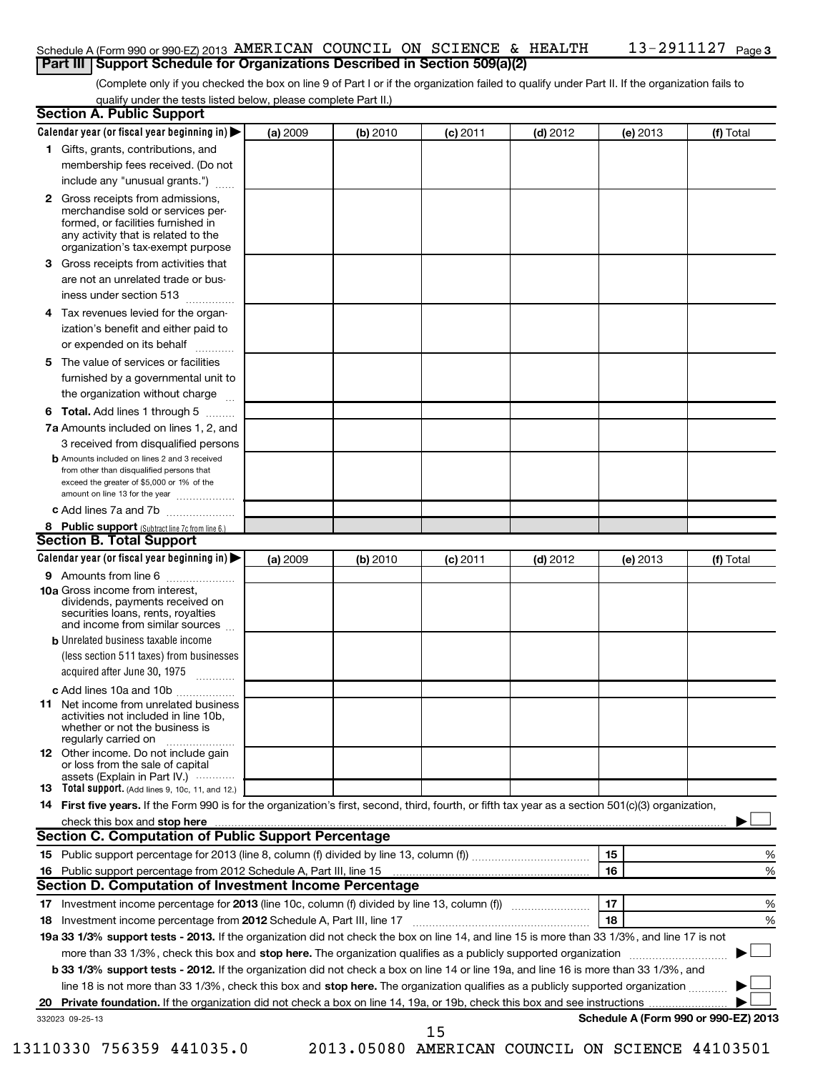### 13-2911127 <sub>Page 3</sub> Schedule A (Form 990 or 990-EZ) 2013 AMERICAN COUNCIL ON SCIENCE & HEALTH  $13$  –  $2911127\,$  Page **Part III Support Schedule for Organizations Described in Section 509(a)(2)**

(Complete only if you checked the box on line 9 of Part I or if the organization failed to qualify under Part II. If the organization fails to qualify under the tests listed below, please complete Part II.)

| <b>Section A. Public Support</b>                                                                                                                                                                                         |          |          |            |            |          |                                      |
|--------------------------------------------------------------------------------------------------------------------------------------------------------------------------------------------------------------------------|----------|----------|------------|------------|----------|--------------------------------------|
| Calendar year (or fiscal year beginning in)                                                                                                                                                                              | (a) 2009 | (b) 2010 | (c) 2011   | $(d)$ 2012 | (e) 2013 | (f) Total                            |
| 1 Gifts, grants, contributions, and                                                                                                                                                                                      |          |          |            |            |          |                                      |
| membership fees received. (Do not                                                                                                                                                                                        |          |          |            |            |          |                                      |
| include any "unusual grants.")                                                                                                                                                                                           |          |          |            |            |          |                                      |
| <b>2</b> Gross receipts from admissions,<br>merchandise sold or services per-<br>formed, or facilities furnished in<br>any activity that is related to the<br>organization's tax-exempt purpose                          |          |          |            |            |          |                                      |
| <b>3</b> Gross receipts from activities that<br>are not an unrelated trade or bus-                                                                                                                                       |          |          |            |            |          |                                      |
| iness under section 513                                                                                                                                                                                                  |          |          |            |            |          |                                      |
| 4 Tax revenues levied for the organ-<br>ization's benefit and either paid to<br>or expended on its behalf                                                                                                                |          |          |            |            |          |                                      |
| 5 The value of services or facilities                                                                                                                                                                                    |          |          |            |            |          |                                      |
| furnished by a governmental unit to<br>the organization without charge                                                                                                                                                   |          |          |            |            |          |                                      |
| 6 Total. Add lines 1 through 5                                                                                                                                                                                           |          |          |            |            |          |                                      |
| 7a Amounts included on lines 1, 2, and                                                                                                                                                                                   |          |          |            |            |          |                                      |
| 3 received from disqualified persons<br><b>b</b> Amounts included on lines 2 and 3 received<br>from other than disqualified persons that<br>exceed the greater of \$5,000 or 1% of the<br>amount on line 13 for the year |          |          |            |            |          |                                      |
| c Add lines 7a and 7b                                                                                                                                                                                                    |          |          |            |            |          |                                      |
| 8 Public support (Subtract line 7c from line 6.)                                                                                                                                                                         |          |          |            |            |          |                                      |
| <b>Section B. Total Support</b>                                                                                                                                                                                          |          |          |            |            |          |                                      |
| Calendar year (or fiscal year beginning in)                                                                                                                                                                              | (a) 2009 | (b) 2010 | $(c)$ 2011 | $(d)$ 2012 | (e) 2013 | (f) Total                            |
| <b>9</b> Amounts from line 6                                                                                                                                                                                             |          |          |            |            |          |                                      |
| <b>10a</b> Gross income from interest,<br>dividends, payments received on<br>securities loans, rents, royalties<br>and income from similar sources                                                                       |          |          |            |            |          |                                      |
| <b>b</b> Unrelated business taxable income                                                                                                                                                                               |          |          |            |            |          |                                      |
| (less section 511 taxes) from businesses<br>acquired after June 30, 1975                                                                                                                                                 |          |          |            |            |          |                                      |
| c Add lines 10a and 10b                                                                                                                                                                                                  |          |          |            |            |          |                                      |
| 11 Net income from unrelated business<br>activities not included in line 10b.<br>whether or not the business is<br>regularly carried on                                                                                  |          |          |            |            |          |                                      |
| 12 Other income. Do not include gain<br>or loss from the sale of capital<br>assets (Explain in Part IV.) $\cdots$                                                                                                        |          |          |            |            |          |                                      |
| 13 Total support. (Add lines 9, 10c, 11, and 12.)                                                                                                                                                                        |          |          |            |            |          |                                      |
| 14 First five years. If the Form 990 is for the organization's first, second, third, fourth, or fifth tax year as a section 501(c)(3) organization,                                                                      |          |          |            |            |          |                                      |
|                                                                                                                                                                                                                          |          |          |            |            |          |                                      |
| <b>Section C. Computation of Public Support Percentage</b>                                                                                                                                                               |          |          |            |            |          |                                      |
|                                                                                                                                                                                                                          |          |          |            |            | 15       | %                                    |
| 16 Public support percentage from 2012 Schedule A, Part III, line 15                                                                                                                                                     |          |          |            |            | 16       | %                                    |
| Section D. Computation of Investment Income Percentage                                                                                                                                                                   |          |          |            |            |          |                                      |
| 18 Investment income percentage from 2012 Schedule A, Part III, line 17                                                                                                                                                  |          |          |            |            | 17<br>18 | %<br>%                               |
| 19a 33 1/3% support tests - 2013. If the organization did not check the box on line 14, and line 15 is more than 33 1/3%, and line 17 is not                                                                             |          |          |            |            |          |                                      |
| more than 33 1/3%, check this box and stop here. The organization qualifies as a publicly supported organization                                                                                                         |          |          |            |            |          |                                      |
| b 33 1/3% support tests - 2012. If the organization did not check a box on line 14 or line 19a, and line 16 is more than 33 1/3%, and                                                                                    |          |          |            |            |          |                                      |
| line 18 is not more than 33 1/3%, check this box and stop here. The organization qualifies as a publicly supported organization                                                                                          |          |          |            |            |          |                                      |
|                                                                                                                                                                                                                          |          |          |            |            |          |                                      |
| 332023 09-25-13                                                                                                                                                                                                          |          |          |            |            |          | Schedule A (Form 990 or 990-EZ) 2013 |
|                                                                                                                                                                                                                          |          |          | 15         |            |          |                                      |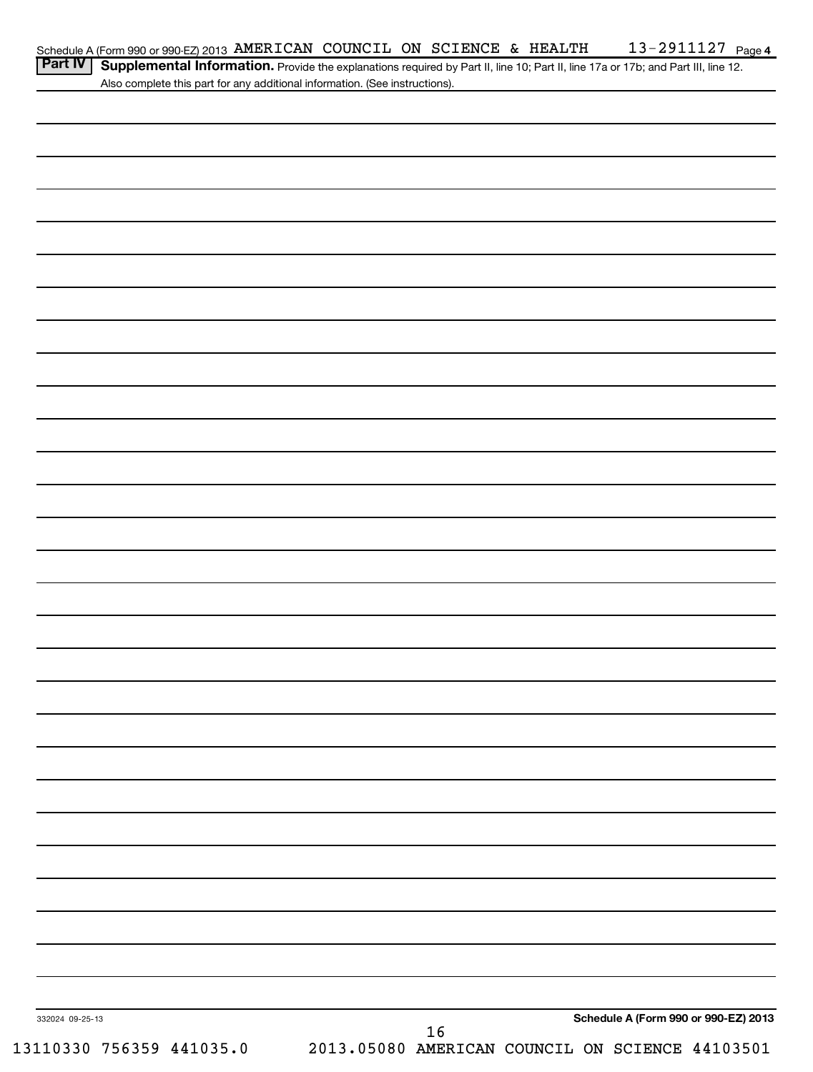| Part IV   Supplemental Information. Provide the explanations required by Part II, line 10; Part II, line 17a or 17b; and Part III, line 12. |  |
|---------------------------------------------------------------------------------------------------------------------------------------------|--|
| Also complete this part for any additional information. (See instructions).                                                                 |  |

| 332024 09-25-13<br>13110330 756359 441035.0 | 2013.05080 AMERICAN COUNCIL ON SCIENCE 44103501 | 16 |  | Schedule A (Form 990 or 990-EZ) 2013 |
|---------------------------------------------|-------------------------------------------------|----|--|--------------------------------------|
|                                             |                                                 |    |  |                                      |
|                                             |                                                 |    |  |                                      |
|                                             |                                                 |    |  |                                      |
|                                             |                                                 |    |  |                                      |
|                                             |                                                 |    |  |                                      |
|                                             |                                                 |    |  |                                      |
|                                             |                                                 |    |  |                                      |
|                                             |                                                 |    |  |                                      |
|                                             |                                                 |    |  |                                      |
|                                             |                                                 |    |  |                                      |
|                                             |                                                 |    |  |                                      |
|                                             |                                                 |    |  |                                      |
|                                             |                                                 |    |  |                                      |
|                                             |                                                 |    |  |                                      |
|                                             |                                                 |    |  |                                      |
|                                             |                                                 |    |  |                                      |
|                                             |                                                 |    |  |                                      |
|                                             |                                                 |    |  |                                      |
|                                             |                                                 |    |  |                                      |
|                                             |                                                 |    |  |                                      |
|                                             |                                                 |    |  |                                      |
|                                             |                                                 |    |  |                                      |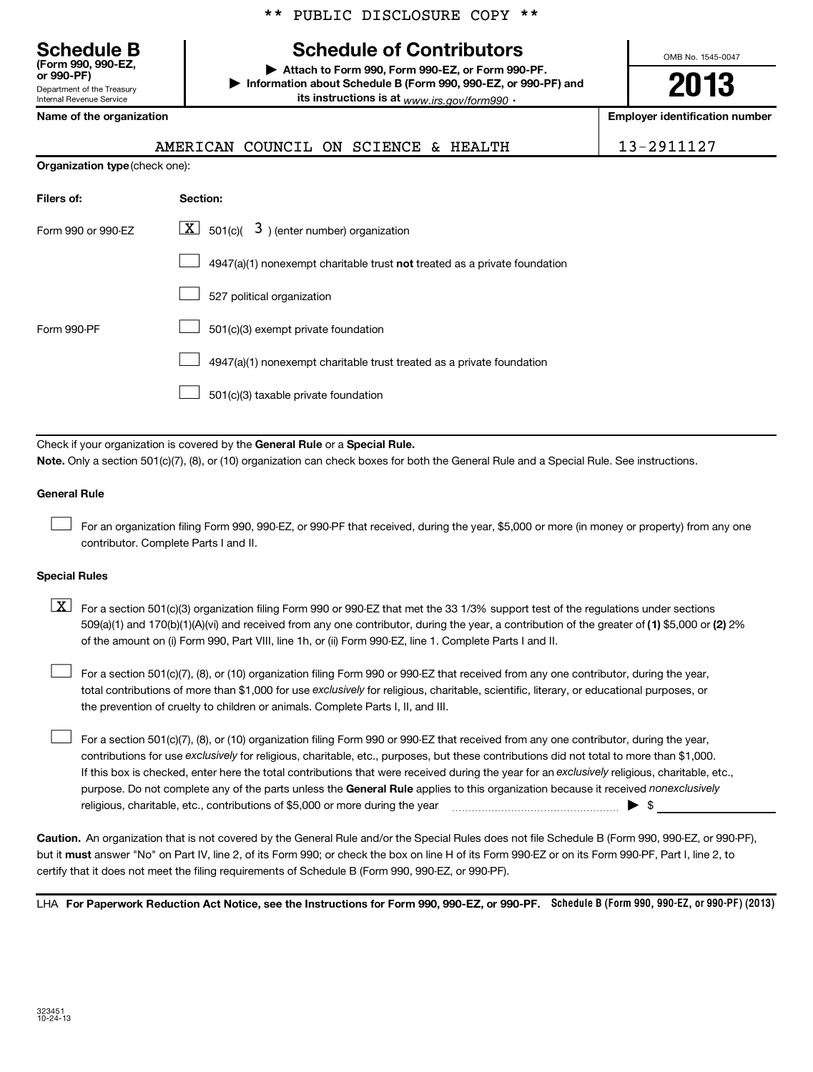# **Schedule B Schedule of Contributors**

**or 990-PF) | Attach to Form 990, Form 990-EZ, or Form 990-PF. | Information about Schedule B (Form 990, 990-EZ, or 990-PF) and its instructions is at** <sub>www.irs.gov/form990  $\cdot$ </sub>

**2013**

OMB No. 1545-0047

| Name of the organization |  |
|--------------------------|--|
|--------------------------|--|

Department of the Treasury Internal Revenue Service

**(Form 990, 990-EZ,**

| Name of the organization       | <b>Employer identification number</b>                                       |            |
|--------------------------------|-----------------------------------------------------------------------------|------------|
|                                | AMERICAN COUNCIL ON SCIENCE & HEALTH                                        | 13-2911127 |
| Organization type (check one): |                                                                             |            |
| Filers of:                     | Section:                                                                    |            |
| Form 990 or 990-EZ             | $\lfloor \underline{X} \rfloor$ 501(c)( 3) (enter number) organization      |            |
|                                | $4947(a)(1)$ nonexempt charitable trust not treated as a private foundation |            |
|                                | 527 political organization                                                  |            |
| Form 990-PF                    | 501(c)(3) exempt private foundation                                         |            |
|                                | 4947(a)(1) nonexempt charitable trust treated as a private foundation       |            |
|                                | 501(c)(3) taxable private foundation                                        |            |
|                                |                                                                             |            |

Check if your organization is covered by the General Rule or a Special Rule. **Note.**  Only a section 501(c)(7), (8), or (10) organization can check boxes for both the General Rule and a Special Rule. See instructions.

# **General Rule**

For an organization filing Form 990, 990-EZ, or 990-PF that received, during the year, \$5,000 or more (in money or property) from any one contributor. Complete Parts I and II.  $\left\vert \cdot\right\vert$ 

# **Special Rules**

509(a)(1) and 170(b)(1)(A)(vi) and received from any one contributor, during the year, a contribution of the greater of (1**)** \$5,000 or (**2**) 2%  $\boxed{\textbf{X}}$  For a section 501(c)(3) organization filing Form 990 or 990-EZ that met the 33 1/3% support test of the regulations under sections of the amount on (i) Form 990, Part VIII, line 1h, or (ii) Form 990-EZ, line 1. Complete Parts I and II.

total contributions of more than \$1,000 for use exclusively for religious, charitable, scientific, literary, or educational purposes, or For a section 501(c)(7), (8), or (10) organization filing Form 990 or 990-EZ that received from any one contributor, during the year, the prevention of cruelty to children or animals. Complete Parts I, II, and III.  $\left\vert \cdot\right\vert$ 

purpose. Do not complete any of the parts unless the General Rule applies to this organization because it received nonexclusively contributions for use exclusively for religious, charitable, etc., purposes, but these contributions did not total to more than \$1,000. If this box is checked, enter here the total contributions that were received during the year for an exclusively religious, charitable, etc., For a section 501(c)(7), (8), or (10) organization filing Form 990 or 990-EZ that received from any one contributor, during the year, religious, charitable, etc., contributions of \$5,000 or more during the year  $\Box$   $\Box$   $\Box$   $\Box$  $\left\vert \cdot\right\vert$ 

**Caution.** An organization that is not covered by the General Rule and/or the Special Rules does not file Schedule B (Form 990, 990-EZ, or 990-PF),  **must** but it answer "No" on Part IV, line 2, of its Form 990; or check the box on line H of its Form 990-EZ or on its Form 990-PF, Part I, line 2, to certify that it does not meet the filing requirements of Schedule B (Form 990, 990-EZ, or 990-PF).

LHA For Paperwork Reduction Act Notice, see the Instructions for Form 990, 990-EZ, or 990-PF. Schedule B (Form 990, 990-EZ, or 990-PF) (2013)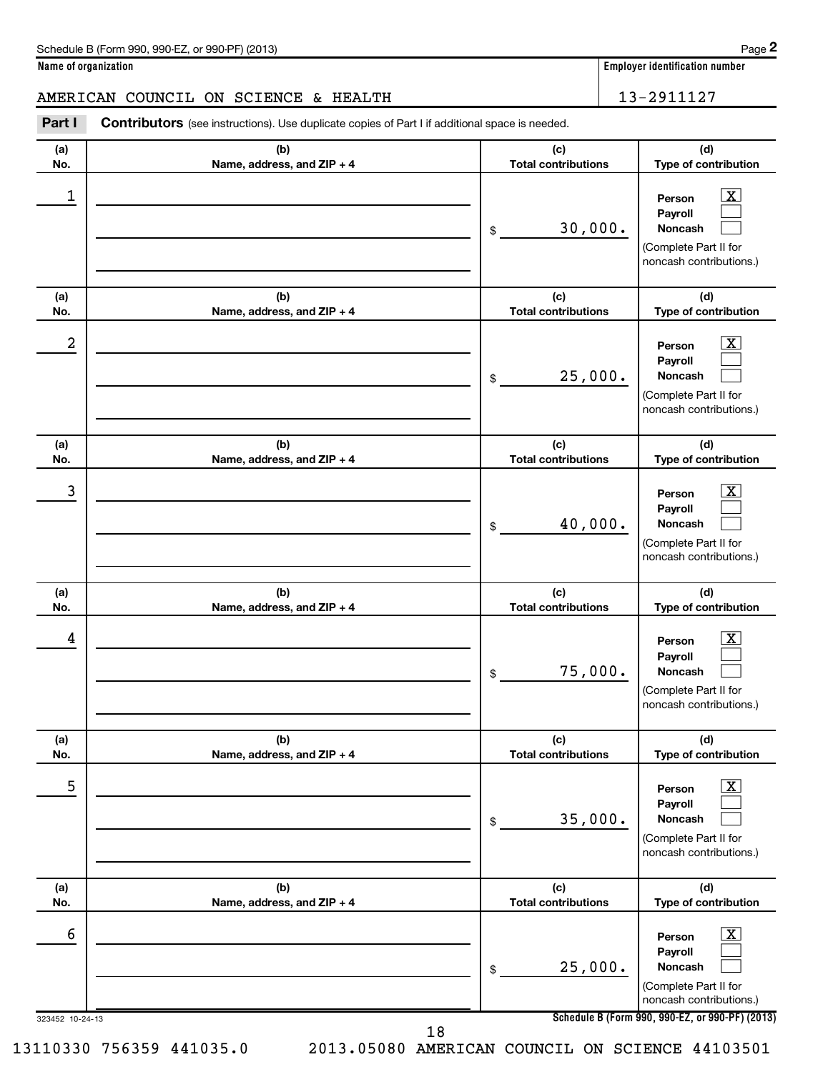**2**

**Name of organization Employer identification number**

AMERICAN COUNCIL ON SCIENCE & HEALTH 13-2911127

| Part I               | <b>Contributors</b> (see instructions). Use duplicate copies of Part I if additional space is needed. |                                   |                                                                                                                                                                |
|----------------------|-------------------------------------------------------------------------------------------------------|-----------------------------------|----------------------------------------------------------------------------------------------------------------------------------------------------------------|
| (a)<br>No.           | (b)<br>Name, address, and ZIP + 4                                                                     | (c)<br><b>Total contributions</b> | (d)<br>Type of contribution                                                                                                                                    |
| 1                    |                                                                                                       | 30,000.<br>\$                     | $\overline{\mathbf{X}}$<br>Person<br>Payroll<br>Noncash<br>(Complete Part II for<br>noncash contributions.)                                                    |
| (a)<br>No.           | (b)<br>Name, address, and ZIP + 4                                                                     | (c)<br><b>Total contributions</b> | (d)<br>Type of contribution                                                                                                                                    |
| 2                    |                                                                                                       | 25,000.<br>\$                     | $\overline{\mathbf{X}}$<br>Person<br>Payroll<br>Noncash<br>(Complete Part II for<br>noncash contributions.)                                                    |
| (a)<br>No.           | (b)<br>Name, address, and ZIP + 4                                                                     | (c)<br><b>Total contributions</b> | (d)<br>Type of contribution                                                                                                                                    |
| 3                    |                                                                                                       | 40,000.<br>\$                     | $\overline{\mathbf{X}}$<br>Person<br>Payroll<br>Noncash<br>(Complete Part II for<br>noncash contributions.)                                                    |
| (a)<br>No.           | (b)<br>Name, address, and ZIP + 4                                                                     | (c)<br><b>Total contributions</b> | (d)<br>Type of contribution                                                                                                                                    |
| 4                    |                                                                                                       | 75,000.<br>\$                     | $\overline{\mathbf{X}}$<br>Person<br>Payroll<br>Noncash<br>(Complete Part II for<br>noncash contributions.)                                                    |
| (a)<br>No.           | (b)<br>Name, address, and ZIP + 4                                                                     | (c)<br><b>Total contributions</b> | (d)<br>Type of contribution                                                                                                                                    |
| 5                    |                                                                                                       | 35,000.<br>\$                     | $\boxed{\textbf{X}}$<br>Person<br>Payroll<br>Noncash<br>(Complete Part II for<br>noncash contributions.)                                                       |
| (a)<br>No.           | (b)<br>Name, address, and ZIP + 4                                                                     | (c)<br><b>Total contributions</b> | (d)<br>Type of contribution                                                                                                                                    |
| 6<br>323452 10-24-13 |                                                                                                       | 25,000.<br>\$                     | $\overline{\mathbf{X}}$<br>Person<br>Payroll<br>Noncash<br>(Complete Part II for<br>noncash contributions.)<br>Schedule B (Form 990, 990-EZ, or 990-PF) (2013) |

18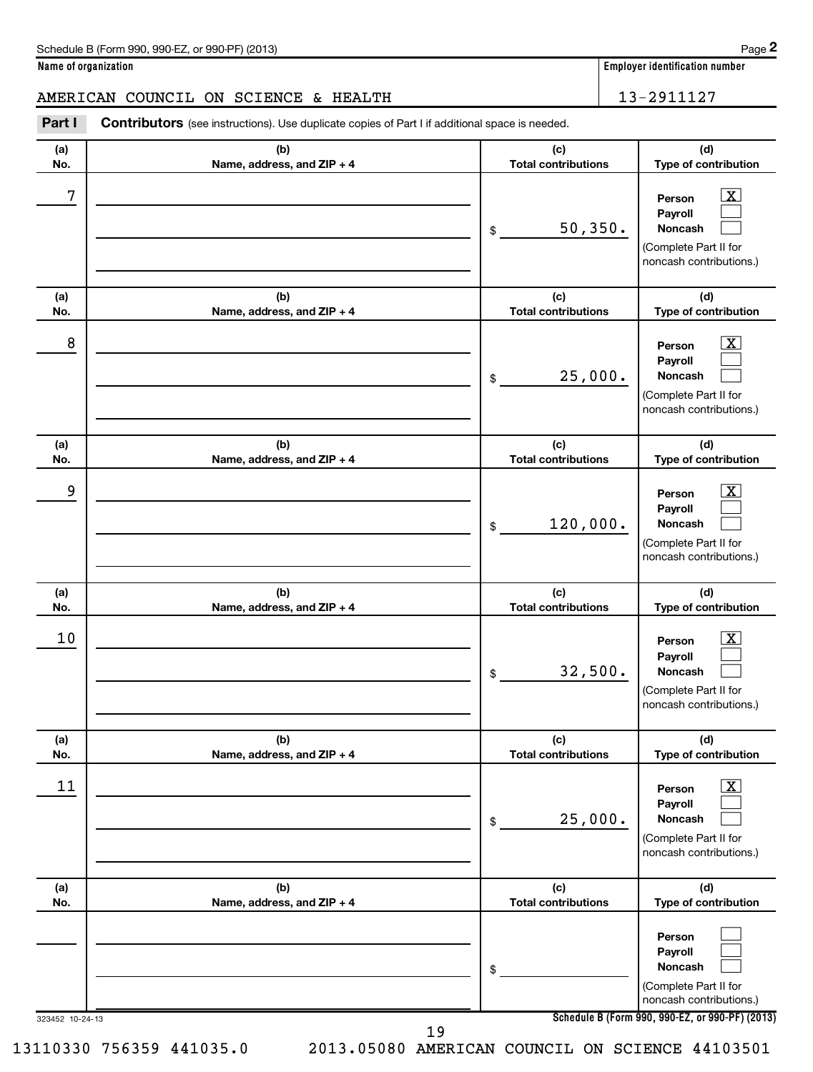**2**

**Name of organization Employer identification number**

AMERICAN COUNCIL ON SCIENCE & HEALTH 13-2911127

| Part I     | <b>Contributors</b> (see instructions). Use duplicate copies of Part I if additional space is needed. |                                   |                                                                                                                                     |  |  |
|------------|-------------------------------------------------------------------------------------------------------|-----------------------------------|-------------------------------------------------------------------------------------------------------------------------------------|--|--|
| (a)<br>No. | (b)<br>Name, address, and ZIP + 4                                                                     | (c)<br><b>Total contributions</b> | (d)<br>Type of contribution                                                                                                         |  |  |
| 7          |                                                                                                       | 50, 350.<br>\$                    | $\overline{\mathbf{X}}$<br>Person<br>Payroll<br>Noncash<br>(Complete Part II for<br>noncash contributions.)                         |  |  |
| (a)<br>No. | (b)<br>Name, address, and ZIP + 4                                                                     | (c)<br><b>Total contributions</b> | (d)<br>Type of contribution                                                                                                         |  |  |
| 8          |                                                                                                       | 25,000.<br>\$                     | $\overline{\mathbf{X}}$<br>Person<br>Payroll<br>Noncash<br>(Complete Part II for<br>noncash contributions.)                         |  |  |
| (a)<br>No. | (b)<br>Name, address, and ZIP + 4                                                                     | (c)<br><b>Total contributions</b> | (d)<br>Type of contribution                                                                                                         |  |  |
| 9          |                                                                                                       | 120,000.<br>\$                    | $\overline{\mathbf{X}}$<br>Person<br>Payroll<br>Noncash<br>(Complete Part II for<br>noncash contributions.)                         |  |  |
| (a)<br>No. | (b)<br>Name, address, and ZIP + 4                                                                     | (c)<br><b>Total contributions</b> | (d)<br>Type of contribution                                                                                                         |  |  |
| 10         |                                                                                                       | 32,500.<br>\$                     | $\overline{\mathbf{X}}$<br>Person<br>Payroll<br><b>Noncash</b><br>(Complete Part II for<br>noncash contributions.)                  |  |  |
| (a)<br>No. | (b)<br>Name, address, and ZIP + 4                                                                     | (c)<br><b>Total contributions</b> | (d)<br>Type of contribution                                                                                                         |  |  |
| 11         |                                                                                                       | 25,000.<br>\$                     | $\boxed{\textbf{X}}$<br>Person<br>Payroll<br>Noncash<br>(Complete Part II for<br>noncash contributions.)                            |  |  |
| (a)<br>No. | (b)<br>Name, address, and ZIP + 4                                                                     | (c)<br><b>Total contributions</b> | (d)<br>Type of contribution                                                                                                         |  |  |
|            | 323452 10-24-13                                                                                       | \$                                | Person<br>Payroll<br>Noncash<br>(Complete Part II for<br>noncash contributions.)<br>Schedule B (Form 990, 990-EZ, or 990-PF) (2013) |  |  |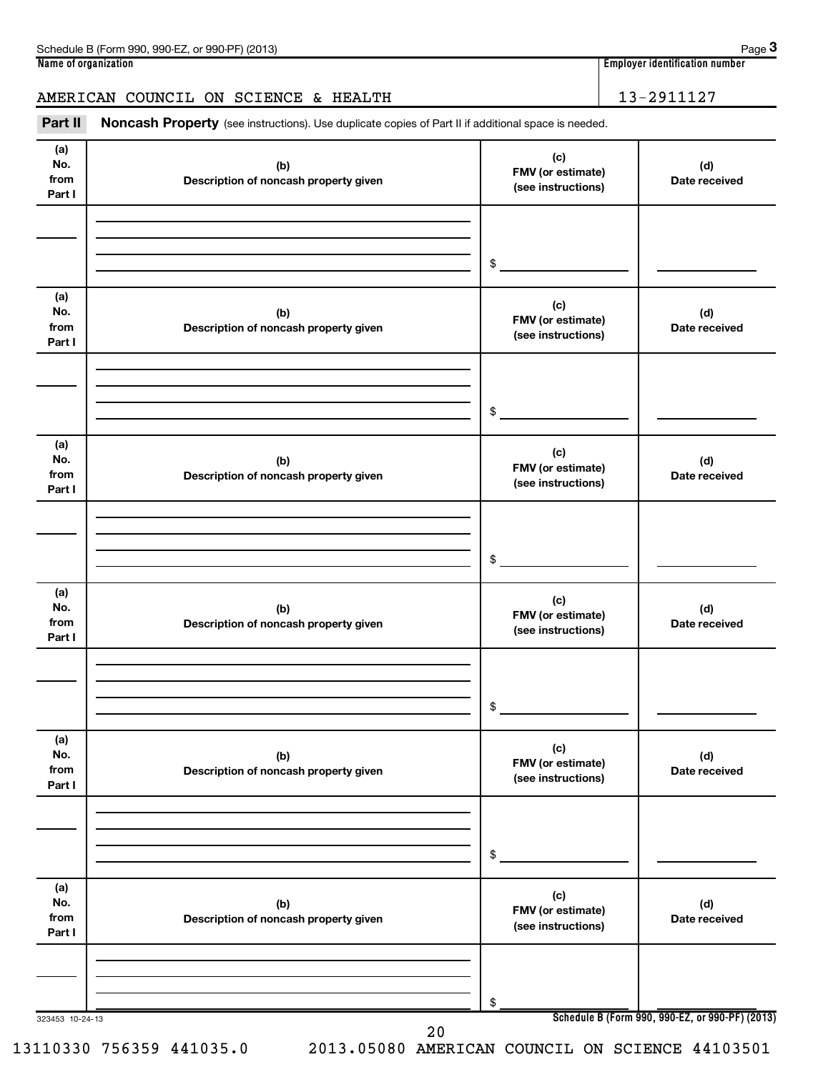| Schedule B (Form 990, 990-EZ, or 990-PF) (2013) | Page 3                         |
|-------------------------------------------------|--------------------------------|
| Name of organization                            | Employer identification number |
|                                                 |                                |
| AMERICAN COUNCIL ON SCIENCE & HEALTH            | 13-2911127                     |

| AMERICAN COUNCIL ON SCIENCE & HEALTH |  |  |  |
|--------------------------------------|--|--|--|
|                                      |  |  |  |

Part II Noncash Property (see instructions). Use duplicate copies of Part II if additional space is needed.

| (a)<br>No.<br>from<br>Part I | (b)<br>Description of noncash property given | (c)<br>FMV (or estimate)<br>(see instructions) | (d)<br>Date received                            |
|------------------------------|----------------------------------------------|------------------------------------------------|-------------------------------------------------|
|                              |                                              |                                                |                                                 |
|                              |                                              | $\sim$                                         |                                                 |
|                              |                                              |                                                |                                                 |
| (a)<br>No.<br>from           | (b)<br>Description of noncash property given | (c)<br>FMV (or estimate)<br>(see instructions) | (d)<br>Date received                            |
| Part I                       |                                              |                                                |                                                 |
|                              |                                              |                                                |                                                 |
|                              |                                              |                                                |                                                 |
|                              |                                              | $\frac{1}{2}$                                  |                                                 |
|                              |                                              |                                                |                                                 |
| (a)<br>No.<br>from           | (b)<br>Description of noncash property given | (c)<br>FMV (or estimate)                       | (d)<br>Date received                            |
| Part I                       |                                              | (see instructions)                             |                                                 |
|                              |                                              |                                                |                                                 |
|                              |                                              |                                                |                                                 |
|                              |                                              |                                                |                                                 |
|                              |                                              | $\sim$                                         |                                                 |
|                              |                                              |                                                |                                                 |
| (a)                          |                                              | (c)                                            |                                                 |
| No.<br>from                  | (b)<br>Description of noncash property given | FMV (or estimate)                              | (d)<br>Date received                            |
| Part I                       |                                              | (see instructions)                             |                                                 |
|                              |                                              |                                                |                                                 |
|                              |                                              |                                                |                                                 |
|                              |                                              |                                                |                                                 |
|                              |                                              | $\frac{1}{2}$                                  |                                                 |
|                              |                                              |                                                |                                                 |
| (a)                          |                                              | (c)                                            |                                                 |
| No.                          | (b)                                          | FMV (or estimate)                              | (d)                                             |
| from<br>Part I               | Description of noncash property given        | (see instructions)                             | Date received                                   |
|                              |                                              |                                                |                                                 |
|                              |                                              |                                                |                                                 |
|                              |                                              |                                                |                                                 |
|                              |                                              | \$                                             |                                                 |
|                              |                                              |                                                |                                                 |
| (a)                          |                                              |                                                |                                                 |
| No.                          | (b)                                          | (c)<br>FMV (or estimate)                       | (d)                                             |
| from                         | Description of noncash property given        | (see instructions)                             | Date received                                   |
| Part I                       |                                              |                                                |                                                 |
|                              |                                              |                                                |                                                 |
|                              |                                              |                                                |                                                 |
|                              |                                              | \$                                             |                                                 |
| 323453 10-24-13              |                                              |                                                | Schedule B (Form 990, 990-EZ, or 990-PF) (2013) |
|                              |                                              |                                                |                                                 |

 <sup>20</sup>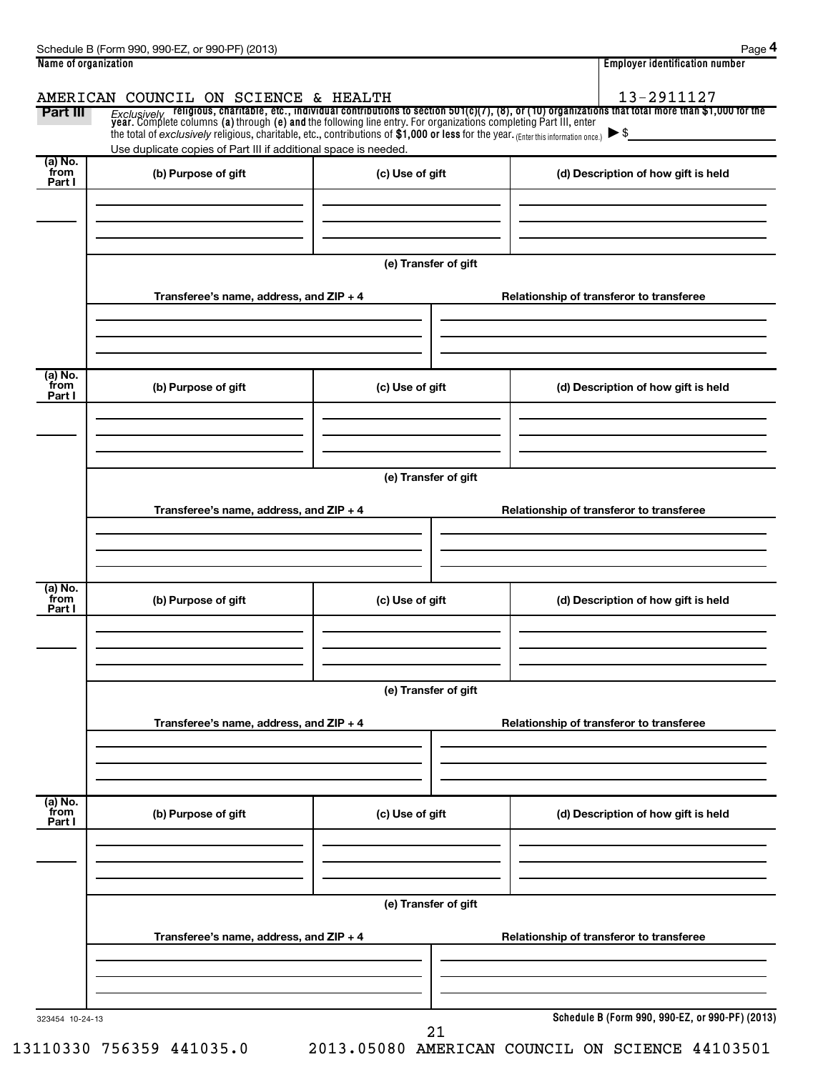| Name of organization        |                                                                                                                                                                                                                                 | <b>Employer identification number</b>    |                                                                                                                                                                                                                                        |  |  |  |  |
|-----------------------------|---------------------------------------------------------------------------------------------------------------------------------------------------------------------------------------------------------------------------------|------------------------------------------|----------------------------------------------------------------------------------------------------------------------------------------------------------------------------------------------------------------------------------------|--|--|--|--|
|                             | AMERICAN COUNCIL ON SCIENCE & HEALTH                                                                                                                                                                                            |                                          | 13-2911127                                                                                                                                                                                                                             |  |  |  |  |
| Part III                    |                                                                                                                                                                                                                                 |                                          | <i>Exclusively</i> religious, charitable, etc., individual contributions to section 501(c)(7), (8), or (10) organizations that total more than \$1,000 for the<br>year. Complete columns (a) through (e) and the following line entry. |  |  |  |  |
|                             | the total of exclusively religious, charitable, etc., contributions of \$1,000 or less for the year. (Enter this information once.) $\blacktriangleright$ \$<br>Use duplicate copies of Part III if additional space is needed. |                                          |                                                                                                                                                                                                                                        |  |  |  |  |
| (a) No.<br>from             | (b) Purpose of gift                                                                                                                                                                                                             | (c) Use of gift                          | (d) Description of how gift is held                                                                                                                                                                                                    |  |  |  |  |
| Part I                      |                                                                                                                                                                                                                                 |                                          |                                                                                                                                                                                                                                        |  |  |  |  |
|                             |                                                                                                                                                                                                                                 |                                          |                                                                                                                                                                                                                                        |  |  |  |  |
|                             |                                                                                                                                                                                                                                 | (e) Transfer of gift                     |                                                                                                                                                                                                                                        |  |  |  |  |
|                             | Transferee's name, address, and ZIP + 4                                                                                                                                                                                         |                                          | Relationship of transferor to transferee                                                                                                                                                                                               |  |  |  |  |
|                             |                                                                                                                                                                                                                                 |                                          |                                                                                                                                                                                                                                        |  |  |  |  |
|                             |                                                                                                                                                                                                                                 |                                          |                                                                                                                                                                                                                                        |  |  |  |  |
| (a) No.<br>from<br>Part I   | (b) Purpose of gift                                                                                                                                                                                                             | (c) Use of gift                          | (d) Description of how gift is held                                                                                                                                                                                                    |  |  |  |  |
|                             |                                                                                                                                                                                                                                 |                                          |                                                                                                                                                                                                                                        |  |  |  |  |
|                             |                                                                                                                                                                                                                                 |                                          |                                                                                                                                                                                                                                        |  |  |  |  |
|                             |                                                                                                                                                                                                                                 | (e) Transfer of gift                     |                                                                                                                                                                                                                                        |  |  |  |  |
|                             | Transferee's name, address, and ZIP + 4                                                                                                                                                                                         |                                          | Relationship of transferor to transferee                                                                                                                                                                                               |  |  |  |  |
|                             |                                                                                                                                                                                                                                 |                                          |                                                                                                                                                                                                                                        |  |  |  |  |
|                             |                                                                                                                                                                                                                                 |                                          |                                                                                                                                                                                                                                        |  |  |  |  |
| $(a)$ No.<br>from<br>Part I | (b) Purpose of gift                                                                                                                                                                                                             | (c) Use of gift                          | (d) Description of how gift is held                                                                                                                                                                                                    |  |  |  |  |
|                             |                                                                                                                                                                                                                                 |                                          |                                                                                                                                                                                                                                        |  |  |  |  |
|                             |                                                                                                                                                                                                                                 |                                          |                                                                                                                                                                                                                                        |  |  |  |  |
|                             | (e) Transfer of gift                                                                                                                                                                                                            |                                          |                                                                                                                                                                                                                                        |  |  |  |  |
|                             | Transferee's name, address, and ZIP + 4                                                                                                                                                                                         | Relationship of transferor to transferee |                                                                                                                                                                                                                                        |  |  |  |  |
|                             |                                                                                                                                                                                                                                 |                                          |                                                                                                                                                                                                                                        |  |  |  |  |
|                             |                                                                                                                                                                                                                                 |                                          |                                                                                                                                                                                                                                        |  |  |  |  |
| (a) No.<br>from<br>Part I   | (b) Purpose of gift                                                                                                                                                                                                             | (c) Use of gift                          | (d) Description of how gift is held                                                                                                                                                                                                    |  |  |  |  |
|                             |                                                                                                                                                                                                                                 |                                          |                                                                                                                                                                                                                                        |  |  |  |  |
|                             |                                                                                                                                                                                                                                 |                                          |                                                                                                                                                                                                                                        |  |  |  |  |
|                             | (e) Transfer of gift                                                                                                                                                                                                            |                                          |                                                                                                                                                                                                                                        |  |  |  |  |
|                             | Transferee's name, address, and ZIP + 4                                                                                                                                                                                         |                                          | Relationship of transferor to transferee                                                                                                                                                                                               |  |  |  |  |
|                             |                                                                                                                                                                                                                                 |                                          |                                                                                                                                                                                                                                        |  |  |  |  |
|                             |                                                                                                                                                                                                                                 |                                          |                                                                                                                                                                                                                                        |  |  |  |  |
| 323454 10-24-13             |                                                                                                                                                                                                                                 |                                          | Schedule B (Form 990, 990-EZ, or 990-PF) (2013)                                                                                                                                                                                        |  |  |  |  |

21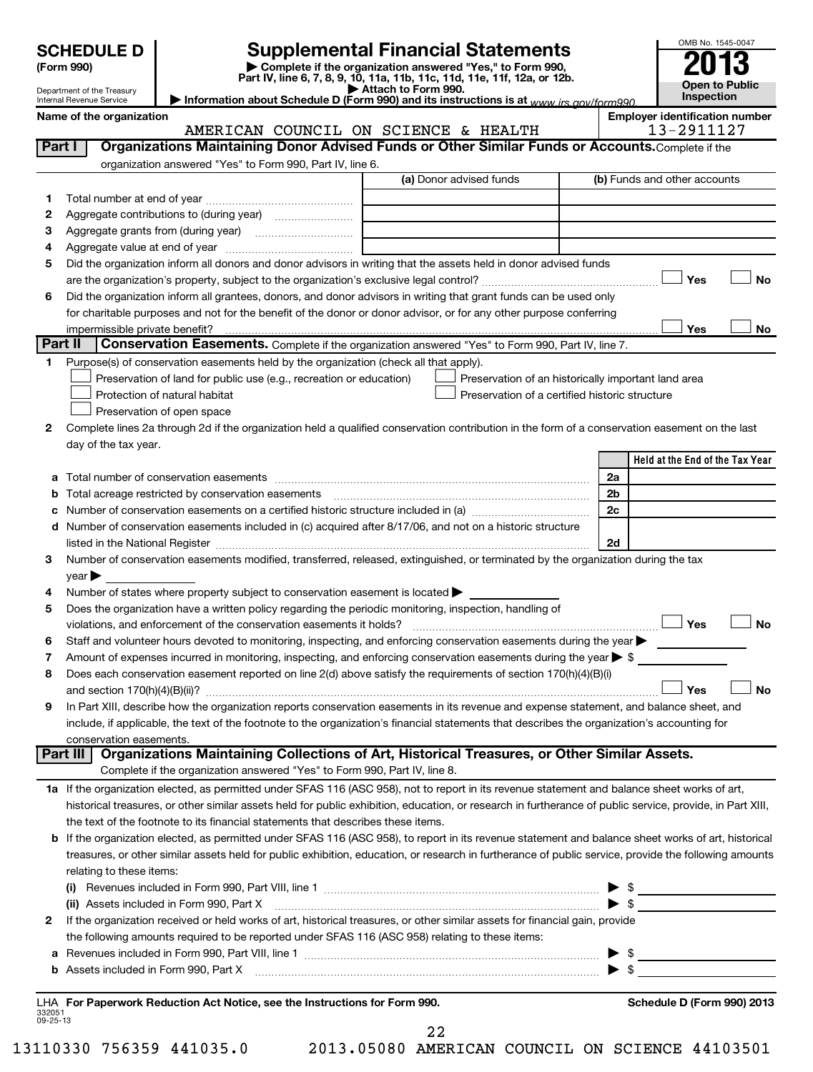| <b>SCHEDULE D</b>          | <b>Supplemental Financial Statements</b>                                                                                              | OMB No. 1545-004 |
|----------------------------|---------------------------------------------------------------------------------------------------------------------------------------|------------------|
| (Form 990)                 | Complete if the organization answered "Yes," to Form 990,<br>Part IV, line 6, 7, 8, 9, 10, 11a, 11b, 11c, 11d, 11e, 11f, 12a, or 12b. | 2013             |
| Denartment of the Treasury | $\blacktriangleright$ Attach to Form 990.                                                                                             | Open to Publ     |

**| Attach to Form 990. | Information about Schedule D (Form 990) and its instructions is at**  *www.irs.gov/form990.*

Department of the Treasury Internal Revenue Service

Name of the organization<br>**AMERICAN COUNCIL** ON SCIENCE & HEALTH 13-2911127 AMERICAN COUNCIL ON SCIENCE & HEALTH

OMB No. 1545-0047

**Open to Public Inspection**

| Part I  | Organizations Maintaining Donor Advised Funds or Other Similar Funds or Accounts. Complete if the                                                                                                                                                                                       |                                 |
|---------|-----------------------------------------------------------------------------------------------------------------------------------------------------------------------------------------------------------------------------------------------------------------------------------------|---------------------------------|
|         | organization answered "Yes" to Form 990, Part IV, line 6.                                                                                                                                                                                                                               |                                 |
|         | (a) Donor advised funds                                                                                                                                                                                                                                                                 | (b) Funds and other accounts    |
| 1.      |                                                                                                                                                                                                                                                                                         |                                 |
| 2       |                                                                                                                                                                                                                                                                                         |                                 |
| 3       |                                                                                                                                                                                                                                                                                         |                                 |
| 4       |                                                                                                                                                                                                                                                                                         |                                 |
| 5       | Did the organization inform all donors and donor advisors in writing that the assets held in donor advised funds                                                                                                                                                                        |                                 |
|         |                                                                                                                                                                                                                                                                                         | No<br>Yes                       |
| 6       | Did the organization inform all grantees, donors, and donor advisors in writing that grant funds can be used only                                                                                                                                                                       |                                 |
|         | for charitable purposes and not for the benefit of the donor or donor advisor, or for any other purpose conferring                                                                                                                                                                      |                                 |
|         | impermissible private benefit?                                                                                                                                                                                                                                                          | Yes<br>No                       |
| Part II | Conservation Easements. Complete if the organization answered "Yes" to Form 990, Part IV, line 7.                                                                                                                                                                                       |                                 |
| 1       | Purpose(s) of conservation easements held by the organization (check all that apply).                                                                                                                                                                                                   |                                 |
|         | Preservation of land for public use (e.g., recreation or education)<br>Preservation of an historically important land area                                                                                                                                                              |                                 |
|         | Protection of natural habitat<br>Preservation of a certified historic structure                                                                                                                                                                                                         |                                 |
|         | Preservation of open space                                                                                                                                                                                                                                                              |                                 |
| 2       | Complete lines 2a through 2d if the organization held a qualified conservation contribution in the form of a conservation easement on the last                                                                                                                                          |                                 |
|         | day of the tax year.                                                                                                                                                                                                                                                                    |                                 |
|         |                                                                                                                                                                                                                                                                                         | Held at the End of the Tax Year |
|         |                                                                                                                                                                                                                                                                                         | 2a                              |
| b       | Total acreage restricted by conservation easements                                                                                                                                                                                                                                      | 2 <sub>b</sub>                  |
|         |                                                                                                                                                                                                                                                                                         | 2c                              |
| d       | Number of conservation easements included in (c) acquired after 8/17/06, and not on a historic structure                                                                                                                                                                                |                                 |
|         | listed in the National Register [111] Marshall Register [11] Marshall Register [11] Marshall Register [11] Marshall Register [11] Marshall Register [11] Marshall Register [11] Marshall Register [11] Marshall Register [11]                                                           | 2d                              |
| З       | Number of conservation easements modified, transferred, released, extinguished, or terminated by the organization during the tax                                                                                                                                                        |                                 |
|         | year                                                                                                                                                                                                                                                                                    |                                 |
| 4       | Number of states where property subject to conservation easement is located >                                                                                                                                                                                                           |                                 |
| 5       | Does the organization have a written policy regarding the periodic monitoring, inspection, handling of                                                                                                                                                                                  |                                 |
|         | violations, and enforcement of the conservation easements it holds?                                                                                                                                                                                                                     | Yes<br><b>No</b>                |
| 6       | Staff and volunteer hours devoted to monitoring, inspecting, and enforcing conservation easements during the year                                                                                                                                                                       |                                 |
| 7       | Amount of expenses incurred in monitoring, inspecting, and enforcing conservation easements during the year $\triangleright$ \$                                                                                                                                                         |                                 |
| 8       | Does each conservation easement reported on line 2(d) above satisfy the requirements of section 170(h)(4)(B)(i)                                                                                                                                                                         | <b>No</b>                       |
|         |                                                                                                                                                                                                                                                                                         | Yes                             |
| 9       | In Part XIII, describe how the organization reports conservation easements in its revenue and expense statement, and balance sheet, and<br>include, if applicable, the text of the footnote to the organization's financial statements that describes the organization's accounting for |                                 |
|         | conservation easements.                                                                                                                                                                                                                                                                 |                                 |
|         | Part III<br>Organizations Maintaining Collections of Art, Historical Treasures, or Other Similar Assets.                                                                                                                                                                                |                                 |
|         | Complete if the organization answered "Yes" to Form 990, Part IV, line 8.                                                                                                                                                                                                               |                                 |
|         | 1a If the organization elected, as permitted under SFAS 116 (ASC 958), not to report in its revenue statement and balance sheet works of art,                                                                                                                                           |                                 |
|         | historical treasures, or other similar assets held for public exhibition, education, or research in furtherance of public service, provide, in Part XIII,                                                                                                                               |                                 |
|         | the text of the footnote to its financial statements that describes these items.                                                                                                                                                                                                        |                                 |
| b       | If the organization elected, as permitted under SFAS 116 (ASC 958), to report in its revenue statement and balance sheet works of art, historical                                                                                                                                       |                                 |
|         | treasures, or other similar assets held for public exhibition, education, or research in furtherance of public service, provide the following amounts                                                                                                                                   |                                 |
|         | relating to these items:                                                                                                                                                                                                                                                                |                                 |
|         |                                                                                                                                                                                                                                                                                         | $\triangleright$ \$             |
|         |                                                                                                                                                                                                                                                                                         |                                 |
| 2       | If the organization received or held works of art, historical treasures, or other similar assets for financial gain, provide                                                                                                                                                            |                                 |
|         | the following amounts required to be reported under SFAS 116 (ASC 958) relating to these items:                                                                                                                                                                                         |                                 |
| а       |                                                                                                                                                                                                                                                                                         | $\frac{1}{2}$<br>▸              |
| b       |                                                                                                                                                                                                                                                                                         |                                 |
|         |                                                                                                                                                                                                                                                                                         |                                 |
|         | LHA For Paperwork Reduction Act Notice, see the Instructions for Form 990.                                                                                                                                                                                                              | Schedule D (Form 990) 2013      |

332051 09-25-13

22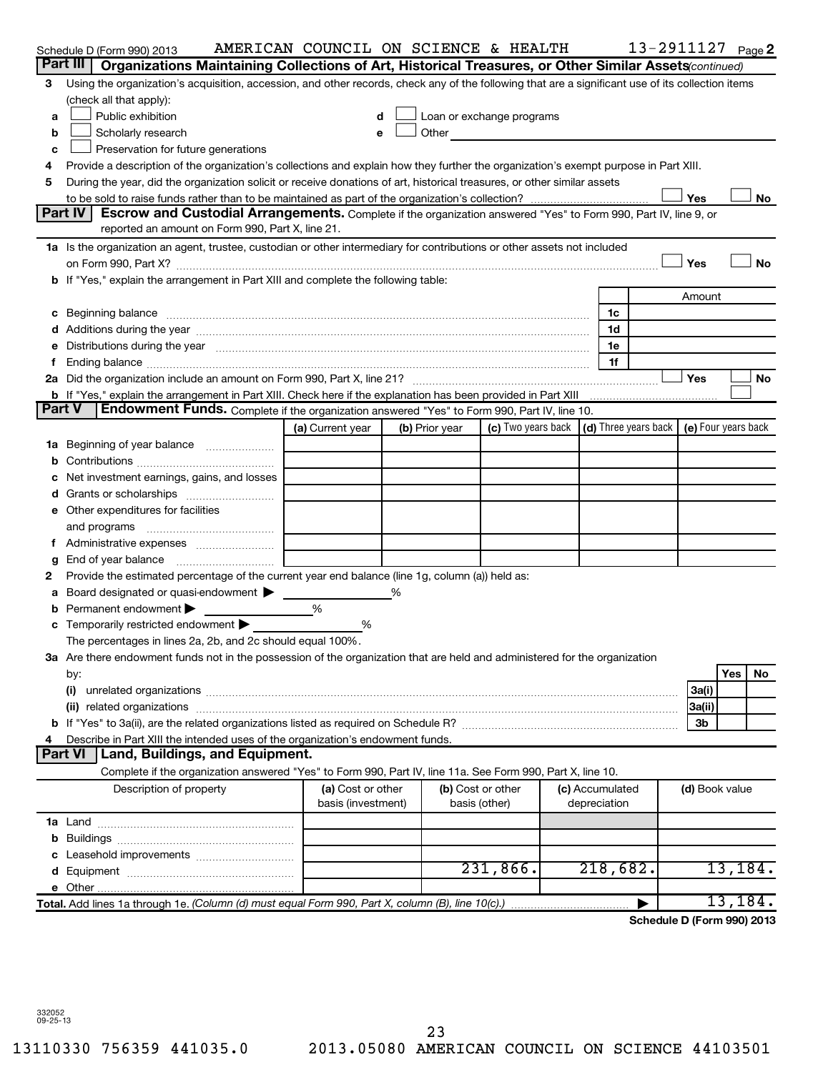|    | Schedule D (Form 990) 2013                                                                                                                                                                                                     | AMERICAN COUNCIL ON SCIENCE & HEALTH |                |                                                                                                                                                                                                                               |                 | 13-2911127 <sub>Page</sub> 2 |                |     |          |
|----|--------------------------------------------------------------------------------------------------------------------------------------------------------------------------------------------------------------------------------|--------------------------------------|----------------|-------------------------------------------------------------------------------------------------------------------------------------------------------------------------------------------------------------------------------|-----------------|------------------------------|----------------|-----|----------|
|    | Part III<br>Organizations Maintaining Collections of Art, Historical Treasures, or Other Similar Assets (continued)                                                                                                            |                                      |                |                                                                                                                                                                                                                               |                 |                              |                |     |          |
| З  | Using the organization's acquisition, accession, and other records, check any of the following that are a significant use of its collection items                                                                              |                                      |                |                                                                                                                                                                                                                               |                 |                              |                |     |          |
|    | (check all that apply):                                                                                                                                                                                                        |                                      |                |                                                                                                                                                                                                                               |                 |                              |                |     |          |
| a  | Public exhibition                                                                                                                                                                                                              | d                                    |                | Loan or exchange programs                                                                                                                                                                                                     |                 |                              |                |     |          |
| b  | Scholarly research                                                                                                                                                                                                             | e                                    |                | Other and the contract of the contract of the contract of the contract of the contract of the contract of the contract of the contract of the contract of the contract of the contract of the contract of the contract of the |                 |                              |                |     |          |
| c  | Preservation for future generations                                                                                                                                                                                            |                                      |                |                                                                                                                                                                                                                               |                 |                              |                |     |          |
| 4  | Provide a description of the organization's collections and explain how they further the organization's exempt purpose in Part XIII.                                                                                           |                                      |                |                                                                                                                                                                                                                               |                 |                              |                |     |          |
| 5  | During the year, did the organization solicit or receive donations of art, historical treasures, or other similar assets                                                                                                       |                                      |                |                                                                                                                                                                                                                               |                 |                              |                |     |          |
|    |                                                                                                                                                                                                                                |                                      |                |                                                                                                                                                                                                                               |                 |                              | Yes            |     | No       |
|    | Part IV<br>Escrow and Custodial Arrangements. Complete if the organization answered "Yes" to Form 990, Part IV, line 9, or<br>reported an amount on Form 990, Part X, line 21.                                                 |                                      |                |                                                                                                                                                                                                                               |                 |                              |                |     |          |
|    | 1a Is the organization an agent, trustee, custodian or other intermediary for contributions or other assets not included                                                                                                       |                                      |                |                                                                                                                                                                                                                               |                 |                              |                |     |          |
|    |                                                                                                                                                                                                                                |                                      |                |                                                                                                                                                                                                                               |                 |                              | Yes            |     | No       |
|    | b If "Yes," explain the arrangement in Part XIII and complete the following table:                                                                                                                                             |                                      |                |                                                                                                                                                                                                                               |                 |                              |                |     |          |
|    |                                                                                                                                                                                                                                |                                      |                |                                                                                                                                                                                                                               |                 |                              | Amount         |     |          |
|    | c Beginning balance measurements and the contract of the contract of the contract of the contract of the contract of the contract of the contract of the contract of the contract of the contract of the contract of the contr |                                      |                |                                                                                                                                                                                                                               | 1c              |                              |                |     |          |
|    |                                                                                                                                                                                                                                |                                      |                |                                                                                                                                                                                                                               | 1d              |                              |                |     |          |
|    | Distributions during the year manufactured and an account of the year manufactured and the year manufactured and the year manufactured and the year manufactured and the year manufactured and the year manufactured and the y |                                      |                |                                                                                                                                                                                                                               | 1e              |                              |                |     |          |
|    |                                                                                                                                                                                                                                |                                      |                |                                                                                                                                                                                                                               | 1f              |                              |                |     |          |
|    |                                                                                                                                                                                                                                |                                      |                |                                                                                                                                                                                                                               |                 |                              | Yes            |     | No       |
|    | b If "Yes," explain the arrangement in Part XIII. Check here if the explanation has been provided in Part XIII                                                                                                                 |                                      |                |                                                                                                                                                                                                                               |                 |                              |                |     |          |
|    | Endowment Funds. Complete if the organization answered "Yes" to Form 990, Part IV, line 10.<br><b>Part V</b>                                                                                                                   |                                      |                |                                                                                                                                                                                                                               |                 |                              |                |     |          |
|    |                                                                                                                                                                                                                                | (a) Current year                     | (b) Prior year | (c) Two years back $\vert$ (d) Three years back $\vert$ (e) Four years back                                                                                                                                                   |                 |                              |                |     |          |
| 1a | Beginning of year balance                                                                                                                                                                                                      |                                      |                |                                                                                                                                                                                                                               |                 |                              |                |     |          |
| b  |                                                                                                                                                                                                                                |                                      |                |                                                                                                                                                                                                                               |                 |                              |                |     |          |
|    | Net investment earnings, gains, and losses                                                                                                                                                                                     |                                      |                |                                                                                                                                                                                                                               |                 |                              |                |     |          |
| d  |                                                                                                                                                                                                                                |                                      |                |                                                                                                                                                                                                                               |                 |                              |                |     |          |
|    | e Other expenditures for facilities                                                                                                                                                                                            |                                      |                |                                                                                                                                                                                                                               |                 |                              |                |     |          |
|    | and programs                                                                                                                                                                                                                   |                                      |                |                                                                                                                                                                                                                               |                 |                              |                |     |          |
|    |                                                                                                                                                                                                                                |                                      |                |                                                                                                                                                                                                                               |                 |                              |                |     |          |
| g  | End of year balance                                                                                                                                                                                                            |                                      |                |                                                                                                                                                                                                                               |                 |                              |                |     |          |
| 2  | Provide the estimated percentage of the current year end balance (line 1g, column (a)) held as:                                                                                                                                |                                      |                |                                                                                                                                                                                                                               |                 |                              |                |     |          |
| а  | Board designated or quasi-endowment                                                                                                                                                                                            |                                      |                |                                                                                                                                                                                                                               |                 |                              |                |     |          |
|    | Permanent endowment                                                                                                                                                                                                            | %                                    |                |                                                                                                                                                                                                                               |                 |                              |                |     |          |
|    | Temporarily restricted endowment                                                                                                                                                                                               | %                                    |                |                                                                                                                                                                                                                               |                 |                              |                |     |          |
|    | The percentages in lines 2a, 2b, and 2c should equal 100%.                                                                                                                                                                     |                                      |                |                                                                                                                                                                                                                               |                 |                              |                |     |          |
|    | 3a Are there endowment funds not in the possession of the organization that are held and administered for the organization                                                                                                     |                                      |                |                                                                                                                                                                                                                               |                 |                              |                |     |          |
|    | by:                                                                                                                                                                                                                            |                                      |                |                                                                                                                                                                                                                               |                 |                              |                | Yes | No       |
|    | (i)                                                                                                                                                                                                                            |                                      |                |                                                                                                                                                                                                                               |                 |                              | 3a(i)          |     |          |
|    | (ii)                                                                                                                                                                                                                           |                                      |                |                                                                                                                                                                                                                               |                 |                              | 3a(ii)<br>3b   |     |          |
|    | Describe in Part XIII the intended uses of the organization's endowment funds.                                                                                                                                                 |                                      |                |                                                                                                                                                                                                                               |                 |                              |                |     |          |
|    | <b>Part VI</b><br>Land, Buildings, and Equipment.                                                                                                                                                                              |                                      |                |                                                                                                                                                                                                                               |                 |                              |                |     |          |
|    | Complete if the organization answered "Yes" to Form 990, Part IV, line 11a. See Form 990, Part X, line 10.                                                                                                                     |                                      |                |                                                                                                                                                                                                                               |                 |                              |                |     |          |
|    | Description of property                                                                                                                                                                                                        | (a) Cost or other                    |                | (b) Cost or other                                                                                                                                                                                                             | (c) Accumulated |                              | (d) Book value |     |          |
|    |                                                                                                                                                                                                                                | basis (investment)                   |                | basis (other)                                                                                                                                                                                                                 | depreciation    |                              |                |     |          |
|    |                                                                                                                                                                                                                                |                                      |                |                                                                                                                                                                                                                               |                 |                              |                |     |          |
|    |                                                                                                                                                                                                                                |                                      |                |                                                                                                                                                                                                                               |                 |                              |                |     |          |
|    |                                                                                                                                                                                                                                |                                      |                |                                                                                                                                                                                                                               |                 |                              |                |     |          |
|    |                                                                                                                                                                                                                                |                                      |                | 231,866.                                                                                                                                                                                                                      | 218,682.        |                              |                |     | 13, 184. |
|    |                                                                                                                                                                                                                                |                                      |                |                                                                                                                                                                                                                               |                 |                              |                |     |          |
|    | Total. Add lines 1a through 1e. (Column (d) must equal Form 990, Part X, column (B), line 10(c).)                                                                                                                              |                                      |                |                                                                                                                                                                                                                               |                 |                              |                |     | 13,184.  |
|    |                                                                                                                                                                                                                                |                                      |                |                                                                                                                                                                                                                               |                 | Schedule D (Form 990) 2013   |                |     |          |

332052 09-25-13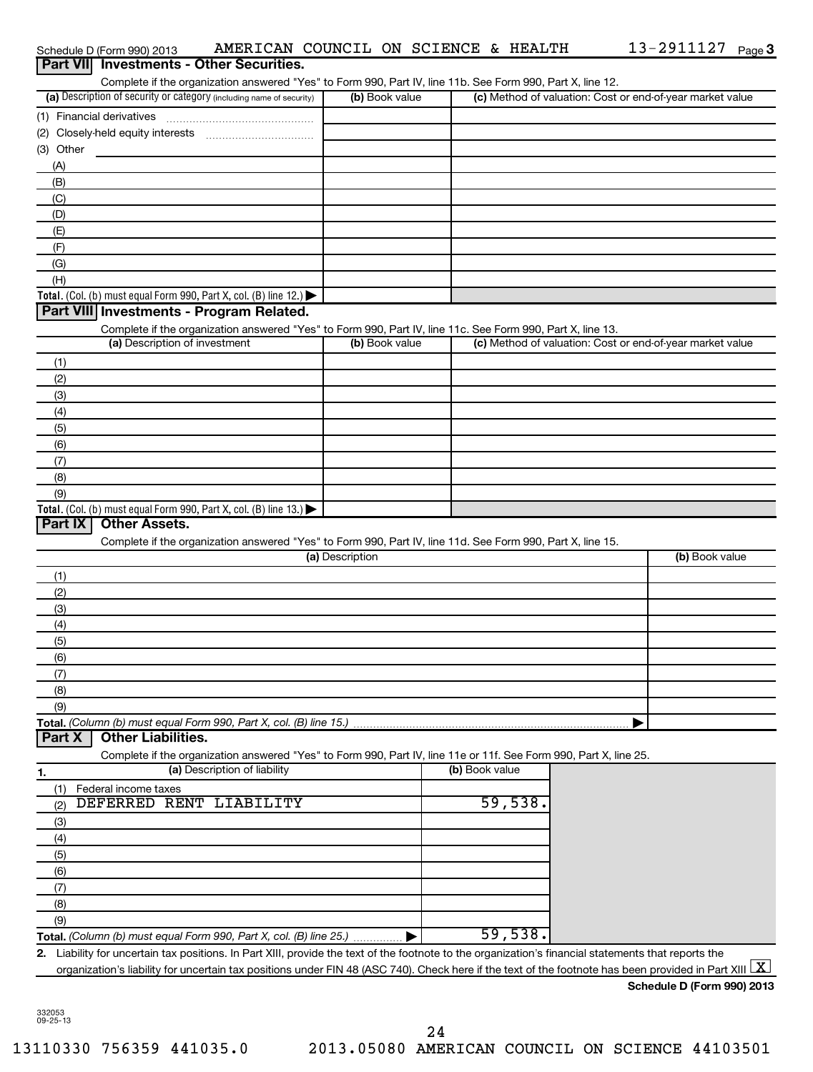| Schedule D (Form 990) 2013                                                                                                                                                      | AMERICAN COUNCIL ON SCIENCE & HEALTH |                | 13-2911127 $_{Page}$ 3                                    |
|---------------------------------------------------------------------------------------------------------------------------------------------------------------------------------|--------------------------------------|----------------|-----------------------------------------------------------|
| Part VII Investments - Other Securities.                                                                                                                                        |                                      |                |                                                           |
| Complete if the organization answered "Yes" to Form 990, Part IV, line 11b. See Form 990, Part X, line 12.                                                                      |                                      |                |                                                           |
| (a) Description of security or category (including name of security)                                                                                                            | (b) Book value                       |                | (c) Method of valuation: Cost or end-of-year market value |
|                                                                                                                                                                                 |                                      |                |                                                           |
|                                                                                                                                                                                 |                                      |                |                                                           |
| (3) Other                                                                                                                                                                       |                                      |                |                                                           |
| (A)                                                                                                                                                                             |                                      |                |                                                           |
| (B)                                                                                                                                                                             |                                      |                |                                                           |
| (C)                                                                                                                                                                             |                                      |                |                                                           |
| (D)                                                                                                                                                                             |                                      |                |                                                           |
| (E)                                                                                                                                                                             |                                      |                |                                                           |
| (F)                                                                                                                                                                             |                                      |                |                                                           |
| (G)                                                                                                                                                                             |                                      |                |                                                           |
| (H)                                                                                                                                                                             |                                      |                |                                                           |
| Total. (Col. (b) must equal Form 990, Part X, col. (B) line 12.)<br>Part VIII Investments - Program Related.                                                                    |                                      |                |                                                           |
|                                                                                                                                                                                 |                                      |                |                                                           |
| Complete if the organization answered "Yes" to Form 990, Part IV, line 11c. See Form 990, Part X, line 13.<br>(a) Description of investment                                     | (b) Book value                       |                | (c) Method of valuation: Cost or end-of-year market value |
|                                                                                                                                                                                 |                                      |                |                                                           |
| (1)                                                                                                                                                                             |                                      |                |                                                           |
| (2)                                                                                                                                                                             |                                      |                |                                                           |
| (3)                                                                                                                                                                             |                                      |                |                                                           |
| (4)                                                                                                                                                                             |                                      |                |                                                           |
| (5)                                                                                                                                                                             |                                      |                |                                                           |
| (6)                                                                                                                                                                             |                                      |                |                                                           |
| (7)                                                                                                                                                                             |                                      |                |                                                           |
| (8)<br>(9)                                                                                                                                                                      |                                      |                |                                                           |
| Total. (Col. (b) must equal Form 990, Part X, col. (B) line 13.) $\blacktriangleright$                                                                                          |                                      |                |                                                           |
| <b>Other Assets.</b><br><b>Part IX</b>                                                                                                                                          |                                      |                |                                                           |
| Complete if the organization answered "Yes" to Form 990, Part IV, line 11d. See Form 990, Part X, line 15.                                                                      |                                      |                |                                                           |
|                                                                                                                                                                                 | (a) Description                      |                | (b) Book value                                            |
| (1)                                                                                                                                                                             |                                      |                |                                                           |
| (2)                                                                                                                                                                             |                                      |                |                                                           |
| (3)                                                                                                                                                                             |                                      |                |                                                           |
| (4)                                                                                                                                                                             |                                      |                |                                                           |
| (5)                                                                                                                                                                             |                                      |                |                                                           |
| (6)                                                                                                                                                                             |                                      |                |                                                           |
| (7)                                                                                                                                                                             |                                      |                |                                                           |
| (8)                                                                                                                                                                             |                                      |                |                                                           |
| (9)                                                                                                                                                                             |                                      |                |                                                           |
| Total. (Column (b) must equal Form 990, Part X, col. (B) line 15.)                                                                                                              |                                      |                |                                                           |
| <b>Other Liabilities.</b><br>Part X                                                                                                                                             |                                      |                |                                                           |
| Complete if the organization answered "Yes" to Form 990, Part IV, line 11e or 11f. See Form 990, Part X, line 25.                                                               |                                      |                |                                                           |
| (a) Description of liability<br>1.                                                                                                                                              |                                      | (b) Book value |                                                           |
| Federal income taxes<br>(1)                                                                                                                                                     |                                      |                |                                                           |
| DEFERRED RENT LIABILITY<br>(2)                                                                                                                                                  |                                      | 59,538.        |                                                           |
| (3)                                                                                                                                                                             |                                      |                |                                                           |
| (4)                                                                                                                                                                             |                                      |                |                                                           |
| (5)                                                                                                                                                                             |                                      |                |                                                           |
| (6)                                                                                                                                                                             |                                      |                |                                                           |
| (7)                                                                                                                                                                             |                                      |                |                                                           |
| (8)                                                                                                                                                                             |                                      |                |                                                           |
| (9)                                                                                                                                                                             |                                      |                |                                                           |
|                                                                                                                                                                                 |                                      |                |                                                           |
| Total. (Column (b) must equal Form 990, Part X, col. (B) line 25.)                                                                                                              |                                      | 59,538.        |                                                           |
| Liability for uncertain tax positions. In Part XIII, provide the text of the footnote to the organization's financial statements that reports the<br>2.                         |                                      |                |                                                           |
| organization's liability for uncertain tax positions under FIN 48 (ASC 740). Check here if the text of the footnote has been provided in Part XIII $\lfloor \texttt{X} \rfloor$ |                                      |                |                                                           |

332053 09-25-13

13110330 756359 441035.0 2013.05080 AMERICAN COUNCIL ON SCIENCE 44103501 24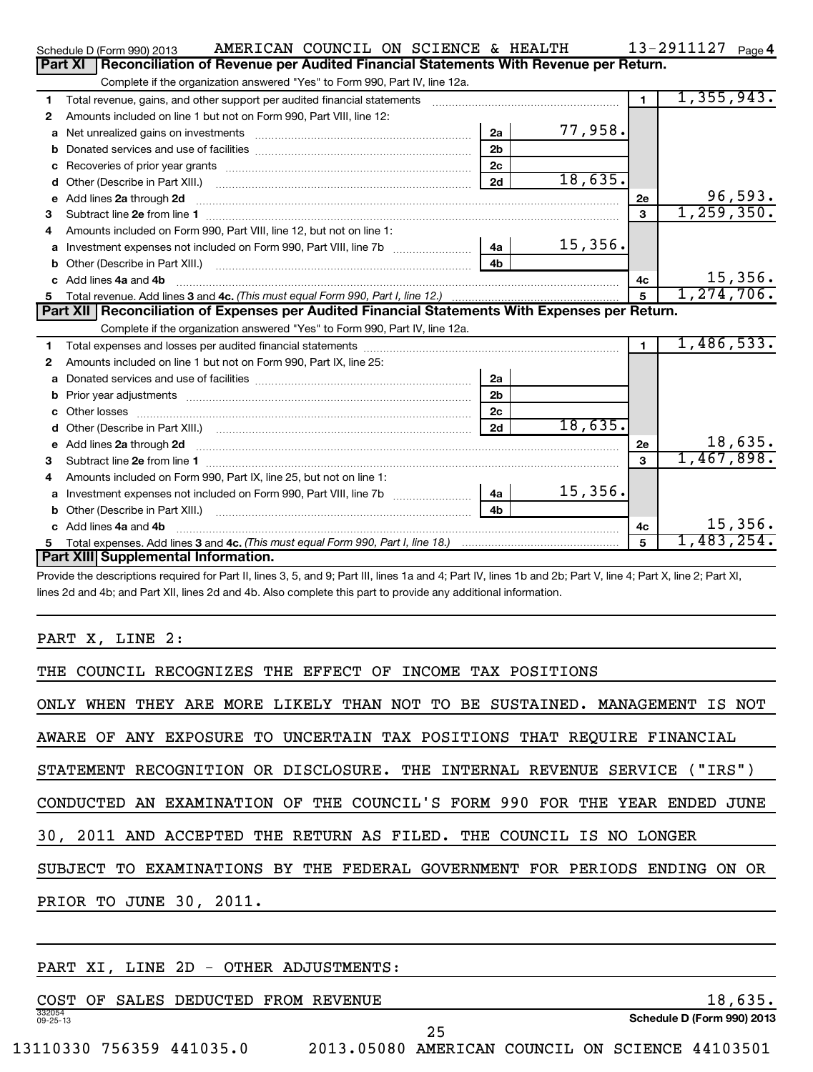|    | AMERICAN COUNCIL ON SCIENCE & HEALTH<br>Schedule D (Form 990) 2013                                                                                                                                                                  |                |         |                | 13-2911127 Page 4 |
|----|-------------------------------------------------------------------------------------------------------------------------------------------------------------------------------------------------------------------------------------|----------------|---------|----------------|-------------------|
|    | <b>Part XI</b><br>Reconciliation of Revenue per Audited Financial Statements With Revenue per Return.                                                                                                                               |                |         |                |                   |
|    | Complete if the organization answered "Yes" to Form 990, Part IV, line 12a.                                                                                                                                                         |                |         |                |                   |
| 1  | Total revenue, gains, and other support per audited financial statements [11] [11] Total revenue, [21] Total revenue of the support per audited financial statements                                                                |                |         | $\blacksquare$ | 1,355,943.        |
| 2  | Amounts included on line 1 but not on Form 990, Part VIII, line 12:                                                                                                                                                                 |                |         |                |                   |
| a  |                                                                                                                                                                                                                                     | 2a             | 77,958. |                |                   |
| b  |                                                                                                                                                                                                                                     | 2 <sub>b</sub> |         |                |                   |
| с  |                                                                                                                                                                                                                                     | 2 <sub>c</sub> |         |                |                   |
| d  |                                                                                                                                                                                                                                     | 2d             | 18,635. |                |                   |
| е  | Add lines 2a through 2d <b>[10]</b> University of the state of the state of the state of the state of the state of the state of the state of the state of the state of the state of the state of the state of the state of the stat |                |         | 2e             | 96,593.           |
| з  |                                                                                                                                                                                                                                     |                |         | 3              | 1, 259, 350.      |
|    | Amounts included on Form 990, Part VIII, line 12, but not on line 1:                                                                                                                                                                |                |         |                |                   |
| a  | Investment expenses not included on Form 990, Part VIII, line 7b [100] [100] [100] [100] [100] [100] [100] [10                                                                                                                      | 4a             | 15,356. |                |                   |
| b  |                                                                                                                                                                                                                                     |                |         |                |                   |
| c. | Add lines 4a and 4b                                                                                                                                                                                                                 |                |         | 4c             | 15,356.           |
| 5. |                                                                                                                                                                                                                                     |                |         | 5              | 1, 274, 706.      |
|    | Part XII   Reconciliation of Expenses per Audited Financial Statements With Expenses per Return.                                                                                                                                    |                |         |                |                   |
|    | Complete if the organization answered "Yes" to Form 990, Part IV, line 12a.                                                                                                                                                         |                |         |                |                   |
| 1  |                                                                                                                                                                                                                                     |                |         | $\blacksquare$ | 1,486,533.        |
| 2  | Amounts included on line 1 but not on Form 990, Part IX, line 25:                                                                                                                                                                   |                |         |                |                   |
| a  |                                                                                                                                                                                                                                     | 2a             |         |                |                   |
| b  |                                                                                                                                                                                                                                     |                |         |                |                   |
|    |                                                                                                                                                                                                                                     | 2 <sub>b</sub> |         |                |                   |
|    |                                                                                                                                                                                                                                     | 2 <sub>c</sub> |         |                |                   |
|    |                                                                                                                                                                                                                                     | 2d             | 18,635. |                |                   |
| е  |                                                                                                                                                                                                                                     |                |         | 2е             | 18,635.           |
| 3  | Add lines 2a through 2d <b>contained a contained a contained a contained a</b> contained a contained a contained a contained a contact a contact a contact a contact a contact a contact a contact a contact a contact a contact a  |                |         | $\mathbf{a}$   | 1,467,898.        |
| 4  | Amounts included on Form 990, Part IX, line 25, but not on line 1:                                                                                                                                                                  |                |         |                |                   |
| a  |                                                                                                                                                                                                                                     | 4a             | 15,356. |                |                   |
| b  |                                                                                                                                                                                                                                     | 4 <sub>b</sub> |         |                |                   |
|    | c Add lines 4a and 4b                                                                                                                                                                                                               |                |         | 4c             | 15,356.           |
| 5  | Part XIII Supplemental Information.                                                                                                                                                                                                 |                |         | 5              | 1,483,254.        |

Provide the descriptions required for Part II, lines 3, 5, and 9; Part III, lines 1a and 4; Part IV, lines 1b and 2b; Part V, line 4; Part X, line 2; Part XI, lines 2d and 4b; and Part XII, lines 2d and 4b. Also complete this part to provide any additional information.

PART X, LINE 2:

THE COUNCIL RECOGNIZES THE EFFECT OF INCOME TAX POSITIONS

ONLY WHEN THEY ARE MORE LIKELY THAN NOT TO BE SUSTAINED. MANAGEMENT IS NOT

AWARE OF ANY EXPOSURE TO UNCERTAIN TAX POSITIONS THAT REQUIRE FINANCIAL

STATEMENT RECOGNITION OR DISCLOSURE. THE INTERNAL REVENUE SERVICE ("IRS")

CONDUCTED AN EXAMINATION OF THE COUNCIL'S FORM 990 FOR THE YEAR ENDED JUNE

30, 2011 AND ACCEPTED THE RETURN AS FILED. THE COUNCIL IS NO LONGER

SUBJECT TO EXAMINATIONS BY THE FEDERAL GOVERNMENT FOR PERIODS ENDING ON OR

PRIOR TO JUNE 30, 2011.

# PART XI, LINE 2D - OTHER ADJUSTMENTS:

332054 09-25-13 **Schedule D (Form 990) 2013** COST OF SALES DEDUCTED FROM REVENUE 18,035. 25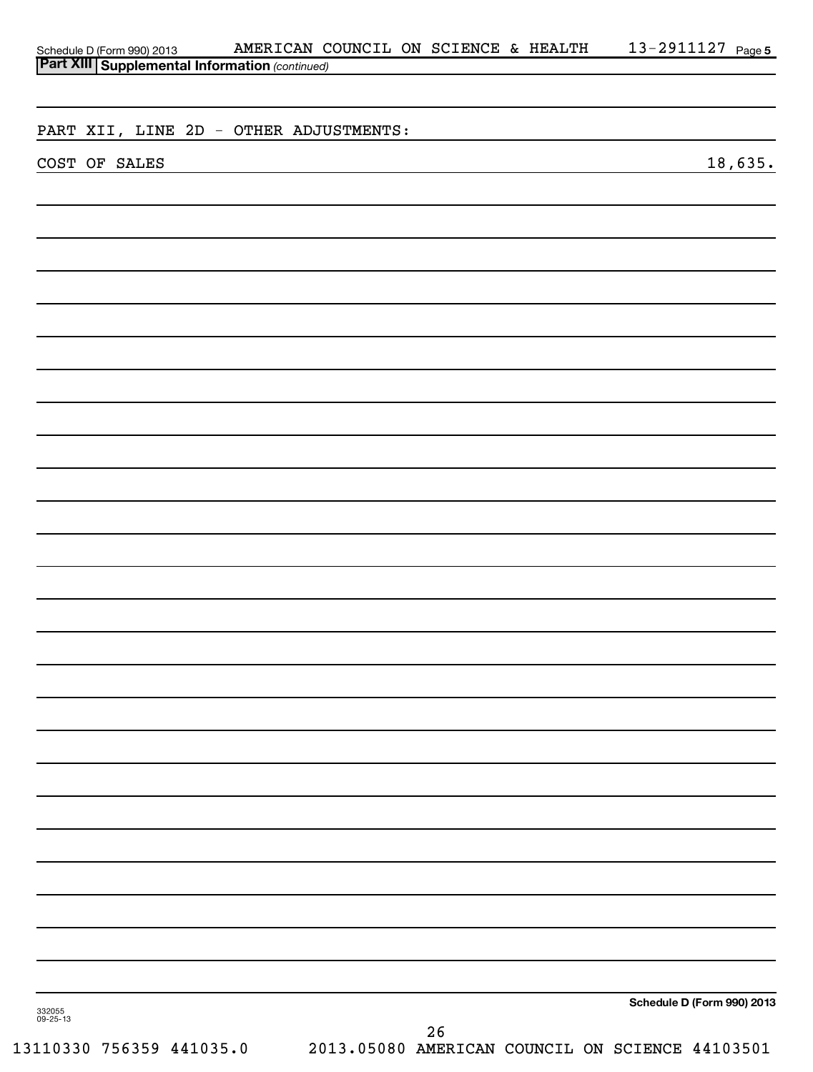| Schedule D (Form 990) 2013 AMERICAN C<br>Part XIII Supplemental Information (continued) |  | AMERICAN COUNCIL ON SCIENCE & HEALTH |  |    |  |  | 13-2911127 Page 5          |         |  |
|-----------------------------------------------------------------------------------------|--|--------------------------------------|--|----|--|--|----------------------------|---------|--|
|                                                                                         |  |                                      |  |    |  |  |                            |         |  |
|                                                                                         |  |                                      |  |    |  |  |                            |         |  |
|                                                                                         |  |                                      |  |    |  |  |                            |         |  |
| PART XII, LINE 2D - OTHER ADJUSTMENTS:                                                  |  |                                      |  |    |  |  |                            |         |  |
|                                                                                         |  |                                      |  |    |  |  |                            |         |  |
| COST OF SALES                                                                           |  |                                      |  |    |  |  |                            | 18,635. |  |
|                                                                                         |  |                                      |  |    |  |  |                            |         |  |
|                                                                                         |  |                                      |  |    |  |  |                            |         |  |
|                                                                                         |  |                                      |  |    |  |  |                            |         |  |
|                                                                                         |  |                                      |  |    |  |  |                            |         |  |
|                                                                                         |  |                                      |  |    |  |  |                            |         |  |
|                                                                                         |  |                                      |  |    |  |  |                            |         |  |
|                                                                                         |  |                                      |  |    |  |  |                            |         |  |
|                                                                                         |  |                                      |  |    |  |  |                            |         |  |
|                                                                                         |  |                                      |  |    |  |  |                            |         |  |
|                                                                                         |  |                                      |  |    |  |  |                            |         |  |
|                                                                                         |  |                                      |  |    |  |  |                            |         |  |
|                                                                                         |  |                                      |  |    |  |  |                            |         |  |
|                                                                                         |  |                                      |  |    |  |  |                            |         |  |
|                                                                                         |  |                                      |  |    |  |  |                            |         |  |
|                                                                                         |  |                                      |  |    |  |  |                            |         |  |
|                                                                                         |  |                                      |  |    |  |  |                            |         |  |
|                                                                                         |  |                                      |  |    |  |  |                            |         |  |
|                                                                                         |  |                                      |  |    |  |  |                            |         |  |
|                                                                                         |  |                                      |  |    |  |  |                            |         |  |
|                                                                                         |  |                                      |  |    |  |  |                            |         |  |
|                                                                                         |  |                                      |  |    |  |  |                            |         |  |
|                                                                                         |  |                                      |  |    |  |  |                            |         |  |
|                                                                                         |  |                                      |  |    |  |  |                            |         |  |
|                                                                                         |  |                                      |  |    |  |  |                            |         |  |
|                                                                                         |  |                                      |  |    |  |  |                            |         |  |
|                                                                                         |  |                                      |  |    |  |  |                            |         |  |
|                                                                                         |  |                                      |  |    |  |  |                            |         |  |
|                                                                                         |  |                                      |  |    |  |  |                            |         |  |
|                                                                                         |  |                                      |  |    |  |  |                            |         |  |
|                                                                                         |  |                                      |  |    |  |  |                            |         |  |
|                                                                                         |  |                                      |  |    |  |  |                            |         |  |
|                                                                                         |  |                                      |  |    |  |  |                            |         |  |
|                                                                                         |  |                                      |  |    |  |  |                            |         |  |
|                                                                                         |  |                                      |  |    |  |  |                            |         |  |
|                                                                                         |  |                                      |  |    |  |  |                            |         |  |
|                                                                                         |  |                                      |  |    |  |  |                            |         |  |
|                                                                                         |  |                                      |  |    |  |  |                            |         |  |
|                                                                                         |  |                                      |  |    |  |  |                            |         |  |
|                                                                                         |  |                                      |  |    |  |  |                            |         |  |
|                                                                                         |  |                                      |  |    |  |  |                            |         |  |
|                                                                                         |  |                                      |  |    |  |  |                            |         |  |
|                                                                                         |  |                                      |  |    |  |  |                            |         |  |
|                                                                                         |  |                                      |  |    |  |  |                            |         |  |
|                                                                                         |  |                                      |  |    |  |  |                            |         |  |
|                                                                                         |  |                                      |  |    |  |  | Schedule D (Form 990) 2013 |         |  |
| 332055<br>09-25-13                                                                      |  |                                      |  |    |  |  |                            |         |  |
|                                                                                         |  |                                      |  | 26 |  |  |                            |         |  |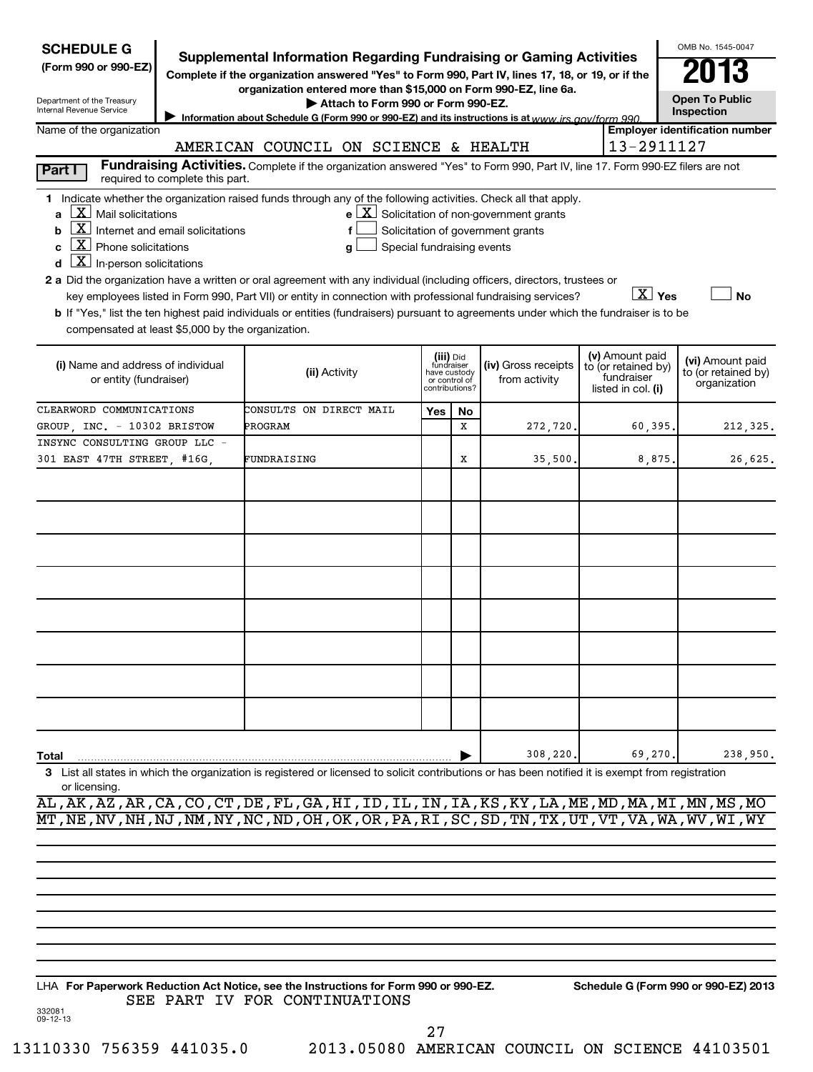| <b>SCHEDULE G</b><br>(Form 990 or 990-EZ)<br>Department of the Treasury<br>Internal Revenue Service                                                                                                                                                                                                                                                                                                                                                                                                                                                                                                                                                                                                                                                                         | <b>Supplemental Information Regarding Fundraising or Gaming Activities</b><br>Complete if the organization answered "Yes" to Form 990, Part IV, lines 17, 18, or 19, or if the<br>organization entered more than \$15,000 on Form 990-EZ, line 6a.<br>Attach to Form 990 or Form 990-EZ.<br>Information about Schedule G (Form 990 or 990-EZ) and its instructions is at www irs gov/form 990 |                                                                            |    |                                                                                                   |  |                                                                            | OMB No. 1545-0047<br><b>Open To Public</b><br>Inspection |  |  |  |  |
|-----------------------------------------------------------------------------------------------------------------------------------------------------------------------------------------------------------------------------------------------------------------------------------------------------------------------------------------------------------------------------------------------------------------------------------------------------------------------------------------------------------------------------------------------------------------------------------------------------------------------------------------------------------------------------------------------------------------------------------------------------------------------------|-----------------------------------------------------------------------------------------------------------------------------------------------------------------------------------------------------------------------------------------------------------------------------------------------------------------------------------------------------------------------------------------------|----------------------------------------------------------------------------|----|---------------------------------------------------------------------------------------------------|--|----------------------------------------------------------------------------|----------------------------------------------------------|--|--|--|--|
| Name of the organization                                                                                                                                                                                                                                                                                                                                                                                                                                                                                                                                                                                                                                                                                                                                                    |                                                                                                                                                                                                                                                                                                                                                                                               |                                                                            |    |                                                                                                   |  |                                                                            | <b>Employer identification number</b>                    |  |  |  |  |
| 13-2911127<br>AMERICAN COUNCIL ON SCIENCE & HEALTH<br>Fundraising Activities. Complete if the organization answered "Yes" to Form 990, Part IV, line 17. Form 990-EZ filers are not                                                                                                                                                                                                                                                                                                                                                                                                                                                                                                                                                                                         |                                                                                                                                                                                                                                                                                                                                                                                               |                                                                            |    |                                                                                                   |  |                                                                            |                                                          |  |  |  |  |
| Part I<br>required to complete this part.                                                                                                                                                                                                                                                                                                                                                                                                                                                                                                                                                                                                                                                                                                                                   |                                                                                                                                                                                                                                                                                                                                                                                               |                                                                            |    |                                                                                                   |  |                                                                            |                                                          |  |  |  |  |
| 1 Indicate whether the organization raised funds through any of the following activities. Check all that apply.<br>$ \mathbf{X} $ Mail solicitations<br>$\boxed{\text{X}}$ Internet and email solicitations<br>b<br>$\lfloor x \rfloor$ Phone solicitations<br>C<br>$\lfloor \underline{X} \rfloor$ In-person solicitations<br>d<br>2 a Did the organization have a written or oral agreement with any individual (including officers, directors, trustees or<br>key employees listed in Form 990, Part VII) or entity in connection with professional fundraising services?<br>b If "Yes," list the ten highest paid individuals or entities (fundraisers) pursuant to agreements under which the fundraiser is to be<br>compensated at least \$5,000 by the organization. | f<br>Special fundraising events<br>a                                                                                                                                                                                                                                                                                                                                                          |                                                                            |    | $e$ $\boxed{\text{X}}$ Solicitation of non-government grants<br>Solicitation of government grants |  | $\boxed{\text{X}}$ Yes                                                     | <b>No</b>                                                |  |  |  |  |
| (i) Name and address of individual<br>or entity (fundraiser)                                                                                                                                                                                                                                                                                                                                                                                                                                                                                                                                                                                                                                                                                                                | (ii) Activity                                                                                                                                                                                                                                                                                                                                                                                 | (iii) Did<br>fundraiser<br>have custody<br>or control of<br>contributions? |    | (iv) Gross receipts<br>from activity                                                              |  | (v) Amount paid<br>to (or retained by)<br>fundraiser<br>listed in col. (i) | (vi) Amount paid<br>to (or retained by)<br>organization  |  |  |  |  |
| CLEARWORD COMMUNICATIONS                                                                                                                                                                                                                                                                                                                                                                                                                                                                                                                                                                                                                                                                                                                                                    | CONSULTS ON DIRECT MAIL                                                                                                                                                                                                                                                                                                                                                                       | Yes                                                                        | No |                                                                                                   |  |                                                                            |                                                          |  |  |  |  |
| GROUP, INC. - 10302 BRISTOW<br>INSYNC CONSULTING GROUP LLC -                                                                                                                                                                                                                                                                                                                                                                                                                                                                                                                                                                                                                                                                                                                | PROGRAM                                                                                                                                                                                                                                                                                                                                                                                       |                                                                            | X  | 272,720.                                                                                          |  | 60,395,                                                                    | 212,325.                                                 |  |  |  |  |
| 301 EAST 47TH STREET, #16G,                                                                                                                                                                                                                                                                                                                                                                                                                                                                                                                                                                                                                                                                                                                                                 | FUNDRAISING                                                                                                                                                                                                                                                                                                                                                                                   |                                                                            | х  | 35,500,                                                                                           |  | 8,875.                                                                     | 26,625.                                                  |  |  |  |  |
|                                                                                                                                                                                                                                                                                                                                                                                                                                                                                                                                                                                                                                                                                                                                                                             |                                                                                                                                                                                                                                                                                                                                                                                               |                                                                            |    |                                                                                                   |  |                                                                            |                                                          |  |  |  |  |
|                                                                                                                                                                                                                                                                                                                                                                                                                                                                                                                                                                                                                                                                                                                                                                             |                                                                                                                                                                                                                                                                                                                                                                                               |                                                                            |    |                                                                                                   |  |                                                                            |                                                          |  |  |  |  |
| Total<br>3 List all states in which the organization is registered or licensed to solicit contributions or has been notified it is exempt from registration<br>or licensing.                                                                                                                                                                                                                                                                                                                                                                                                                                                                                                                                                                                                |                                                                                                                                                                                                                                                                                                                                                                                               |                                                                            |    | 308,220                                                                                           |  | 69,270.                                                                    | 238,950.                                                 |  |  |  |  |
| AL, AK, AZ, AR, CA, CO, CT, DE, FL, GA, HI, ID, IL, IN, IA, KS, KY, LA, ME, MD, MA, MI, MN, MS, MO<br>MT, NE, NV, NH, NJ, NM, NY, NC, ND, OH, OK, OR, PA, RI, SC, SD, TN, TX, UT, VT, VA, WA, WV, WI, WY                                                                                                                                                                                                                                                                                                                                                                                                                                                                                                                                                                    |                                                                                                                                                                                                                                                                                                                                                                                               |                                                                            |    |                                                                                                   |  |                                                                            |                                                          |  |  |  |  |
|                                                                                                                                                                                                                                                                                                                                                                                                                                                                                                                                                                                                                                                                                                                                                                             |                                                                                                                                                                                                                                                                                                                                                                                               |                                                                            |    |                                                                                                   |  |                                                                            |                                                          |  |  |  |  |

**For Paperwork Reduction Act Notice, see the Instructions for Form 990 or 990-EZ. Schedule G (Form 990 or 990-EZ) 2013** LHA SEE PART IV FOR CONTINUATIONS

27

332081 09-12-13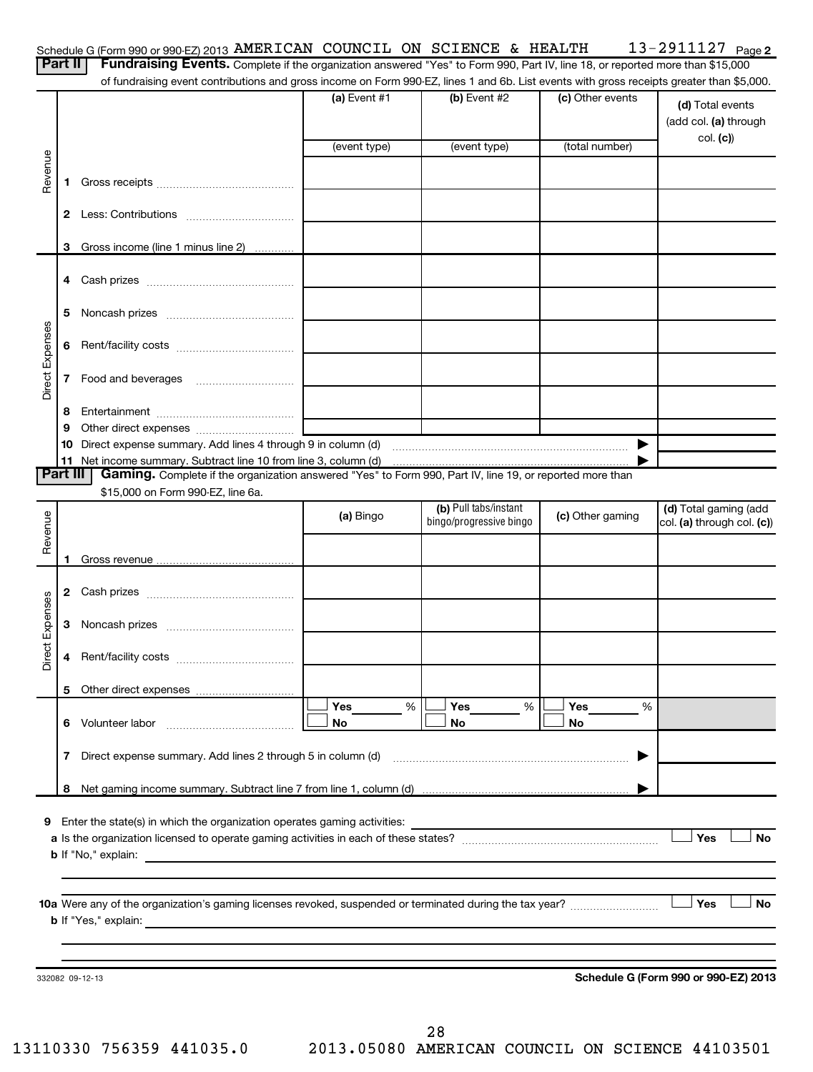| Fundraising Events. Complete if the organization answered "Yes" to Form 990, Part IV, line 18, or reported more than \$15,000<br>of fundraising event contributions and gross income on Form 990-EZ, lines 1 and 6b. List events with gross receipts greater than \$5,000.<br>$(a)$ Event #1<br>(b) Event #2<br>(c) Other events<br>(d) Total events<br>col. (c))<br>(total number)<br>(event type)<br>(event type)<br>Revenue<br>1.<br>Gross income (line 1 minus line 2)<br>3<br>5<br>Direct Expenses<br>6<br>7<br>8<br>9<br>$\blacktriangleright$<br>Part III<br>Gaming. Complete if the organization answered "Yes" to Form 990, Part IV, line 19, or reported more than<br>\$15,000 on Form 990-EZ, line 6a.<br>(b) Pull tabs/instant<br>Revenue<br>(c) Other gaming<br>(a) Bingo<br>bingo/progressive bingo<br>col. (a) through col. (c))<br>Expenses<br>3<br><b>ti</b><br>ă<br>Yes<br>$\%$<br>Yes<br>%<br>Yes<br>%<br>6 Volunteer labor<br>No<br>No<br>No<br>7<br>▶<br>Yes<br><b>b</b> If "No," explain:<br><u>and the second control of the second control of the second control of the second control of the second control of the second control of the second control of the second control of the second control of the second control </u><br>Yes | Part II | Schedule G (Form 990 or 990-EZ) 2013 AMERICAN COUNCIL ON SCIENCE & HEALTH |  | 13-2911127 $_{Page 2}$ |
|----------------------------------------------------------------------------------------------------------------------------------------------------------------------------------------------------------------------------------------------------------------------------------------------------------------------------------------------------------------------------------------------------------------------------------------------------------------------------------------------------------------------------------------------------------------------------------------------------------------------------------------------------------------------------------------------------------------------------------------------------------------------------------------------------------------------------------------------------------------------------------------------------------------------------------------------------------------------------------------------------------------------------------------------------------------------------------------------------------------------------------------------------------------------------------------------------------------------------------------------------------------|---------|---------------------------------------------------------------------------|--|------------------------|
|                                                                                                                                                                                                                                                                                                                                                                                                                                                                                                                                                                                                                                                                                                                                                                                                                                                                                                                                                                                                                                                                                                                                                                                                                                                                |         |                                                                           |  |                        |
|                                                                                                                                                                                                                                                                                                                                                                                                                                                                                                                                                                                                                                                                                                                                                                                                                                                                                                                                                                                                                                                                                                                                                                                                                                                                |         |                                                                           |  | (add col. (a) through  |
|                                                                                                                                                                                                                                                                                                                                                                                                                                                                                                                                                                                                                                                                                                                                                                                                                                                                                                                                                                                                                                                                                                                                                                                                                                                                |         |                                                                           |  |                        |
|                                                                                                                                                                                                                                                                                                                                                                                                                                                                                                                                                                                                                                                                                                                                                                                                                                                                                                                                                                                                                                                                                                                                                                                                                                                                |         |                                                                           |  |                        |
|                                                                                                                                                                                                                                                                                                                                                                                                                                                                                                                                                                                                                                                                                                                                                                                                                                                                                                                                                                                                                                                                                                                                                                                                                                                                |         |                                                                           |  |                        |
|                                                                                                                                                                                                                                                                                                                                                                                                                                                                                                                                                                                                                                                                                                                                                                                                                                                                                                                                                                                                                                                                                                                                                                                                                                                                |         |                                                                           |  |                        |
|                                                                                                                                                                                                                                                                                                                                                                                                                                                                                                                                                                                                                                                                                                                                                                                                                                                                                                                                                                                                                                                                                                                                                                                                                                                                |         |                                                                           |  |                        |
|                                                                                                                                                                                                                                                                                                                                                                                                                                                                                                                                                                                                                                                                                                                                                                                                                                                                                                                                                                                                                                                                                                                                                                                                                                                                |         |                                                                           |  |                        |
|                                                                                                                                                                                                                                                                                                                                                                                                                                                                                                                                                                                                                                                                                                                                                                                                                                                                                                                                                                                                                                                                                                                                                                                                                                                                |         |                                                                           |  |                        |
|                                                                                                                                                                                                                                                                                                                                                                                                                                                                                                                                                                                                                                                                                                                                                                                                                                                                                                                                                                                                                                                                                                                                                                                                                                                                |         |                                                                           |  |                        |
|                                                                                                                                                                                                                                                                                                                                                                                                                                                                                                                                                                                                                                                                                                                                                                                                                                                                                                                                                                                                                                                                                                                                                                                                                                                                |         |                                                                           |  |                        |
|                                                                                                                                                                                                                                                                                                                                                                                                                                                                                                                                                                                                                                                                                                                                                                                                                                                                                                                                                                                                                                                                                                                                                                                                                                                                |         |                                                                           |  |                        |
|                                                                                                                                                                                                                                                                                                                                                                                                                                                                                                                                                                                                                                                                                                                                                                                                                                                                                                                                                                                                                                                                                                                                                                                                                                                                |         |                                                                           |  |                        |
|                                                                                                                                                                                                                                                                                                                                                                                                                                                                                                                                                                                                                                                                                                                                                                                                                                                                                                                                                                                                                                                                                                                                                                                                                                                                |         |                                                                           |  |                        |
|                                                                                                                                                                                                                                                                                                                                                                                                                                                                                                                                                                                                                                                                                                                                                                                                                                                                                                                                                                                                                                                                                                                                                                                                                                                                |         |                                                                           |  |                        |
|                                                                                                                                                                                                                                                                                                                                                                                                                                                                                                                                                                                                                                                                                                                                                                                                                                                                                                                                                                                                                                                                                                                                                                                                                                                                |         |                                                                           |  |                        |
|                                                                                                                                                                                                                                                                                                                                                                                                                                                                                                                                                                                                                                                                                                                                                                                                                                                                                                                                                                                                                                                                                                                                                                                                                                                                |         |                                                                           |  | (d) Total gaming (add  |
|                                                                                                                                                                                                                                                                                                                                                                                                                                                                                                                                                                                                                                                                                                                                                                                                                                                                                                                                                                                                                                                                                                                                                                                                                                                                |         |                                                                           |  |                        |
|                                                                                                                                                                                                                                                                                                                                                                                                                                                                                                                                                                                                                                                                                                                                                                                                                                                                                                                                                                                                                                                                                                                                                                                                                                                                |         |                                                                           |  |                        |
|                                                                                                                                                                                                                                                                                                                                                                                                                                                                                                                                                                                                                                                                                                                                                                                                                                                                                                                                                                                                                                                                                                                                                                                                                                                                |         |                                                                           |  |                        |
|                                                                                                                                                                                                                                                                                                                                                                                                                                                                                                                                                                                                                                                                                                                                                                                                                                                                                                                                                                                                                                                                                                                                                                                                                                                                |         |                                                                           |  |                        |
|                                                                                                                                                                                                                                                                                                                                                                                                                                                                                                                                                                                                                                                                                                                                                                                                                                                                                                                                                                                                                                                                                                                                                                                                                                                                |         |                                                                           |  |                        |
|                                                                                                                                                                                                                                                                                                                                                                                                                                                                                                                                                                                                                                                                                                                                                                                                                                                                                                                                                                                                                                                                                                                                                                                                                                                                |         |                                                                           |  |                        |
|                                                                                                                                                                                                                                                                                                                                                                                                                                                                                                                                                                                                                                                                                                                                                                                                                                                                                                                                                                                                                                                                                                                                                                                                                                                                |         |                                                                           |  |                        |
|                                                                                                                                                                                                                                                                                                                                                                                                                                                                                                                                                                                                                                                                                                                                                                                                                                                                                                                                                                                                                                                                                                                                                                                                                                                                |         |                                                                           |  |                        |
|                                                                                                                                                                                                                                                                                                                                                                                                                                                                                                                                                                                                                                                                                                                                                                                                                                                                                                                                                                                                                                                                                                                                                                                                                                                                |         |                                                                           |  |                        |
|                                                                                                                                                                                                                                                                                                                                                                                                                                                                                                                                                                                                                                                                                                                                                                                                                                                                                                                                                                                                                                                                                                                                                                                                                                                                |         |                                                                           |  |                        |
|                                                                                                                                                                                                                                                                                                                                                                                                                                                                                                                                                                                                                                                                                                                                                                                                                                                                                                                                                                                                                                                                                                                                                                                                                                                                |         |                                                                           |  | <b>No</b>              |
|                                                                                                                                                                                                                                                                                                                                                                                                                                                                                                                                                                                                                                                                                                                                                                                                                                                                                                                                                                                                                                                                                                                                                                                                                                                                |         |                                                                           |  |                        |
|                                                                                                                                                                                                                                                                                                                                                                                                                                                                                                                                                                                                                                                                                                                                                                                                                                                                                                                                                                                                                                                                                                                                                                                                                                                                |         |                                                                           |  | No                     |
|                                                                                                                                                                                                                                                                                                                                                                                                                                                                                                                                                                                                                                                                                                                                                                                                                                                                                                                                                                                                                                                                                                                                                                                                                                                                |         |                                                                           |  |                        |
| Schedule G (Form 990 or 990-EZ) 2013<br>332082 09-12-13                                                                                                                                                                                                                                                                                                                                                                                                                                                                                                                                                                                                                                                                                                                                                                                                                                                                                                                                                                                                                                                                                                                                                                                                        |         |                                                                           |  |                        |

28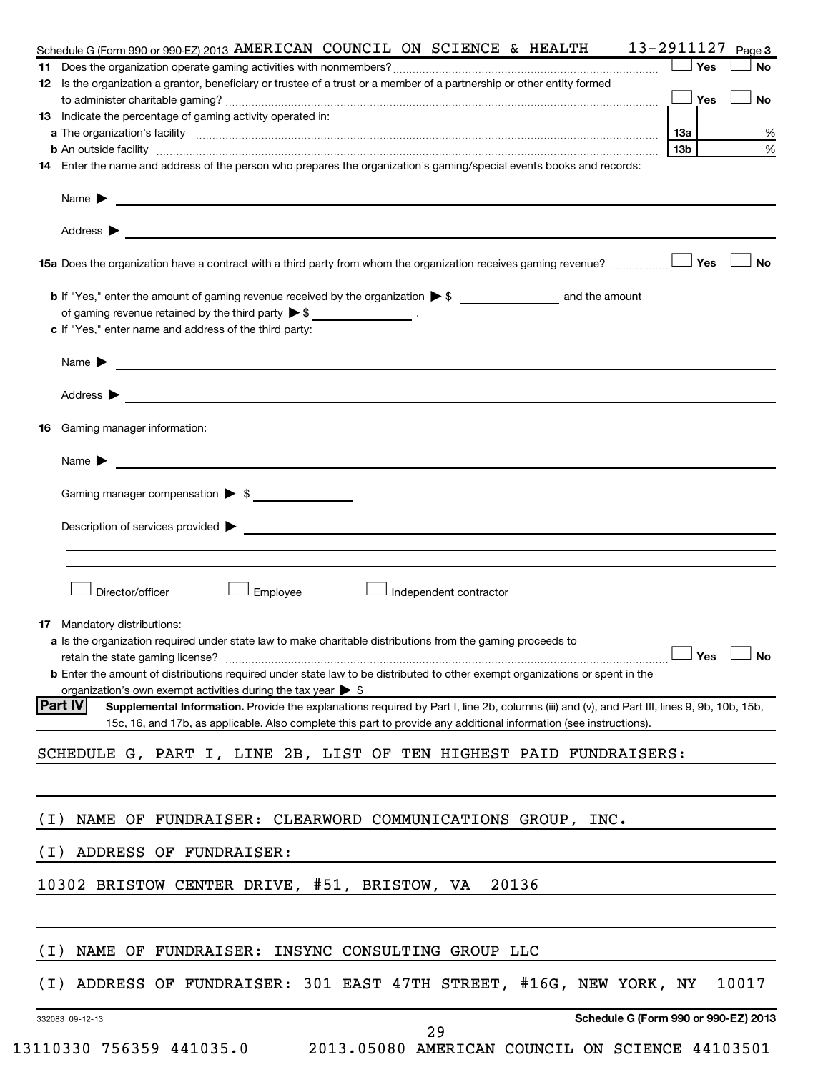| Schedule G (Form 990 or 990-EZ) 2013 AMERICAN COUNCIL ON SCIENCE & HEALTH $13-2911127$<br>Page 3                                                                                                                                                                                                                                                                                                                      |
|-----------------------------------------------------------------------------------------------------------------------------------------------------------------------------------------------------------------------------------------------------------------------------------------------------------------------------------------------------------------------------------------------------------------------|
| Yes                                                                                                                                                                                                                                                                                                                                                                                                                   |
| 12 Is the organization a grantor, beneficiary or trustee of a trust or a member of a partnership or other entity formed                                                                                                                                                                                                                                                                                               |
| $\Box$ Yes                                                                                                                                                                                                                                                                                                                                                                                                            |
| 13 Indicate the percentage of gaming activity operated in:                                                                                                                                                                                                                                                                                                                                                            |
| a The organization's facility measurements are all the control of the control of the control of the control of the control of the control of the control of the control of the control of the control of the control of the co<br>  13a                                                                                                                                                                               |
| 13b                                                                                                                                                                                                                                                                                                                                                                                                                   |
| 14 Enter the name and address of the person who prepares the organization's gaming/special events books and records:                                                                                                                                                                                                                                                                                                  |
| Name $\blacktriangleright$ $\frac{1}{\sqrt{1-\frac{1}{2}}\sqrt{1-\frac{1}{2}}\sqrt{1-\frac{1}{2}}\sqrt{1-\frac{1}{2}}\sqrt{1-\frac{1}{2}}\sqrt{1-\frac{1}{2}}\sqrt{1-\frac{1}{2}}\sqrt{1-\frac{1}{2}}\sqrt{1-\frac{1}{2}}\sqrt{1-\frac{1}{2}}\sqrt{1-\frac{1}{2}}\sqrt{1-\frac{1}{2}}\sqrt{1-\frac{1}{2}}\sqrt{1-\frac{1}{2}}\sqrt{1-\frac{1}{2}}\sqrt{1-\frac{1}{2}}\sqrt{1-\frac{1}{2}}\sqrt{1-\frac{1}{2}}\sqrt{1$ |
| Address $\blacktriangleright$<br>and the control of the control of the control of the control of the control of the control of the control of the                                                                                                                                                                                                                                                                     |
| Yes<br>15a Does the organization have a contract with a third party from whom the organization receives gaming revenue?                                                                                                                                                                                                                                                                                               |
|                                                                                                                                                                                                                                                                                                                                                                                                                       |
| of gaming revenue retained by the third party $\triangleright$ \$ _________________.                                                                                                                                                                                                                                                                                                                                  |
| c If "Yes," enter name and address of the third party:                                                                                                                                                                                                                                                                                                                                                                |
| Name $\blacktriangleright$ $\frac{1}{\sqrt{1-\frac{1}{2}}\left(1-\frac{1}{2}\right)}$                                                                                                                                                                                                                                                                                                                                 |
| Address $\blacktriangleright$<br><u> 1980 - Johann Stein, marwolaethau a bhann an t-Amhain an t-Amhain an t-Amhain an t-Amhain an t-Amhain an t-A</u>                                                                                                                                                                                                                                                                 |
| Gaming manager information:<br>16                                                                                                                                                                                                                                                                                                                                                                                     |
| Name $\blacktriangleright$ $\frac{1}{\sqrt{1-\frac{1}{2}}\left(1-\frac{1}{2}\right)}$                                                                                                                                                                                                                                                                                                                                 |
|                                                                                                                                                                                                                                                                                                                                                                                                                       |
| Gaming manager compensation > \$                                                                                                                                                                                                                                                                                                                                                                                      |
|                                                                                                                                                                                                                                                                                                                                                                                                                       |
|                                                                                                                                                                                                                                                                                                                                                                                                                       |
|                                                                                                                                                                                                                                                                                                                                                                                                                       |
|                                                                                                                                                                                                                                                                                                                                                                                                                       |
| Employee<br>Director/officer<br>Independent contractor                                                                                                                                                                                                                                                                                                                                                                |
|                                                                                                                                                                                                                                                                                                                                                                                                                       |
| Mandatory distributions:<br>17                                                                                                                                                                                                                                                                                                                                                                                        |
| a Is the organization required under state law to make charitable distributions from the gaming proceeds to                                                                                                                                                                                                                                                                                                           |
| $\Box$ Yes $\Box$ No<br>retain the state gaming license?                                                                                                                                                                                                                                                                                                                                                              |
| <b>b</b> Enter the amount of distributions required under state law to be distributed to other exempt organizations or spent in the                                                                                                                                                                                                                                                                                   |
| organization's own exempt activities during the tax year $\triangleright$ \$                                                                                                                                                                                                                                                                                                                                          |
| <b>Part IV</b><br>Supplemental Information. Provide the explanations required by Part I, line 2b, columns (iii) and (v), and Part III, lines 9, 9b, 10b, 15b,                                                                                                                                                                                                                                                         |
| 15c, 16, and 17b, as applicable. Also complete this part to provide any additional information (see instructions).                                                                                                                                                                                                                                                                                                    |
| SCHEDULE G, PART I, LINE 2B, LIST OF TEN HIGHEST PAID FUNDRAISERS:                                                                                                                                                                                                                                                                                                                                                    |
|                                                                                                                                                                                                                                                                                                                                                                                                                       |
| NAME OF FUNDRAISER: CLEARWORD COMMUNICATIONS GROUP, INC.<br>( I )                                                                                                                                                                                                                                                                                                                                                     |
|                                                                                                                                                                                                                                                                                                                                                                                                                       |
| ( I )<br>ADDRESS OF FUNDRAISER:                                                                                                                                                                                                                                                                                                                                                                                       |
| 10302 BRISTOW CENTER DRIVE, #51, BRISTOW, VA<br>20136                                                                                                                                                                                                                                                                                                                                                                 |
|                                                                                                                                                                                                                                                                                                                                                                                                                       |
| NAME OF FUNDRAISER: INSYNC CONSULTING GROUP LLC<br>( I )                                                                                                                                                                                                                                                                                                                                                              |
|                                                                                                                                                                                                                                                                                                                                                                                                                       |
| ADDRESS OF FUNDRAISER: 301 EAST 47TH STREET, #16G, NEW YORK, NY<br>10017<br>( I )                                                                                                                                                                                                                                                                                                                                     |
| Schedule G (Form 990 or 990-EZ) 2013<br>332083 09-12-13<br>29                                                                                                                                                                                                                                                                                                                                                         |
| 13110330 756359 441035.0<br>2013.05080 AMERICAN COUNCIL ON SCIENCE 44103501                                                                                                                                                                                                                                                                                                                                           |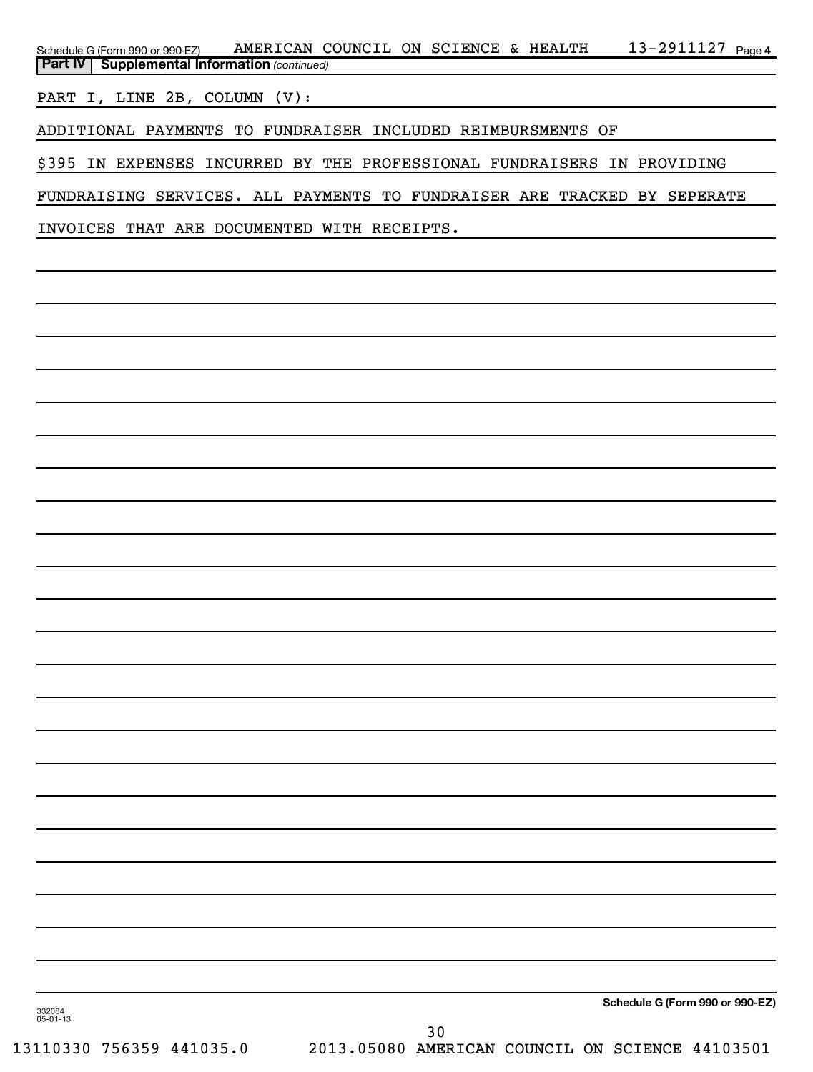13-2911127 <sub>Page 4</sub> **Part IV** | Supplemental Information (continued) Schedule G (Form 990 or 990-EZ) AMERICAN COUNCIL ON SCIENCE & HEALTH  $13$  –  $2911127$   $_{\rm Page}$ 

PART I, LINE 2B, COLUMN (V):

ADDITIONAL PAYMENTS TO FUNDRAISER INCLUDED REIMBURSMENTS OF

\$395 IN EXPENSES INCURRED BY THE PROFESSIONAL FUNDRAISERS IN PROVIDING

FUNDRAISING SERVICES. ALL PAYMENTS TO FUNDRAISER ARE TRACKED BY SEPERATE

INVOICES THAT ARE DOCUMENTED WITH RECEIPTS.

**Schedule G (Form 990 or 990-EZ)**

332084 05-01-13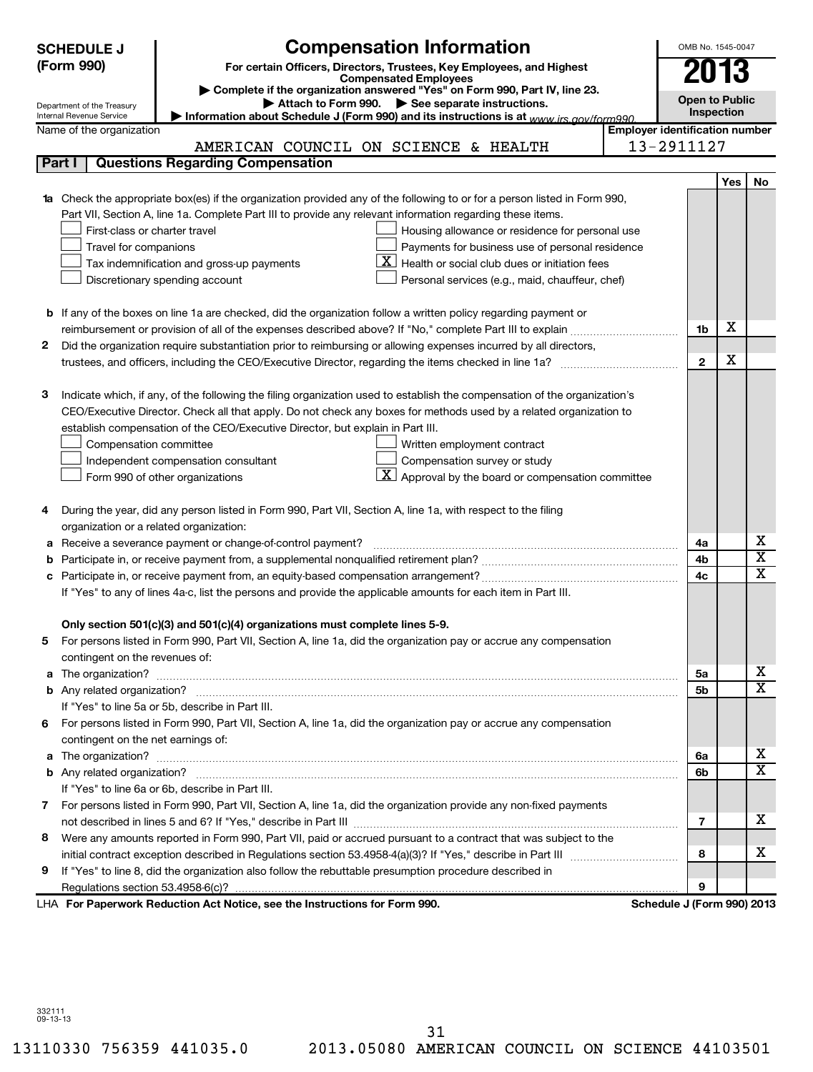|        | <b>SCHEDULE J</b>                                                                                                | <b>Compensation Information</b>                                                                                                  |                                       | OMB No. 1545-0047          |            |                         |  |  |
|--------|------------------------------------------------------------------------------------------------------------------|----------------------------------------------------------------------------------------------------------------------------------|---------------------------------------|----------------------------|------------|-------------------------|--|--|
|        | (Form 990)                                                                                                       | For certain Officers, Directors, Trustees, Key Employees, and Highest                                                            |                                       | 2013                       |            |                         |  |  |
|        |                                                                                                                  | <b>Compensated Employees</b>                                                                                                     |                                       |                            |            |                         |  |  |
|        | Department of the Treasury                                                                                       | Complete if the organization answered "Yes" on Form 990, Part IV, line 23.<br>Attach to Form 990. See separate instructions.     |                                       | <b>Open to Public</b>      |            |                         |  |  |
|        | Internal Revenue Service                                                                                         | Information about Schedule J (Form 990) and its instructions is at www irs gov/form990                                           |                                       |                            | Inspection |                         |  |  |
|        | Name of the organization                                                                                         |                                                                                                                                  | <b>Employer identification number</b> |                            |            |                         |  |  |
|        |                                                                                                                  | AMERICAN COUNCIL ON SCIENCE & HEALTH                                                                                             | 13-2911127                            |                            |            |                         |  |  |
| Part I |                                                                                                                  | <b>Questions Regarding Compensation</b>                                                                                          |                                       |                            |            |                         |  |  |
|        |                                                                                                                  |                                                                                                                                  |                                       |                            | Yes        | No                      |  |  |
|        |                                                                                                                  | <b>1a</b> Check the appropriate box(es) if the organization provided any of the following to or for a person listed in Form 990, |                                       |                            |            |                         |  |  |
|        |                                                                                                                  | Part VII, Section A, line 1a. Complete Part III to provide any relevant information regarding these items.                       |                                       |                            |            |                         |  |  |
|        | First-class or charter travel                                                                                    | Housing allowance or residence for personal use                                                                                  |                                       |                            |            |                         |  |  |
|        | Travel for companions                                                                                            | Payments for business use of personal residence                                                                                  |                                       |                            |            |                         |  |  |
|        |                                                                                                                  | $\mathbf{X}$ Health or social club dues or initiation fees<br>Tax indemnification and gross-up payments                          |                                       |                            |            |                         |  |  |
|        | Discretionary spending account<br>Personal services (e.g., maid, chauffeur, chef)                                |                                                                                                                                  |                                       |                            |            |                         |  |  |
|        |                                                                                                                  |                                                                                                                                  |                                       |                            |            |                         |  |  |
|        |                                                                                                                  | <b>b</b> If any of the boxes on line 1a are checked, did the organization follow a written policy regarding payment or           |                                       |                            | х          |                         |  |  |
|        |                                                                                                                  |                                                                                                                                  |                                       |                            |            |                         |  |  |
| 2      | Did the organization require substantiation prior to reimbursing or allowing expenses incurred by all directors, |                                                                                                                                  |                                       |                            |            |                         |  |  |
|        |                                                                                                                  |                                                                                                                                  |                                       |                            |            |                         |  |  |
|        |                                                                                                                  |                                                                                                                                  |                                       |                            |            |                         |  |  |
| з      |                                                                                                                  | Indicate which, if any, of the following the filing organization used to establish the compensation of the organization's        |                                       |                            |            |                         |  |  |
|        |                                                                                                                  | CEO/Executive Director. Check all that apply. Do not check any boxes for methods used by a related organization to               |                                       |                            |            |                         |  |  |
|        |                                                                                                                  | establish compensation of the CEO/Executive Director, but explain in Part III.                                                   |                                       |                            |            |                         |  |  |
|        | Compensation committee                                                                                           | Written employment contract                                                                                                      |                                       |                            |            |                         |  |  |
|        |                                                                                                                  | Compensation survey or study<br>Independent compensation consultant                                                              |                                       |                            |            |                         |  |  |
|        |                                                                                                                  | $\mathbf{X}$ Approval by the board or compensation committee<br>Form 990 of other organizations                                  |                                       |                            |            |                         |  |  |
|        |                                                                                                                  |                                                                                                                                  |                                       |                            |            |                         |  |  |
| 4      |                                                                                                                  | During the year, did any person listed in Form 990, Part VII, Section A, line 1a, with respect to the filing                     |                                       |                            |            |                         |  |  |
|        |                                                                                                                  | organization or a related organization:                                                                                          |                                       |                            |            |                         |  |  |
| а      |                                                                                                                  | Receive a severance payment or change-of-control payment?                                                                        |                                       | 4a                         |            | х                       |  |  |
| b      |                                                                                                                  |                                                                                                                                  |                                       | 4b                         |            | $\overline{\textbf{x}}$ |  |  |
| с      |                                                                                                                  |                                                                                                                                  |                                       | 4c                         |            | $\overline{\mathbf{x}}$ |  |  |
|        |                                                                                                                  | If "Yes" to any of lines 4a-c, list the persons and provide the applicable amounts for each item in Part III.                    |                                       |                            |            |                         |  |  |
|        |                                                                                                                  |                                                                                                                                  |                                       |                            |            |                         |  |  |
|        |                                                                                                                  | Only section 501(c)(3) and 501(c)(4) organizations must complete lines 5-9.                                                      |                                       |                            |            |                         |  |  |
|        |                                                                                                                  | For persons listed in Form 990, Part VII, Section A, line 1a, did the organization pay or accrue any compensation                |                                       |                            |            |                         |  |  |
|        | contingent on the revenues of:                                                                                   |                                                                                                                                  |                                       |                            |            |                         |  |  |
|        |                                                                                                                  |                                                                                                                                  |                                       | 5a                         |            | х                       |  |  |
|        |                                                                                                                  |                                                                                                                                  |                                       | 5 <sub>b</sub>             |            | $\overline{\mathbf{x}}$ |  |  |
|        |                                                                                                                  | If "Yes" to line 5a or 5b, describe in Part III.                                                                                 |                                       |                            |            |                         |  |  |
| 6.     |                                                                                                                  | For persons listed in Form 990, Part VII, Section A, line 1a, did the organization pay or accrue any compensation                |                                       |                            |            |                         |  |  |
|        | contingent on the net earnings of:                                                                               |                                                                                                                                  |                                       |                            |            |                         |  |  |
| a      |                                                                                                                  |                                                                                                                                  |                                       | 6a                         |            | х                       |  |  |
|        |                                                                                                                  |                                                                                                                                  |                                       | 6b                         |            | $\overline{\mathbf{x}}$ |  |  |
|        |                                                                                                                  | If "Yes" to line 6a or 6b, describe in Part III.                                                                                 |                                       |                            |            |                         |  |  |
| 7      |                                                                                                                  | For persons listed in Form 990, Part VII, Section A, line 1a, did the organization provide any non-fixed payments                |                                       |                            |            |                         |  |  |
|        |                                                                                                                  |                                                                                                                                  |                                       | $\overline{7}$             |            | X                       |  |  |
| 8      |                                                                                                                  | Were any amounts reported in Form 990, Part VII, paid or accrued pursuant to a contract that was subject to the                  |                                       |                            |            |                         |  |  |
|        |                                                                                                                  |                                                                                                                                  |                                       | 8                          |            | X                       |  |  |
| 9      |                                                                                                                  | If "Yes" to line 8, did the organization also follow the rebuttable presumption procedure described in                           |                                       |                            |            |                         |  |  |
|        |                                                                                                                  |                                                                                                                                  |                                       | 9                          |            |                         |  |  |
|        |                                                                                                                  | LHA For Paperwork Reduction Act Notice, see the Instructions for Form 990.                                                       |                                       | Schedule J (Form 990) 2013 |            |                         |  |  |

332111 09-13-13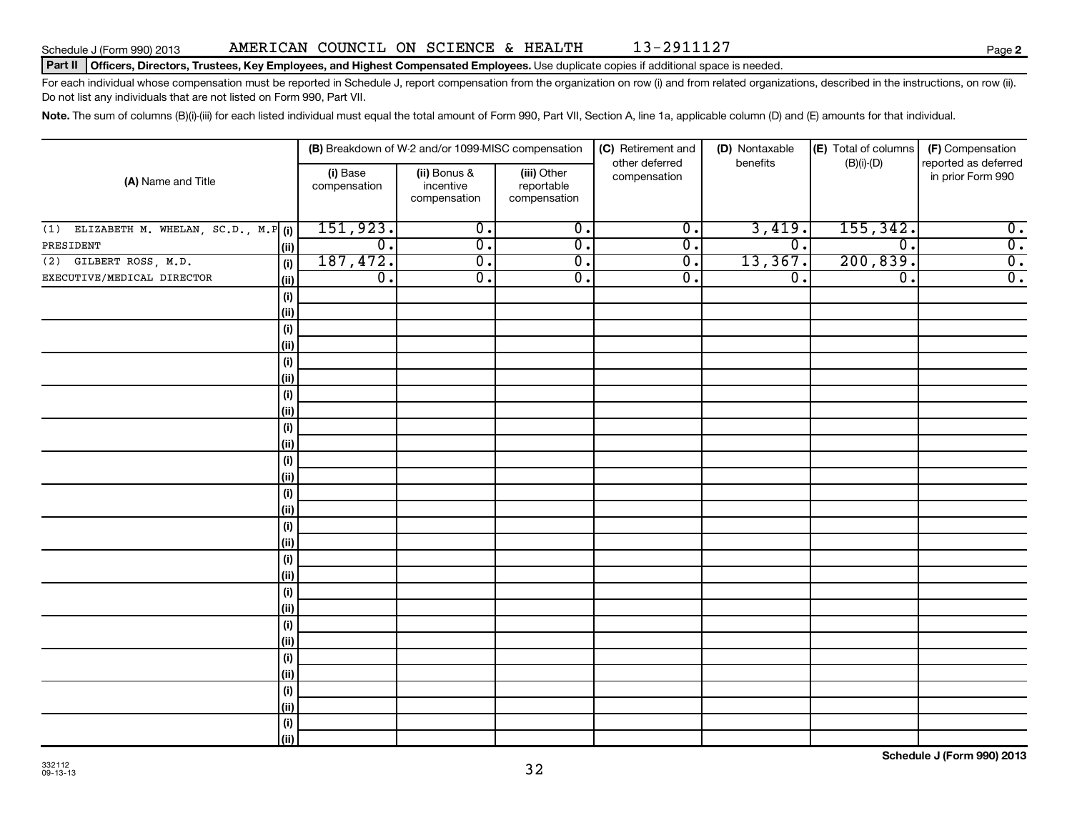# Part II | Officers, Directors, Trustees, Key Employees, and Highest Compensated Employees. Use duplicate copies if additional space is needed.

For each individual whose compensation must be reported in Schedule J, report compensation from the organization on row (i) and from related organizations, described in the instructions, on row (ii). Do not list any individuals that are not listed on Form 990, Part VII.

Note. The sum of columns (B)(i)-(iii) for each listed individual must equal the total amount of Form 990, Part VII, Section A, line 1a, applicable column (D) and (E) amounts for that individual.

|                                            |                          | (B) Breakdown of W-2 and/or 1099-MISC compensation |                                           | (C) Retirement and             | (D) Nontaxable              | (E) Total of columns | (F) Compensation                          |
|--------------------------------------------|--------------------------|----------------------------------------------------|-------------------------------------------|--------------------------------|-----------------------------|----------------------|-------------------------------------------|
| (A) Name and Title                         | (i) Base<br>compensation | (ii) Bonus &<br>incentive<br>compensation          | (iii) Other<br>reportable<br>compensation | other deferred<br>compensation | benefits                    | $(B)(i)-(D)$         | reported as deferred<br>in prior Form 990 |
| ELIZABETH M. WHELAN, SC.D., M.P (i)<br>(1) | 151,923.                 | $\overline{0}$ .                                   | $\overline{0}$ .                          | $\overline{0}$ .               | 3,419.                      | 155, 342.            | $\overline{0}$ .                          |
| PRESIDENT<br>(ii)                          | $\overline{0}$ .         | $\overline{0}$ .                                   | $\overline{0}$ .                          | $\overline{\mathfrak{o}}$ .    | $\overline{\mathfrak{o}}$ . | $\overline{0}$ .     | $\overline{0}$ .                          |
| GILBERT ROSS, M.D.<br>(2)<br>(i)           | 187,472.                 | $\overline{0}$ .                                   | $\overline{0}$ .                          | $\overline{0}$ .               | 13,367.                     | 200, 839.            | $\overline{0}$ .                          |
| EXECUTIVE/MEDICAL DIRECTOR<br>(ii)         | $\overline{0}$ .         | $\overline{0}$ .                                   | $\overline{0}$ .                          | $\overline{\mathfrak{o}}$ .    | $\overline{0}$ .            | $\overline{0}$ .     | $\overline{0}$ .                          |
| (i)                                        |                          |                                                    |                                           |                                |                             |                      |                                           |
| (ii)                                       |                          |                                                    |                                           |                                |                             |                      |                                           |
| (i)                                        |                          |                                                    |                                           |                                |                             |                      |                                           |
| (ii)                                       |                          |                                                    |                                           |                                |                             |                      |                                           |
| (i)                                        |                          |                                                    |                                           |                                |                             |                      |                                           |
| (ii)                                       |                          |                                                    |                                           |                                |                             |                      |                                           |
| (i)                                        |                          |                                                    |                                           |                                |                             |                      |                                           |
| (ii)                                       |                          |                                                    |                                           |                                |                             |                      |                                           |
| $\qquad \qquad \textbf{(i)}$               |                          |                                                    |                                           |                                |                             |                      |                                           |
| (ii)                                       |                          |                                                    |                                           |                                |                             |                      |                                           |
| (i)                                        |                          |                                                    |                                           |                                |                             |                      |                                           |
| (ii)                                       |                          |                                                    |                                           |                                |                             |                      |                                           |
| (i)                                        |                          |                                                    |                                           |                                |                             |                      |                                           |
| (ii)                                       |                          |                                                    |                                           |                                |                             |                      |                                           |
| (i)<br>(ii)                                |                          |                                                    |                                           |                                |                             |                      |                                           |
| (i)                                        |                          |                                                    |                                           |                                |                             |                      |                                           |
| (ii)                                       |                          |                                                    |                                           |                                |                             |                      |                                           |
| (i)                                        |                          |                                                    |                                           |                                |                             |                      |                                           |
| (ii)                                       |                          |                                                    |                                           |                                |                             |                      |                                           |
| (i)                                        |                          |                                                    |                                           |                                |                             |                      |                                           |
| (ii)                                       |                          |                                                    |                                           |                                |                             |                      |                                           |
| (i)                                        |                          |                                                    |                                           |                                |                             |                      |                                           |
| (ii)                                       |                          |                                                    |                                           |                                |                             |                      |                                           |
| $(\sf{i})$                                 |                          |                                                    |                                           |                                |                             |                      |                                           |
| (ii)                                       |                          |                                                    |                                           |                                |                             |                      |                                           |
| $(\sf{i})$                                 |                          |                                                    |                                           |                                |                             |                      |                                           |
| (ii)                                       |                          |                                                    |                                           |                                |                             |                      |                                           |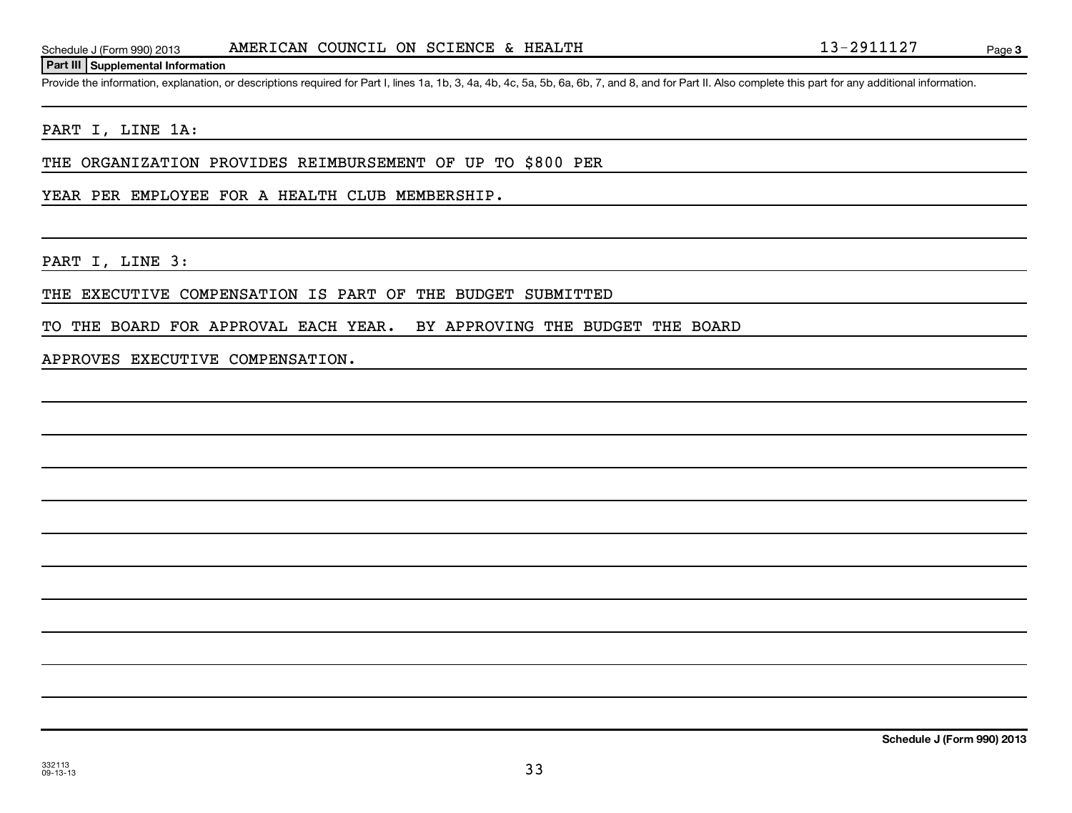Provide the information, explanation, or descriptions required for Part I, lines 1a, 1b, 3, 4a, 4b, 4c, 5a, 5b, 6a, 6b, 7, and 8, and for Part II. Also complete this part for any additional information.

# PART I, LINE 1A:

THE ORGANIZATION PROVIDES REIMBURSEMENT OF UP TO \$800 PER

YEAR PER EMPLOYEE FOR A HEALTH CLUB MEMBERSHIP.

PART I, LINE 3:

THE EXECUTIVE COMPENSATION IS PART OF THE BUDGET SUBMITTED

TO THE BOARD FOR APPROVAL EACH YEAR. BY APPROVING THE BUDGET THE BOARD

APPROVES EXECUTIVE COMPENSATION.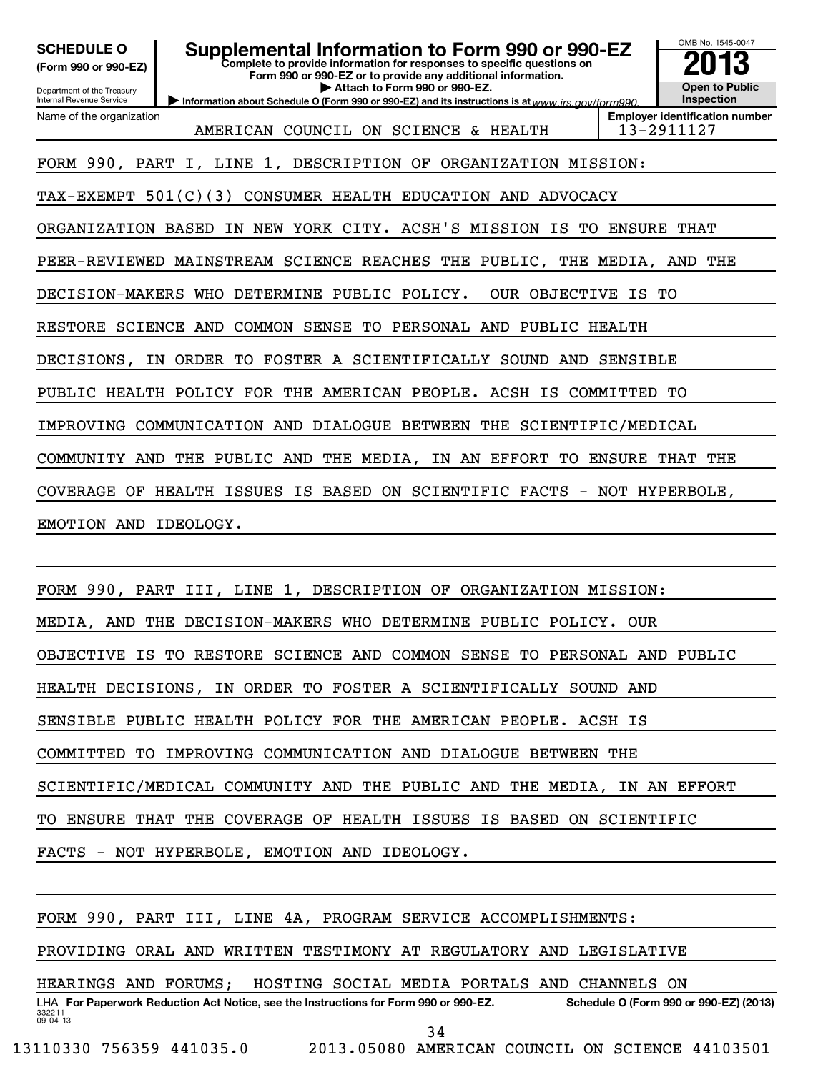| <b>SCHEDULE O</b><br>(Form 990 or 990-EZ)<br>Department of the Treasury<br>Internal Revenue Service | <b>Supplemental Information to Form 990 or 990-EZ</b>                                                                                    | OMB No. 1545-0047<br><b>Open to Public</b><br>Inspection |                                                     |  |  |  |  |  |  |
|-----------------------------------------------------------------------------------------------------|------------------------------------------------------------------------------------------------------------------------------------------|----------------------------------------------------------|-----------------------------------------------------|--|--|--|--|--|--|
| Name of the organization                                                                            | Information about Schedule O (Form 990 or 990-EZ) and its instructions is at www.jrs.gov/form990<br>AMERICAN COUNCIL ON SCIENCE & HEALTH |                                                          | <b>Employer identification number</b><br>13-2911127 |  |  |  |  |  |  |
|                                                                                                     | FORM 990, PART I, LINE 1, DESCRIPTION OF ORGANIZATION MISSION:                                                                           |                                                          |                                                     |  |  |  |  |  |  |
| TAX-EXEMPT 501(C)(3) CONSUMER HEALTH EDUCATION AND ADVOCACY                                         |                                                                                                                                          |                                                          |                                                     |  |  |  |  |  |  |
|                                                                                                     | ORGANIZATION BASED IN NEW YORK CITY. ACSH'S MISSION IS                                                                                   | TO ENSURE THAT                                           |                                                     |  |  |  |  |  |  |
|                                                                                                     | PEER-REVIEWED MAINSTREAM SCIENCE REACHES THE PUBLIC, THE MEDIA, AND THE                                                                  |                                                          |                                                     |  |  |  |  |  |  |
|                                                                                                     | OUR OBJECTIVE IS TO<br>DECISION-MAKERS WHO DETERMINE PUBLIC POLICY.                                                                      |                                                          |                                                     |  |  |  |  |  |  |
|                                                                                                     | RESTORE SCIENCE AND COMMON SENSE TO PERSONAL AND PUBLIC HEALTH                                                                           |                                                          |                                                     |  |  |  |  |  |  |
| DECISIONS,                                                                                          | IN ORDER TO FOSTER A SCIENTIFICALLY SOUND AND SENSIBLE                                                                                   |                                                          |                                                     |  |  |  |  |  |  |
|                                                                                                     | PUBLIC HEALTH POLICY FOR THE AMERICAN PEOPLE. ACSH IS COMMITTED                                                                          |                                                          | TО                                                  |  |  |  |  |  |  |
|                                                                                                     | IMPROVING COMMUNICATION AND DIALOGUE BETWEEN THE SCIENTIFIC/MEDICAL                                                                      |                                                          |                                                     |  |  |  |  |  |  |
|                                                                                                     | COMMUNITY AND THE PUBLIC AND THE MEDIA,<br>IN AN EFFORT TO ENSURE THAT THE                                                               |                                                          |                                                     |  |  |  |  |  |  |
|                                                                                                     | COVERAGE OF HEALTH ISSUES IS BASED ON SCIENTIFIC FACTS - NOT HYPERBOLE,                                                                  |                                                          |                                                     |  |  |  |  |  |  |
| EMOTION AND IDEOLOGY.                                                                               |                                                                                                                                          |                                                          |                                                     |  |  |  |  |  |  |
|                                                                                                     |                                                                                                                                          |                                                          |                                                     |  |  |  |  |  |  |
|                                                                                                     | FORM 990, PART III, LINE 1, DESCRIPTION OF ORGANIZATION MISSION:                                                                         |                                                          |                                                     |  |  |  |  |  |  |
| MEDIA, AND                                                                                          | THE<br>DECISION-MAKERS WHO DETERMINE PUBLIC POLICY.                                                                                      | OUR                                                      |                                                     |  |  |  |  |  |  |
| OBJECTIVE IS TO RESTORE SCIENCE AND COMMON SENSE TO PERSONAL AND PUBLIC                             |                                                                                                                                          |                                                          |                                                     |  |  |  |  |  |  |
|                                                                                                     | HEALTH DECISIONS, IN ORDER TO FOSTER A SCIENTIFICALLY SOUND AND                                                                          |                                                          |                                                     |  |  |  |  |  |  |

SENSIBLE PUBLIC HEALTH POLICY FOR THE AMERICAN PEOPLE. ACSH IS

COMMITTED TO IMPROVING COMMUNICATION AND DIALOGUE BETWEEN THE

SCIENTIFIC/MEDICAL COMMUNITY AND THE PUBLIC AND THE MEDIA, IN AN EFFORT

TO ENSURE THAT THE COVERAGE OF HEALTH ISSUES IS BASED ON SCIENTIFIC

FACTS - NOT HYPERBOLE, EMOTION AND IDEOLOGY.

FORM 990, PART III, LINE 4A, PROGRAM SERVICE ACCOMPLISHMENTS:

PROVIDING ORAL AND WRITTEN TESTIMONY AT REGULATORY AND LEGISLATIVE

HEARINGS AND FORUMS; HOSTING SOCIAL MEDIA PORTALS AND CHANNELS ON

332211 09-04-13 LHA For Paperwork Reduction Act Notice, see the Instructions for Form 990 or 990-EZ. Schedule O (Form 990 or 990-EZ) (2013) 34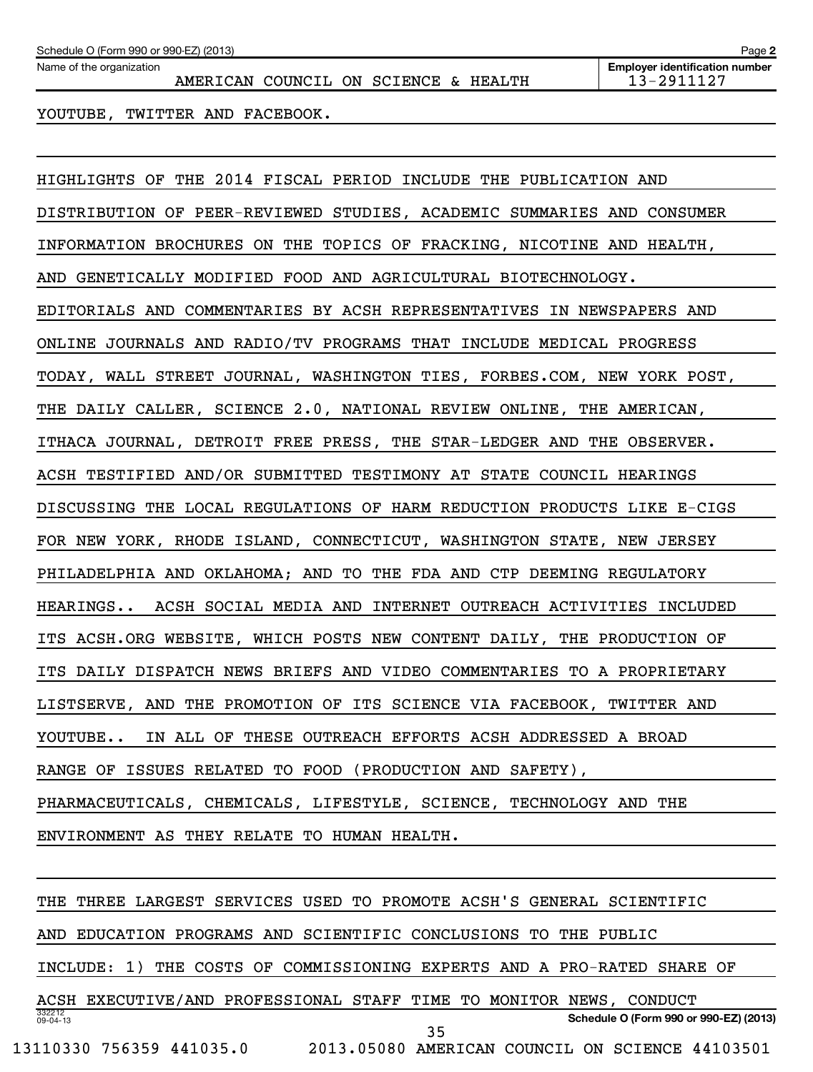Name of the organization

AMERICAN COUNCIL ON SCIENCE & HEALTH 13-2911127

**2**

YOUTUBE, TWITTER AND FACEBOOK.

HIGHLIGHTS OF THE 2014 FISCAL PERIOD INCLUDE THE PUBLICATION AND DISTRIBUTION OF PEER-REVIEWED STUDIES, ACADEMIC SUMMARIES AND CONSUMER INFORMATION BROCHURES ON THE TOPICS OF FRACKING, NICOTINE AND HEALTH, AND GENETICALLY MODIFIED FOOD AND AGRICULTURAL BIOTECHNOLOGY. EDITORIALS AND COMMENTARIES BY ACSH REPRESENTATIVES IN NEWSPAPERS AND ONLINE JOURNALS AND RADIO/TV PROGRAMS THAT INCLUDE MEDICAL PROGRESS TODAY, WALL STREET JOURNAL, WASHINGTON TIES, FORBES.COM, NEW YORK POST, THE DAILY CALLER, SCIENCE 2.0, NATIONAL REVIEW ONLINE, THE AMERICAN, ITHACA JOURNAL, DETROIT FREE PRESS, THE STAR-LEDGER AND THE OBSERVER. ACSH TESTIFIED AND/OR SUBMITTED TESTIMONY AT STATE COUNCIL HEARINGS DISCUSSING THE LOCAL REGULATIONS OF HARM REDUCTION PRODUCTS LIKE E-CIGS FOR NEW YORK, RHODE ISLAND, CONNECTICUT, WASHINGTON STATE, NEW JERSEY PHILADELPHIA AND OKLAHOMA; AND TO THE FDA AND CTP DEEMING REGULATORY HEARINGS.. ACSH SOCIAL MEDIA AND INTERNET OUTREACH ACTIVITIES INCLUDED ITS ACSH.ORG WEBSITE, WHICH POSTS NEW CONTENT DAILY, THE PRODUCTION OF ITS DAILY DISPATCH NEWS BRIEFS AND VIDEO COMMENTARIES TO A PROPRIETARY LISTSERVE, AND THE PROMOTION OF ITS SCIENCE VIA FACEBOOK, TWITTER AND YOUTUBE.. IN ALL OF THESE OUTREACH EFFORTS ACSH ADDRESSED A BROAD RANGE OF ISSUES RELATED TO FOOD (PRODUCTION AND SAFETY), PHARMACEUTICALS, CHEMICALS, LIFESTYLE, SCIENCE, TECHNOLOGY AND THE ENVIRONMENT AS THEY RELATE TO HUMAN HEALTH.

332212 09-04-13 **Schedule O (Form 990 or 990-EZ) (2013)** THE THREE LARGEST SERVICES USED TO PROMOTE ACSH'S GENERAL SCIENTIFIC AND EDUCATION PROGRAMS AND SCIENTIFIC CONCLUSIONS TO THE PUBLIC INCLUDE: 1) THE COSTS OF COMMISSIONING EXPERTS AND A PRO-RATED SHARE OF ACSH EXECUTIVE/AND PROFESSIONAL STAFF TIME TO MONITOR NEWS, CONDUCT 13110330 756359 441035.0 2013.05080 AMERICAN COUNCIL ON SCIENCE 44103501 35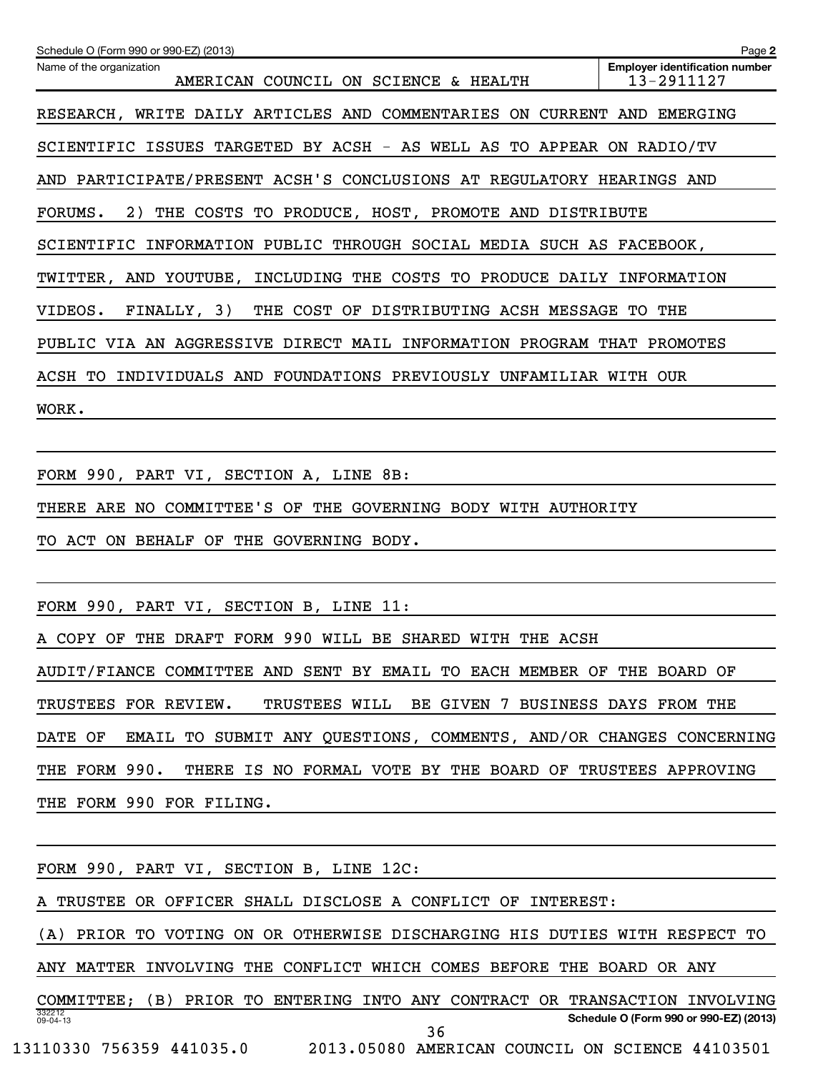| Schedule O (Form 990 or 990-EZ) (2013)<br>Name of the organization            | Page 2<br><b>Employer identification number</b> |
|-------------------------------------------------------------------------------|-------------------------------------------------|
| AMERICAN COUNCIL ON SCIENCE & HEALTH                                          | 13-2911127                                      |
| RESEARCH, WRITE DAILY ARTICLES AND COMMENTARIES ON CURRENT AND EMERGING       |                                                 |
| SCIENTIFIC ISSUES TARGETED BY ACSH - AS WELL AS TO APPEAR ON RADIO/TV         |                                                 |
| AND PARTICIPATE/PRESENT ACSH'S CONCLUSIONS AT REGULATORY HEARINGS AND         |                                                 |
| 2) THE COSTS TO PRODUCE, HOST, PROMOTE AND DISTRIBUTE<br>FORUMS.              |                                                 |
| SCIENTIFIC INFORMATION PUBLIC THROUGH SOCIAL MEDIA SUCH AS FACEBOOK,          |                                                 |
| TWITTER, AND YOUTUBE, INCLUDING THE COSTS TO PRODUCE DAILY INFORMATION        |                                                 |
| FINALLY, 3) THE COST OF DISTRIBUTING ACSH MESSAGE TO THE<br>VIDEOS.           |                                                 |
| PUBLIC VIA AN AGGRESSIVE DIRECT MAIL INFORMATION PROGRAM THAT PROMOTES        |                                                 |
| ACSH TO INDIVIDUALS AND FOUNDATIONS PREVIOUSLY UNFAMILIAR WITH OUR            |                                                 |
| WORK.                                                                         |                                                 |
|                                                                               |                                                 |
| FORM 990, PART VI, SECTION A, LINE 8B:                                        |                                                 |
| THERE ARE NO COMMITTEE'S OF THE GOVERNING BODY WITH AUTHORITY                 |                                                 |
| TO ACT ON BEHALF OF THE GOVERNING BODY.                                       |                                                 |
|                                                                               |                                                 |
| FORM 990, PART VI, SECTION B, LINE 11:                                        |                                                 |
| A COPY OF THE DRAFT FORM 990 WILL BE SHARED WITH THE ACSH                     |                                                 |
| AUDIT/FIANCE COMMITTEE AND SENT BY EMAIL TO EACH MEMBER OF THE BOARD OF       |                                                 |
| TRUSTEES FOR REVIEW.<br>TRUSTEES WILL BE GIVEN 7 BUSINESS DAYS FROM THE       |                                                 |
| DATE OF<br>EMAIL TO SUBMIT ANY QUESTIONS, COMMENTS, AND/OR CHANGES CONCERNING |                                                 |
| THE FORM 990.<br>THERE IS NO FORMAL VOTE BY THE BOARD OF TRUSTEES APPROVING   |                                                 |
| THE FORM 990 FOR FILING.                                                      |                                                 |
|                                                                               |                                                 |
| FORM 990, PART VI, SECTION B, LINE 12C:                                       |                                                 |
| A TRUSTEE OR OFFICER SHALL DISCLOSE A CONFLICT OF INTEREST:                   |                                                 |
| (A) PRIOR TO VOTING ON OR OTHERWISE DISCHARGING HIS DUTIES WITH RESPECT TO    |                                                 |
| ANY MATTER INVOLVING THE CONFLICT WHICH COMES BEFORE THE BOARD OR ANY         |                                                 |
| COMMITTEE; (B) PRIOR TO ENTERING INTO ANY CONTRACT OR TRANSACTION INVOLVING   |                                                 |
| 332212<br>09-04-13<br>36                                                      | Schedule O (Form 990 or 990-EZ) (2013)          |
| 13110330 756359 441035.0 2013.05080 AMERICAN COUNCIL ON SCIENCE 44103501      |                                                 |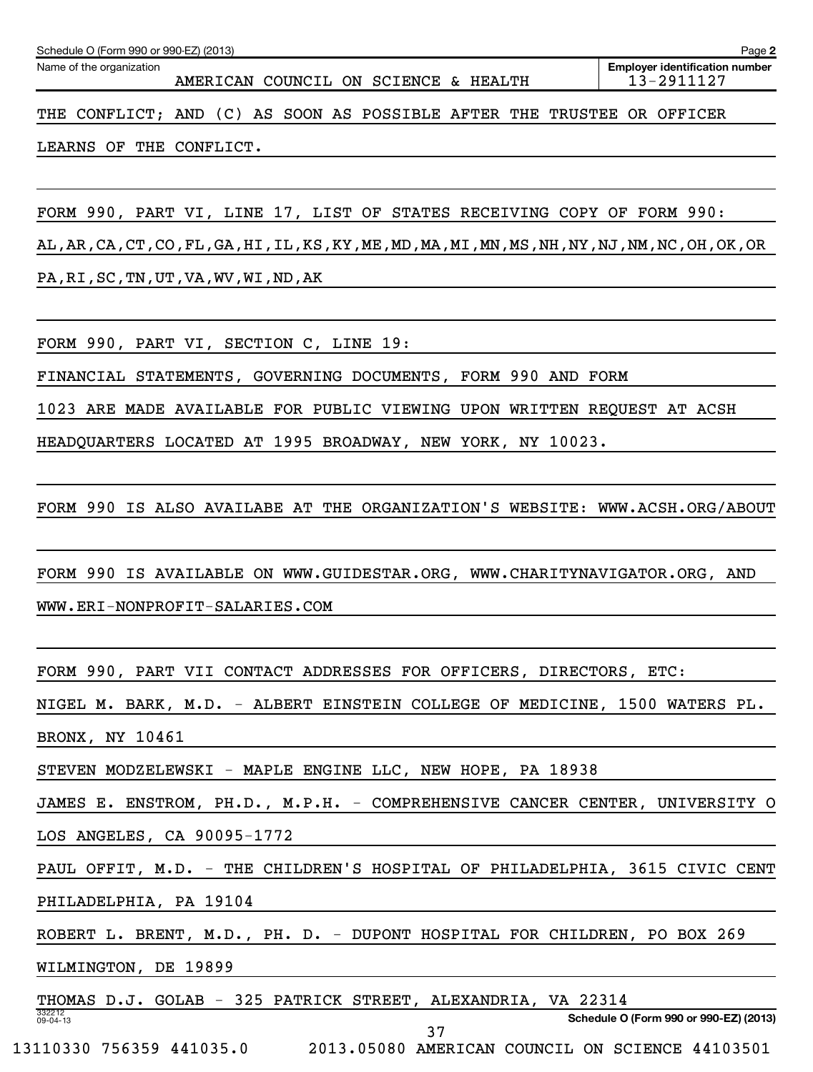| Schedule O (Form 990 or 990-EZ) (2013)<br>Page 2                       |  |  |  |  |  |                                      |  |  |  |  |                                                     |  |
|------------------------------------------------------------------------|--|--|--|--|--|--------------------------------------|--|--|--|--|-----------------------------------------------------|--|
| Name of the organization                                               |  |  |  |  |  | AMERICAN COUNCIL ON SCIENCE & HEALTH |  |  |  |  | <b>Employer identification number</b><br>13-2911127 |  |
| THE CONFLICT; AND (C) AS SOON AS POSSIBLE AFTER THE TRUSTEE OR OFFICER |  |  |  |  |  |                                      |  |  |  |  |                                                     |  |

LEARNS OF THE CONFLICT.

FORM 990, PART VI, LINE 17, LIST OF STATES RECEIVING COPY OF FORM 990:

AL,AR,CA,CT,CO,FL,GA,HI,IL,KS,KY,ME,MD,MA,MI,MN,MS,NH,NY,NJ,NM,NC,OH,OK,OR PA,RI,SC,TN,UT,VA,WV,WI,ND,AK

FORM 990, PART VI, SECTION C, LINE 19:

FINANCIAL STATEMENTS, GOVERNING DOCUMENTS, FORM 990 AND FORM

1023 ARE MADE AVAILABLE FOR PUBLIC VIEWING UPON WRITTEN REQUEST AT ACSH

HEADQUARTERS LOCATED AT 1995 BROADWAY, NEW YORK, NY 10023.

FORM 990 IS ALSO AVAILABE AT THE ORGANIZATION'S WEBSITE: WWW.ACSH.ORG/ABOUT

FORM 990 IS AVAILABLE ON WWW.GUIDESTAR.ORG, WWW.CHARITYNAVIGATOR.ORG, AND

WWW.ERI-NONPROFIT-SALARIES.COM

FORM 990, PART VII CONTACT ADDRESSES FOR OFFICERS, DIRECTORS, ETC:

NIGEL M. BARK, M.D. - ALBERT EINSTEIN COLLEGE OF MEDICINE, 1500 WATERS PL. BRONX, NY 10461

STEVEN MODZELEWSKI - MAPLE ENGINE LLC, NEW HOPE, PA 18938

JAMES E. ENSTROM, PH.D., M.P.H. - COMPREHENSIVE CANCER CENTER, UNIVERSITY O LOS ANGELES, CA 90095-1772

PAUL OFFIT, M.D. - THE CHILDREN'S HOSPITAL OF PHILADELPHIA, 3615 CIVIC CENT

37

PHILADELPHIA, PA 19104

ROBERT L. BRENT, M.D., PH. D. - DUPONT HOSPITAL FOR CHILDREN, PO BOX 269

WILMINGTON, DE 19899

332212 09-04-13 THOMAS D.J. GOLAB - 325 PATRICK STREET, ALEXANDRIA, VA 22314

**Schedule O (Form 990 or 990-EZ) (2013)**